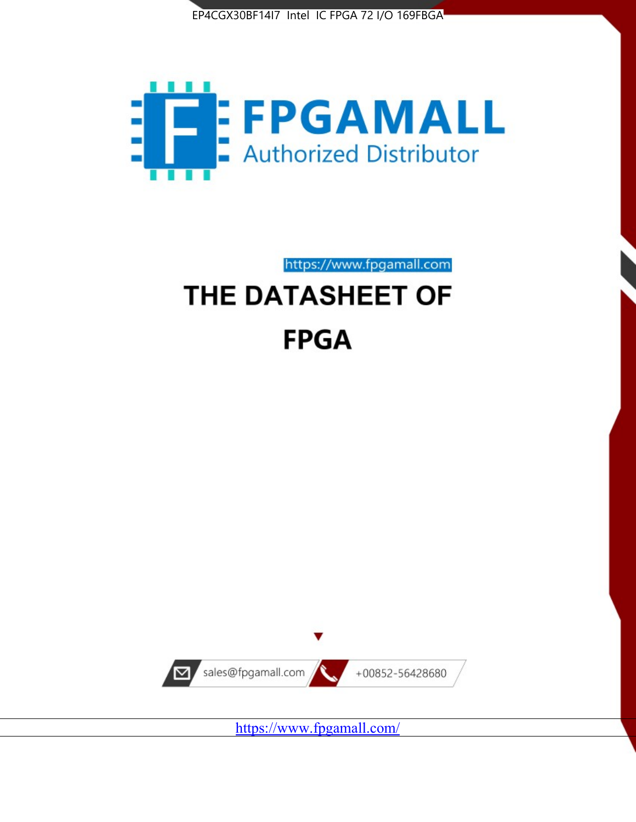



https://www.fpgamall.com THE DATASHEET OF

# **FPGA**



<https://www.fpgamall.com/>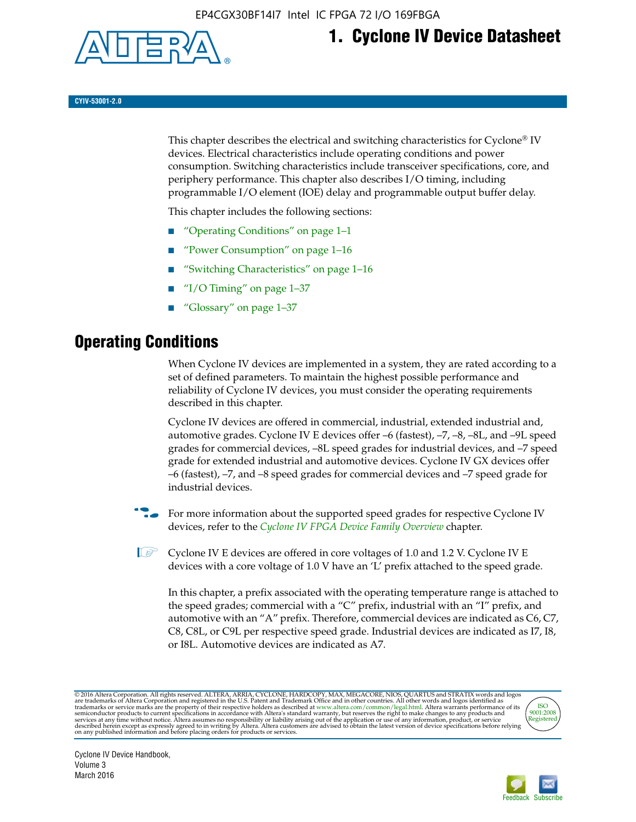

# **1. Cyclone IV Device Datasheet**

**CYIV-53001-2.0**

This chapter describes the electrical and switching characteristics for Cyclone<sup>®</sup> IV devices. Electrical characteristics include operating conditions and power consumption. Switching characteristics include transceiver specifications, core, and periphery performance. This chapter also describes I/O timing, including programmable I/O element (IOE) delay and programmable output buffer delay.

This chapter includes the following sections:

- "Operating Conditions" on page 1–1
- "Power Consumption" on page 1–16
- "Switching Characteristics" on page 1–16
- "I/O Timing" on page  $1-37$
- "Glossary" on page 1–37

# **Operating Conditions**

When Cyclone IV devices are implemented in a system, they are rated according to a set of defined parameters. To maintain the highest possible performance and reliability of Cyclone IV devices, you must consider the operating requirements described in this chapter.

Cyclone IV devices are offered in commercial, industrial, extended industrial and, automotive grades. Cyclone IV E devices offer –6 (fastest), –7, –8, –8L, and –9L speed grades for commercial devices, –8L speed grades for industrial devices, and –7 speed grade for extended industrial and automotive devices. Cyclone IV GX devices offer –6 (fastest), –7, and –8 speed grades for commercial devices and –7 speed grade for industrial devices.

**For more information about the supported speed grades for respective Cyclone IV** devices, refer to the *[Cyclone IV FPGA Device Family Overview](http://www.altera.com/literature/hb/cyclone-iv/cyiv-51001.pdf)* chapter.

 $\mathbb{I} \rightarrow \mathbb{C}$  Cyclone IV E devices are offered in core voltages of 1.0 and 1.2 V. Cyclone IV E devices with a core voltage of 1.0 V have an 'L' prefix attached to the speed grade.

In this chapter, a prefix associated with the operating temperature range is attached to the speed grades; commercial with a "C" prefix, industrial with an "I" prefix, and automotive with an "A" prefix. Therefore, commercial devices are indicated as C6, C7, C8, C8L, or C9L per respective speed grade. Industrial devices are indicated as I7, I8, or I8L. Automotive devices are indicated as A7.

@2016 Altera Corporation. All rights reserved. ALTERA, ARRIA, CYCLONE, HARDCOPY, MAX, MEGACORE, NIOS, QUARTUS and STRATIX words and logos are trademarks of Altera Corporation and registered in the U.S. Patent and Trademark



Cyclone IV Device Handbook, Volume 3 March 2016

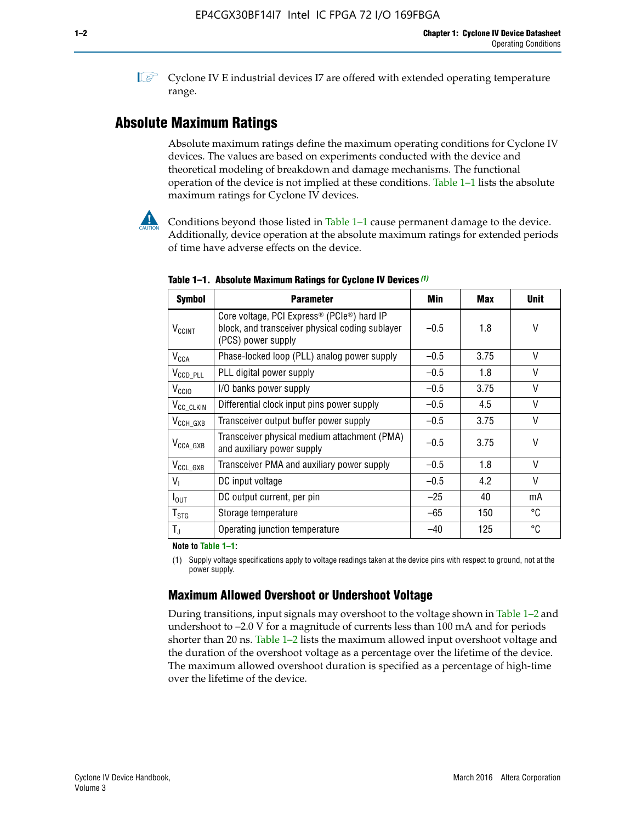**1 Cyclone IV E industrial devices I7 are offered with extended operating temperature** range.

# **Absolute Maximum Ratings**

Absolute maximum ratings define the maximum operating conditions for Cyclone IV devices. The values are based on experiments conducted with the device and theoretical modeling of breakdown and damage mechanisms. The functional operation of the device is not implied at these conditions. Table 1–1 lists the absolute maximum ratings for Cyclone IV devices.



Conditions beyond those listed in Table  $1-1$  cause permanent damage to the device. Additionally, device operation at the absolute maximum ratings for extended periods of time have adverse effects on the device.

| <b>Symbol</b>            | <b>Parameter</b>                                                                                                                             | Min    | <b>Max</b> | <b>Unit</b> |
|--------------------------|----------------------------------------------------------------------------------------------------------------------------------------------|--------|------------|-------------|
| <b>V<sub>CCINT</sub></b> | Core voltage, PCI Express <sup>®</sup> (PCIe <sup>®</sup> ) hard IP<br>block, and transceiver physical coding sublayer<br>(PCS) power supply | $-0.5$ | 1.8        | V           |
| $V_{CCA}$                | Phase-locked loop (PLL) analog power supply                                                                                                  | $-0.5$ | 3.75       | V           |
| $V_{CCD\_PLL}$           | PLL digital power supply                                                                                                                     | $-0.5$ | 1.8        | V           |
| V <sub>CCIO</sub>        | I/O banks power supply                                                                                                                       | $-0.5$ | 3.75       | V           |
| V <sub>CC_CLKIN</sub>    | Differential clock input pins power supply                                                                                                   | $-0.5$ | 4.5        | V           |
| $V_{\text{CCH_GXB}}$     | Transceiver output buffer power supply                                                                                                       | $-0.5$ | 3.75       | V           |
| $V_{\text{CCA\_GXB}}$    | Transceiver physical medium attachment (PMA)<br>and auxiliary power supply                                                                   | $-0.5$ | 3.75       | V           |
| $V_{CCL_GXB}$            | Transceiver PMA and auxiliary power supply                                                                                                   | $-0.5$ | 1.8        | V           |
| $V_{1}$                  | DC input voltage                                                                                                                             | $-0.5$ | 4.2        | V           |
| $I_{\text{OUT}}$         | DC output current, per pin                                                                                                                   | $-25$  | 40         | mA          |
| $T_{\mathtt{STG}}$       | Storage temperature                                                                                                                          | -65    | 150        | °C          |
| $T_{\rm J}$              | Operating junction temperature                                                                                                               | $-40$  | 125        | °C          |

**Table 1–1. Absolute Maximum Ratings for Cyclone IV Devices** *(1)*

**Note to Table 1–1:**

(1) Supply voltage specifications apply to voltage readings taken at the device pins with respect to ground, not at the power supply.

# **Maximum Allowed Overshoot or Undershoot Voltage**

During transitions, input signals may overshoot to the voltage shown in Table 1–2 and undershoot to –2.0 V for a magnitude of currents less than 100 mA and for periods shorter than 20 ns. Table 1–2 lists the maximum allowed input overshoot voltage and the duration of the overshoot voltage as a percentage over the lifetime of the device. The maximum allowed overshoot duration is specified as a percentage of high-time over the lifetime of the device.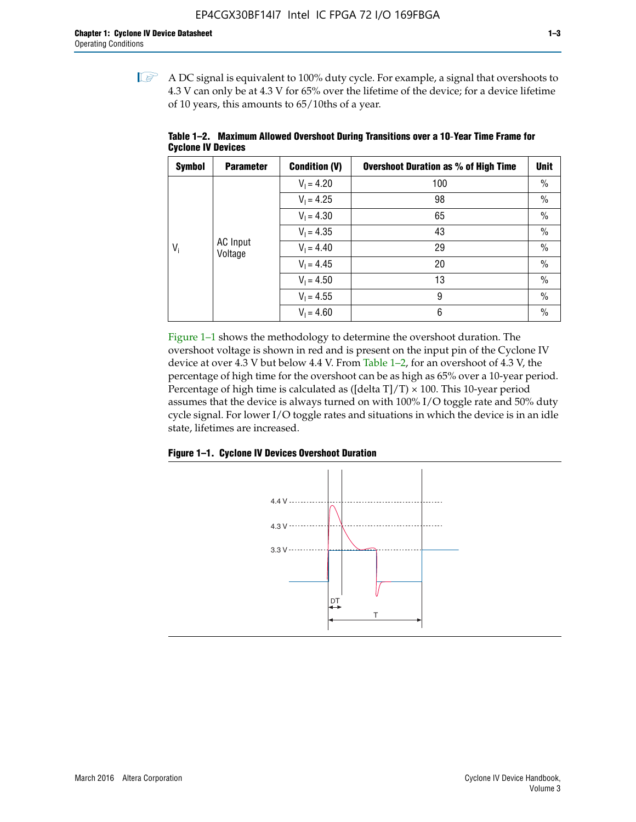$\mathbb{I}$  A DC signal is equivalent to 100% duty cycle. For example, a signal that overshoots to 4.3 V can only be at 4.3 V for 65% over the lifetime of the device; for a device lifetime of 10 years, this amounts to 65/10ths of a year.

| <b>Symbol</b> | <b>Parameter</b>    | <b>Condition (V)</b> | <b>Overshoot Duration as % of High Time</b> | Unit          |              |    |
|---------------|---------------------|----------------------|---------------------------------------------|---------------|--------------|----|
|               |                     | $V_1 = 4.20$         | 100                                         | $\%$          |              |    |
|               |                     | $V_1 = 4.25$         | 98                                          | $\%$          |              |    |
| $V_i$         | AC Input<br>Voltage | $V_1 = 4.30$         | 65                                          | $\%$          |              |    |
|               |                     | $V_1 = 4.35$         | 43                                          | $\%$          |              |    |
|               |                     |                      |                                             |               | $V_1 = 4.40$ | 29 |
|               |                     | $V_1 = 4.45$         | 20                                          | $\%$          |              |    |
|               |                     | $V_1 = 4.50$         | 13                                          | $\%$          |              |    |
|               |                     | $V_1 = 4.55$         | 9                                           | $\frac{0}{0}$ |              |    |
|               |                     | $V_1 = 4.60$         | 6                                           | $\%$          |              |    |

**Table 1–2. Maximum Allowed Overshoot During Transitions over a 10**-**Year Time Frame for Cyclone IV Devices**

Figure 1–1 shows the methodology to determine the overshoot duration. The overshoot voltage is shown in red and is present on the input pin of the Cyclone IV device at over 4.3 V but below 4.4 V. From Table 1–2, for an overshoot of 4.3 V, the percentage of high time for the overshoot can be as high as 65% over a 10-year period. Percentage of high time is calculated as ([delta  $T$ ]/T)  $\times$  100. This 10-year period assumes that the device is always turned on with 100% I/O toggle rate and 50% duty cycle signal. For lower I/O toggle rates and situations in which the device is in an idle state, lifetimes are increased.



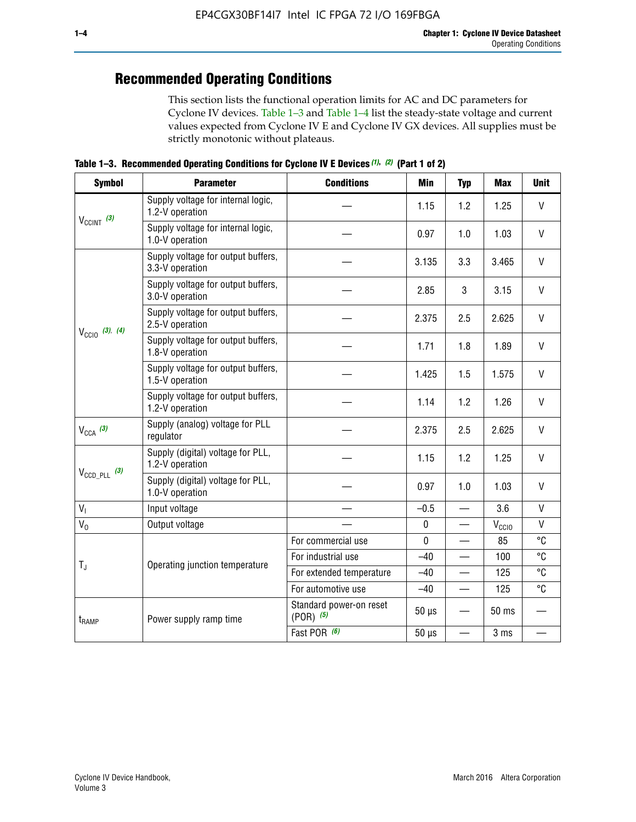# **Recommended Operating Conditions**

This section lists the functional operation limits for AC and DC parameters for Cyclone IV devices. Table 1–3 and Table 1–4 list the steady-state voltage and current values expected from Cyclone IV E and Cyclone IV GX devices. All supplies must be strictly monotonic without plateaus.

**Table 1–3. Recommended Operating Conditions for Cyclone IV E Devices** *(1)***,** *(2)* **(Part 1 of 2)**

| <b>Symbol</b>                                                                                                   | <b>Parameter</b>                                      | <b>Conditions</b>                        | <b>Min</b>  | <b>Typ</b>               | <b>Max</b>     | <b>Unit</b>  |
|-----------------------------------------------------------------------------------------------------------------|-------------------------------------------------------|------------------------------------------|-------------|--------------------------|----------------|--------------|
|                                                                                                                 | Supply voltage for internal logic,<br>1.2-V operation |                                          | 1.15        | 1.2                      | 1.25           | V            |
|                                                                                                                 | Supply voltage for internal logic,<br>1.0-V operation |                                          | 0.97        | 1.0                      | 1.03           | $\mathsf{V}$ |
|                                                                                                                 | Supply voltage for output buffers,<br>3.3-V operation |                                          | 3.135       | 3.3                      | 3.465          | $\vee$       |
| $V_{CClNT}$ (3)<br>$V_{\text{CCIO}}$ (3), (4)<br>$V_{CCA}$ (3)<br>$V_{\text{CCD\_PLL}}$ (3)<br>$V_{I}$<br>$V_0$ | Supply voltage for output buffers,<br>3.0-V operation |                                          | 2.85        | 3                        | 3.15           | V            |
|                                                                                                                 | Supply voltage for output buffers,<br>2.5-V operation |                                          | 2.375       | 2.5                      | 2.625          | $\vee$       |
|                                                                                                                 | Supply voltage for output buffers,<br>1.8-V operation |                                          | 1.71        | 1.8                      | 1.89           | $\mathsf{V}$ |
|                                                                                                                 | Supply voltage for output buffers,<br>1.5-V operation |                                          | 1.425       | 1.5                      | 1.575          | V            |
|                                                                                                                 | Supply voltage for output buffers,<br>1.2-V operation |                                          | 1.14        | 1.2                      | 1.26           | V            |
|                                                                                                                 | Supply (analog) voltage for PLL<br>regulator          |                                          | 2.375       | 2.5                      | 2.625          | $\vee$       |
| $T_{\rm J}$<br>t <sub>RAMP</sub>                                                                                | Supply (digital) voltage for PLL,<br>1.2-V operation  |                                          | 1.15        | 1.2                      | 1.25           | V            |
|                                                                                                                 | Supply (digital) voltage for PLL,<br>1.0-V operation  |                                          | 0.97        | 1.0                      | 1.03           | $\vee$       |
|                                                                                                                 | Input voltage                                         |                                          | $-0.5$      | $\equiv$                 | 3.6            | $\mathsf{V}$ |
|                                                                                                                 | Output voltage                                        |                                          | $\pmb{0}$   |                          | $V_{\rm CClO}$ | V            |
|                                                                                                                 |                                                       | For commercial use                       | $\mathbf 0$ |                          | 85             | °C           |
|                                                                                                                 | Operating junction temperature                        | For industrial use                       | $-40$       |                          | 100            | °C           |
|                                                                                                                 |                                                       | For extended temperature                 | $-40$       |                          | 125            | °C           |
|                                                                                                                 |                                                       | For automotive use                       | $-40$       | $\qquad \qquad$          | 125            | °C           |
|                                                                                                                 | Power supply ramp time                                | Standard power-on reset<br>$(POR)$ $(5)$ | $50 \mu s$  |                          | 50 ms          |              |
|                                                                                                                 |                                                       | Fast POR (6)                             | $50 \mu s$  | $\overline{\phantom{0}}$ | 3 ms           |              |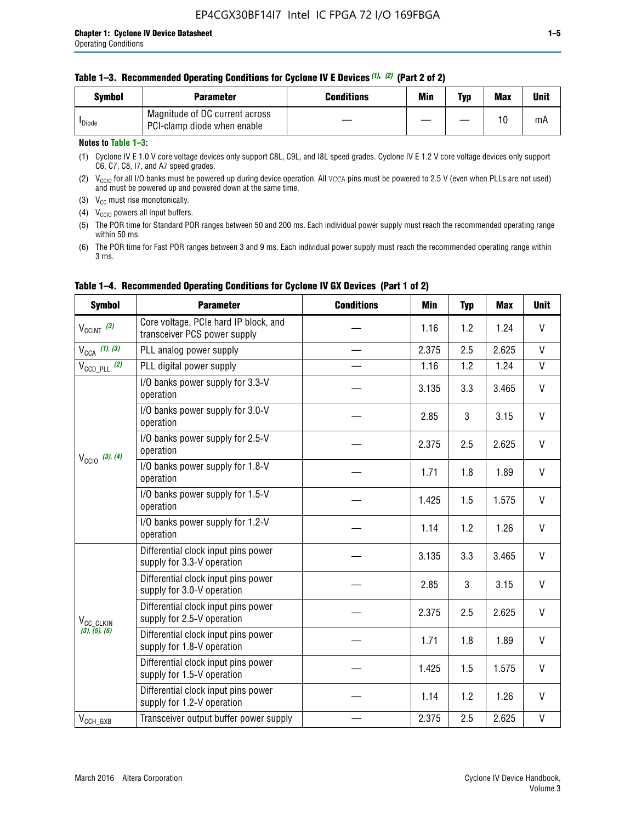| Svmbol             | <b>Parameter</b>                                              | <b>Conditions</b> | Min | Typ | <b>Max</b> | Unit |
|--------------------|---------------------------------------------------------------|-------------------|-----|-----|------------|------|
| <sup>I</sup> Diode | Magnitude of DC current across<br>PCI-clamp diode when enable |                   |     |     | 10         | mA   |

#### **Notes to Table 1–3:**

(1) Cyclone IV E 1.0 V core voltage devices only support C8L, C9L, and I8L speed grades. Cyclone IV E 1.2 V core voltage devices only support C6, C7, C8, I7, and A7 speed grades.

(2)  $V_{CCIO}$  for all I/O banks must be powered up during device operation. All vcca pins must be powered to 2.5 V (even when PLLs are not used) and must be powered up and powered down at the same time.

(3)  $V_{CC}$  must rise monotonically.

(4)  $V_{\text{CCIO}}$  powers all input buffers.

(5) The POR time for Standard POR ranges between 50 and 200 ms. Each individual power supply must reach the recommended operating range within 50 ms.

(6) The POR time for Fast POR ranges between 3 and 9 ms. Each individual power supply must reach the recommended operating range within 3 ms.

| <b>Symbol</b>              | <b>Parameter</b>                                                      | <b>Conditions</b> | Min   | <b>Typ</b> | <b>Max</b> | <b>Unit</b>  |
|----------------------------|-----------------------------------------------------------------------|-------------------|-------|------------|------------|--------------|
| $V_{CClNT}$ (3)            | Core voltage, PCIe hard IP block, and<br>transceiver PCS power supply |                   | 1.16  | 1.2        | 1.24       | V            |
| $V_{CCA}$ (1), (3)         | PLL analog power supply                                               |                   | 2.375 | 2.5        | 2.625      | $\mathsf{V}$ |
| $V_{\text{CCD\_PLL}}$ (2)  | PLL digital power supply                                              |                   | 1.16  | 1.2        | 1.24       | $\mathsf{V}$ |
|                            | I/O banks power supply for 3.3-V<br>operation                         |                   | 3.135 | 3.3        | 3.465      | $\mathsf{V}$ |
| $V_{\text{CC10}}$ (3), (4) | I/O banks power supply for 3.0-V<br>operation                         |                   | 2.85  | 3          | 3.15       | V            |
|                            | I/O banks power supply for 2.5-V<br>operation                         |                   | 2.375 | 2.5        | 2.625      | V            |
|                            | I/O banks power supply for 1.8-V<br>operation                         |                   | 1.71  | 1.8        | 1.89       | V            |
|                            | I/O banks power supply for 1.5-V<br>operation                         |                   | 1.425 | 1.5        | 1.575      | V            |
|                            | I/O banks power supply for 1.2-V<br>operation                         |                   | 1.14  | 1.2        | 1.26       | $\vee$       |
|                            | Differential clock input pins power<br>supply for 3.3-V operation     |                   | 3.135 | 3.3        | 3.465      | V            |
|                            | Differential clock input pins power<br>supply for 3.0-V operation     |                   | 2.85  | 3          | 3.15       | $\mathsf{V}$ |
| V <sub>CC_CLKIN</sub>      | Differential clock input pins power<br>supply for 2.5-V operation     |                   | 2.375 | 2.5        | 2.625      | V            |
| (3), (5), (6)              | Differential clock input pins power<br>supply for 1.8-V operation     |                   | 1.71  | 1.8        | 1.89       | V            |
|                            | Differential clock input pins power<br>supply for 1.5-V operation     |                   | 1.425 | 1.5        | 1.575      | V            |
|                            | Differential clock input pins power<br>supply for 1.2-V operation     |                   | 1.14  | 1.2        | 1.26       | V            |
| $V_{CCH\_GXB}$             | Transceiver output buffer power supply                                |                   | 2.375 | 2.5        | 2.625      | $\mathsf{V}$ |

### **Table 1–4. Recommended Operating Conditions for Cyclone IV GX Devices (Part 1 of 2)**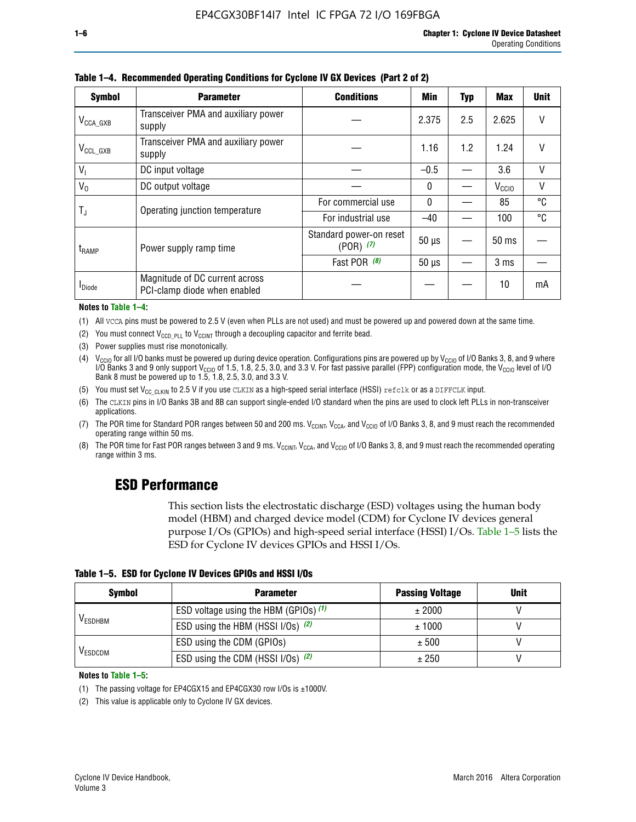| <b>Symbol</b>         | <b>Parameter</b>                                               | <b>Conditions</b>                        | Min          | Typ | Max               | <b>Unit</b> |
|-----------------------|----------------------------------------------------------------|------------------------------------------|--------------|-----|-------------------|-------------|
| $V_{\text{CCA\_GXB}}$ | Transceiver PMA and auxiliary power<br>supply                  |                                          | 2.375        | 2.5 | 2.625             | $\vee$      |
| $V_{CCL_GXB}$         | Transceiver PMA and auxiliary power<br>supply                  |                                          | 1.16         | 1.2 | 1.24              | V           |
| $V_{1}$               | DC input voltage                                               |                                          | $-0.5$       |     | 3.6               | V           |
| $V_0$                 | DC output voltage                                              |                                          | $\mathbf{0}$ |     | V <sub>CCIO</sub> | ٧           |
|                       | Operating junction temperature                                 | For commercial use                       | $\mathbf{0}$ |     | 85                | °C          |
| T,                    |                                                                | For industrial use                       | $-40$        |     | 100               | °C          |
| $t_{\rm{RAMP}}$       | Power supply ramp time                                         | Standard power-on reset<br>$(POR)$ $(7)$ | $50 \mu s$   |     | $50$ ms           |             |
|                       |                                                                | Fast POR $(8)$                           | $50 \mu s$   |     | 3 <sub>ms</sub>   |             |
| <b>I</b> Diode        | Magnitude of DC current across<br>PCI-clamp diode when enabled |                                          |              |     | 10                | mA          |

**Table 1–4. Recommended Operating Conditions for Cyclone IV GX Devices (Part 2 of 2)**

#### **Notes to Table 1–4:**

- (1) All VCCA pins must be powered to 2.5 V (even when PLLs are not used) and must be powered up and powered down at the same time.
- (2) You must connect  $V_{CCD-PLL}$  to  $V_{CCINT}$  through a decoupling capacitor and ferrite bead.
- (3) Power supplies must rise monotonically.
- (4)  $V_{\text{CCIO}}$  for all I/O banks must be powered up during device operation. Configurations pins are powered up by V<sub>CCIO</sub> of I/O Banks 3, 8, and 9 where I/O Banks 3 and 9 only support V<sub>CCIO</sub> of 1.5, 1.8, 2.5, 3.0, and 3.3 V. For fast passive parallel (FPP) configuration mode, the V<sub>CCIO</sub> level of I/O<br>Bank 8 must be powered up to 1.5, 1.8, 2.5, 3.0, and 3.3 V.
- (5) You must set  $V_{CC_CCLKIN}$  to 2.5 V if you use CLKIN as a high-speed serial interface (HSSI) refclk or as a DIFFCLK input.
- (6) The CLKIN pins in I/O Banks 3B and 8B can support single-ended I/O standard when the pins are used to clock left PLLs in non-transceiver applications.
- (7) The POR time for Standard POR ranges between 50 and 200 ms.  $V_{\text{CCIA}}$ ,  $V_{\text{CCIA}}$ , and  $V_{\text{CCIO}}$  of I/O Banks 3, 8, and 9 must reach the recommended operating range within 50 ms.
- (8) The POR time for Fast POR ranges between 3 and 9 ms.  $V_{\text{CCH},T}$ ,  $V_{\text{CCA}}$ , and  $V_{\text{CCI}}$  of I/O Banks 3, 8, and 9 must reach the recommended operating range within 3 ms.

# **ESD Performance**

This section lists the electrostatic discharge (ESD) voltages using the human body model (HBM) and charged device model (CDM) for Cyclone IV devices general purpose I/Os (GPIOs) and high-speed serial interface (HSSI) I/Os. Table 1–5 lists the ESD for Cyclone IV devices GPIOs and HSSI I/Os.

|  |  |  |  | Table 1–5. ESD for Cyclone IV Devices GPIOs and HSSI I/Os |  |
|--|--|--|--|-----------------------------------------------------------|--|
|--|--|--|--|-----------------------------------------------------------|--|

| <b>Symbol</b>  | <b>Parameter</b>                      | <b>Passing Voltage</b> | <b>Unit</b> |
|----------------|---------------------------------------|------------------------|-------------|
|                | ESD voltage using the HBM (GPIOs) (1) | ± 2000                 |             |
| <b>VESDHBM</b> | ESD using the HBM (HSSI I/Os) (2)     | ± 1000                 |             |
|                | ESD using the CDM (GPIOs)             | ± 500                  |             |
| <b>VESDCDM</b> | ESD using the CDM (HSSI I/Os) (2)     | ± 250                  |             |

#### **Notes to Table 1–5:**

(1) The passing voltage for EP4CGX15 and EP4CGX30 row I/Os is ±1000V.

(2) This value is applicable only to Cyclone IV GX devices.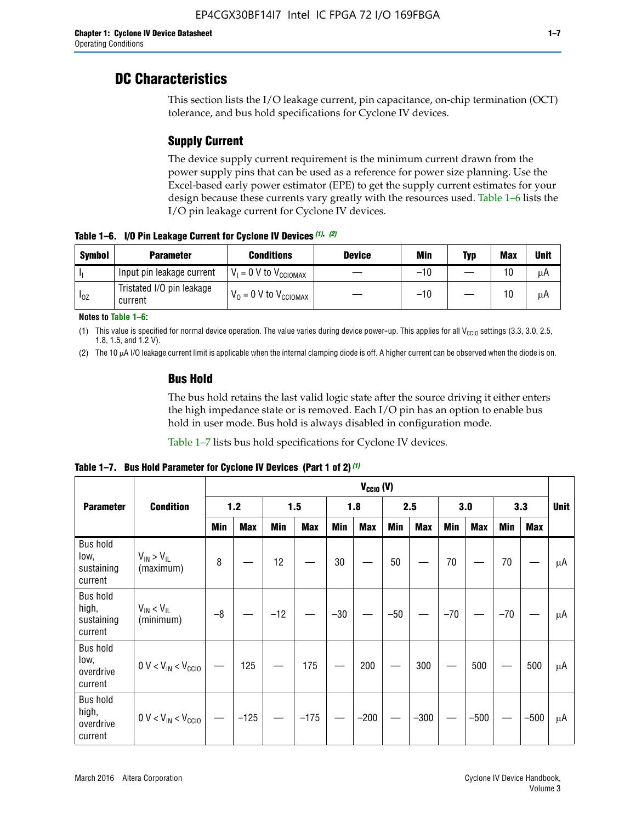# **DC Characteristics**

This section lists the I/O leakage current, pin capacitance, on-chip termination (OCT) tolerance, and bus hold specifications for Cyclone IV devices.

# **Supply Current**

The device supply current requirement is the minimum current drawn from the power supply pins that can be used as a reference for power size planning. Use the Excel-based early power estimator (EPE) to get the supply current estimates for your design because these currents vary greatly with the resources used. Table 1–6 lists the I/O pin leakage current for Cyclone IV devices.

**Table 1–6. I/O Pin Leakage Current for Cyclone IV Devices** *(1)***,** *(2)*

| <b>Symbol</b> | <b>Parameter</b>                     | <b>Conditions</b>                     | <b>Device</b> | Min   | Typ | <b>Max</b> | <b>Unit</b> |
|---------------|--------------------------------------|---------------------------------------|---------------|-------|-----|------------|-------------|
| -lı           | Input pin leakage current            | $V_1 = 0$ V to $V_{\text{CCIOMAX}}$   |               | $-10$ |     | 10         | μA          |
| $I_{0Z}$      | Tristated I/O pin leakage<br>current | $V_0 = 0 V$ to $V_{\text{CCIOMAX}}$ I |               | $-10$ |     | 10         | μA          |

**Notes to Table 1–6:**

(1) This value is specified for normal device operation. The value varies during device power-up. This applies for all V<sub>CCIO</sub> settings (3.3, 3.0, 2.5, 1.8, 1.5, and 1.2 V).

(2) The 10 µA I/O leakage current limit is applicable when the internal clamping diode is off. A higher current can be observed when the diode is on.

### **Bus Hold**

The bus hold retains the last valid logic state after the source driving it either enters the high impedance state or is removed. Each I/O pin has an option to enable bus hold in user mode. Bus hold is always disabled in configuration mode.

Table 1–7 lists bus hold specifications for Cyclone IV devices.

|                                                   |                                  | $V_{CCIO} (V)$ |            |       |            |            |            |            |            |       |            |       |            |             |
|---------------------------------------------------|----------------------------------|----------------|------------|-------|------------|------------|------------|------------|------------|-------|------------|-------|------------|-------------|
| <b>Parameter</b>                                  | <b>Condition</b>                 | 1.2            |            | 1.5   |            | 1.8        |            | 2.5        |            | 3.0   |            | 3.3   |            | <b>Unit</b> |
|                                                   |                                  | <b>Min</b>     | <b>Max</b> | Min   | <b>Max</b> | <b>Min</b> | <b>Max</b> | <b>Min</b> | <b>Max</b> | Min   | <b>Max</b> | Min   | <b>Max</b> |             |
| <b>Bus hold</b><br>low,<br>sustaining<br>current  | $V_{IN}$ > $V_{IL}$<br>(maximum) | 8              |            | 12    |            | 30         |            | 50         |            | 70    |            | 70    |            | μA          |
| <b>Bus hold</b><br>high,<br>sustaining<br>current | $V_{IN}$ < $V_{IL}$<br>(minimum) | $-8$           |            | $-12$ |            | $-30$      |            | $-50$      |            | $-70$ |            | $-70$ |            | μA          |
| <b>Bus hold</b><br>low,<br>overdrive<br>current   | $0 V < V_{IN} < V_{CG10}$        |                | 125        |       | 175        |            | 200        |            | 300        |       | 500        |       | 500        | μA          |
| <b>Bus hold</b><br>high,<br>overdrive<br>current  | $0 V < V_{IN} < V_{CG10}$        |                | $-125$     |       | $-175$     |            | $-200$     |            | $-300$     |       | $-500$     |       | $-500$     | μA          |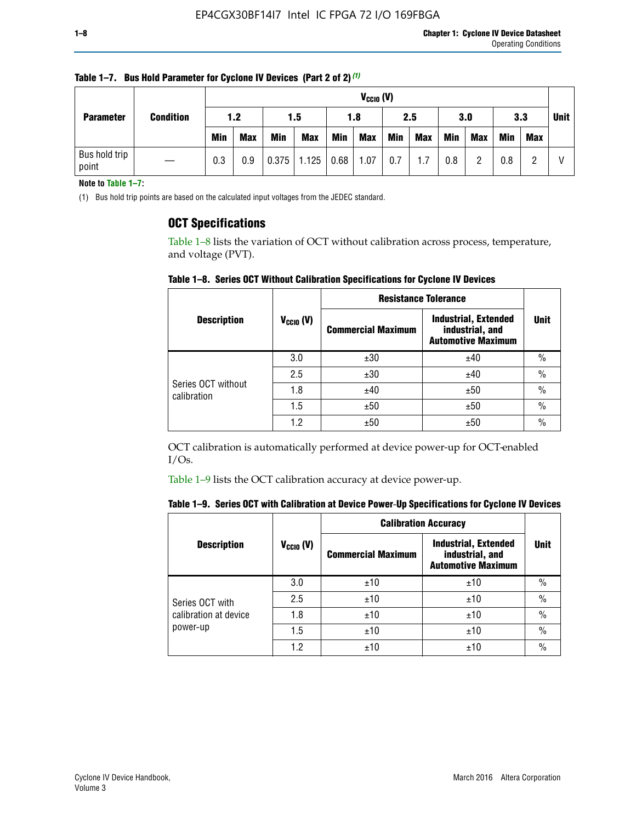| <b>Parameter</b>       | <b>Condition</b> |            | $V_{CClO}$ (V) |            |            |      |            |     |     |     |            |            |     |             |
|------------------------|------------------|------------|----------------|------------|------------|------|------------|-----|-----|-----|------------|------------|-----|-------------|
|                        |                  | 1.2        |                | 1.5        |            | 1.8  |            | 2.5 |     | 3.0 |            | 3.3        |     | <b>Unit</b> |
|                        |                  | <b>Min</b> | <b>Max</b>     | <b>Min</b> | <b>Max</b> | Min  | <b>Max</b> | Min | Max | Min | <b>Max</b> | <b>Min</b> | Max |             |
| Bus hold trip<br>point |                  | 0.3        | 0.9            | 0.375      | 1.125      | 0.68 | 1.07       | 0.7 | 1.7 | 0.8 | റ          | 0.8        |     |             |

**Table 1–7. Bus Hold Parameter for Cyclone IV Devices (Part 2 of 2)** *(1)*

**Note to Table 1–7:**

(1) Bus hold trip points are based on the calculated input voltages from the JEDEC standard.

### **OCT Specifications**

Table 1–8 lists the variation of OCT without calibration across process, temperature, and voltage (PVT).

**Table 1–8. Series OCT Without Calibration Specifications for Cyclone IV Devices**

|                                   |                       | <b>Resistance Tolerance</b> |                                                                             |               |
|-----------------------------------|-----------------------|-----------------------------|-----------------------------------------------------------------------------|---------------|
| <b>Description</b>                | $V_{\text{CCIO}}$ (V) | <b>Commercial Maximum</b>   | <b>Industrial, Extended</b><br>industrial, and<br><b>Automotive Maximum</b> | <b>Unit</b>   |
|                                   | 3.0                   | ±30                         | ±40                                                                         | $\frac{0}{0}$ |
|                                   | 2.5                   | ±30                         | ±40                                                                         | $\frac{0}{0}$ |
| Series OCT without<br>calibration | 1.8                   | ±40                         | ±50                                                                         | $\frac{0}{0}$ |
|                                   | 1.5                   | ±50                         | ±50                                                                         | $\frac{0}{0}$ |
|                                   | 1.2                   | ±50                         | ±50                                                                         | $\frac{0}{0}$ |

OCT calibration is automatically performed at device power-up for OCT-enabled I/Os.

Table 1–9 lists the OCT calibration accuracy at device power-up.

|  | Table 1–9.  Series OCT with Calibration at Device Power-Up Specifications for Cyclone IV Devices |  |  |  |
|--|--------------------------------------------------------------------------------------------------|--|--|--|
|--|--------------------------------------------------------------------------------------------------|--|--|--|

|                                   |                | <b>Calibration Accuracy</b> |                                                                             |               |
|-----------------------------------|----------------|-----------------------------|-----------------------------------------------------------------------------|---------------|
| <b>Description</b>                | $V_{CGI0} (V)$ | <b>Commercial Maximum</b>   | <b>Industrial, Extended</b><br>industrial, and<br><b>Automotive Maximum</b> | Unit          |
|                                   | 3.0            | ±10                         | ±10                                                                         | $\%$          |
| Series OCT with                   | 2.5            | ±10                         | ±10                                                                         | $\%$          |
| calibration at device<br>power-up | 1.8            | ±10                         | ±10                                                                         | $\frac{0}{0}$ |
|                                   | 1.5            | ±10                         | ±10                                                                         | $\frac{0}{0}$ |
|                                   | 1.2            | ±10                         | ±10                                                                         | $\frac{0}{0}$ |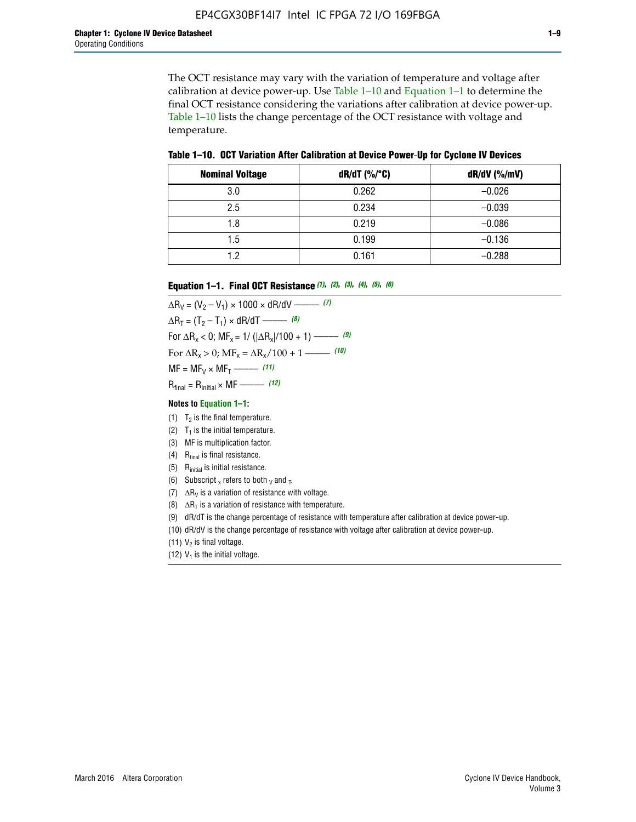The OCT resistance may vary with the variation of temperature and voltage after calibration at device power-up. Use Table 1–10 and Equation 1–1 to determine the final OCT resistance considering the variations after calibration at device power-up. Table 1–10 lists the change percentage of the OCT resistance with voltage and temperature.

**Table 1–10. OCT Variation After Calibration at Device Power**-**Up for Cyclone IV Devices**

| <b>Nominal Voltage</b> | dR/dT (%/°C) | $dR/dV$ (%/mV) |
|------------------------|--------------|----------------|
| 3.0                    | 0.262        | $-0.026$       |
| 2.5                    | 0.234        | $-0.039$       |
| 1.8                    | 0.219        | $-0.086$       |
| 1.5                    | 0.199        | $-0.136$       |
| 1.2                    | 0.161        | $-0.288$       |

#### **Equation 1–1. Final OCT Resistance** *(1)***,** *(2)***,** *(3)***,** *(4)***,** *(5)***,** *(6)*

 $\Delta R_V = (V_2 - V_1) \times 1000 \times dR/dV$  ––––––––––––(7)  $\Delta R_T = (T_2 - T_1) \times dR/dT$  ––––––– (8) For  $\Delta R_x < 0$ ; MF<sub>x</sub> = 1/ ( $|\Delta R_x|/100 + 1$ ) –––––– (9) For  $\Delta R_x > 0$ ;  $\text{MF}_x = \Delta R_x / 100 + 1$  ——– (10)  $MF = MF_V \times MF_T$  –––––––––––(11) Rfinal = Rinitial × MF ––––– *(12)*

#### **Notes to Equation 1–1:**

- (1)  $T_2$  is the final temperature.
- (2)  $T_1$  is the initial temperature.
- (3) MF is multiplication factor.
- (4)  $R<sub>final</sub>$  is final resistance.
- (5) Rinitial is initial resistance.
- (6) Subscript x refers to both  $\sqrt{v}$  and  $\sqrt{v}$ .
- (7)  $\Delta R_V$  is a variation of resistance with voltage.
- (8)  $\Delta R_T$  is a variation of resistance with temperature.
- (9) dR/dT is the change percentage of resistance with temperature after calibration at device power-up.
- (10) dR/dV is the change percentage of resistance with voltage after calibration at device power-up.
- (11)  $V_2$  is final voltage.
- (12)  $V_1$  is the initial voltage.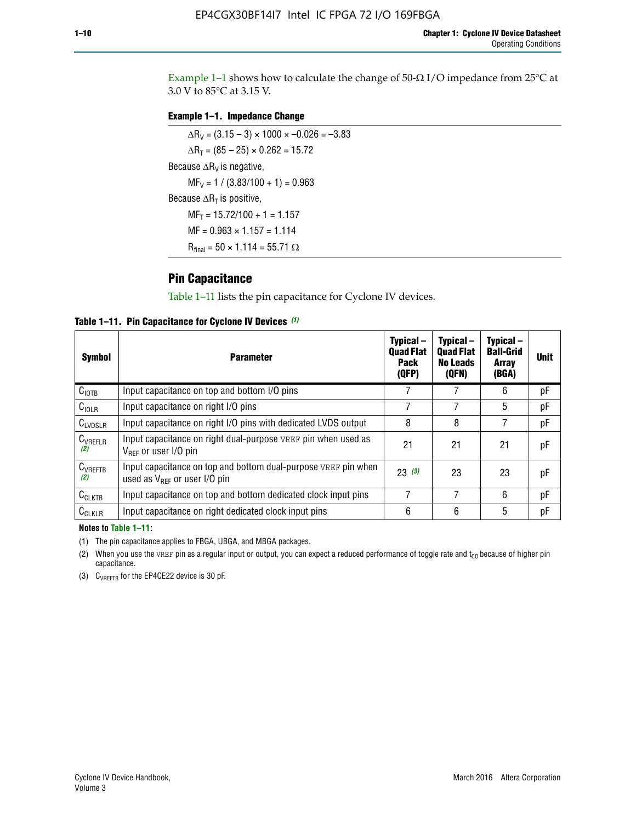Example 1-1 shows how to calculate the change of  $50$ - $\Omega$  I/O impedance from 25°C at 3.0 V to 85°C at 3.15 V.

#### **Example 1–1. Impedance Change**

 $\Delta R_V = (3.15 - 3) \times 1000 \times -0.026 = -3.83$  $\Delta R_T = (85 - 25) \times 0.262 = 15.72$ Because  $\Delta R_V$  is negative,  $MF_V = 1 / (3.83/100 + 1) = 0.963$ Because  $\Delta R_T$  is positive,  $MF_T = 15.72/100 + 1 = 1.157$  $MF = 0.963 \times 1.157 = 1.114$  $R_{final} = 50 \times 1.114 = 55.71 \Omega$ 

### **Pin Capacitance**

Table 1–11 lists the pin capacitance for Cyclone IV devices.

**Table 1–11. Pin Capacitance for Cyclone IV Devices** *(1)*

| <b>Symbol</b>       | <b>Parameter</b>                                                                                    | Typical-<br><b>Quad Flat</b><br><b>Pack</b><br>(QFP) | Typical-<br><b>Quad Flat</b><br><b>No Leads</b><br>(QFN) | Typical-<br><b>Ball-Grid</b><br><b>Array</b><br>(BGA) | <b>Unit</b> |
|---------------------|-----------------------------------------------------------------------------------------------------|------------------------------------------------------|----------------------------------------------------------|-------------------------------------------------------|-------------|
| C <sub>IOTB</sub>   | Input capacitance on top and bottom I/O pins                                                        |                                                      |                                                          | 6                                                     | рF          |
| C <sub>IOLR</sub>   | Input capacitance on right I/O pins                                                                 |                                                      |                                                          | 5                                                     | pF          |
| $C_{LVDSLR}$        | Input capacitance on right I/O pins with dedicated LVDS output                                      | 8                                                    | 8                                                        | 7                                                     | рF          |
| $C_{VREFLR}$<br>(2) | Input capacitance on right dual-purpose VREF pin when used as<br>$V_{BFF}$ or user I/O pin          | 21                                                   | 21                                                       | 21                                                    | pF          |
| $C_{VREFTB}$<br>(2) | Input capacitance on top and bottom dual-purpose VREF pin when<br>used as $V_{BFF}$ or user I/O pin | 23(3)                                                | 23                                                       | 23                                                    | рF          |
| $C_{CLKTB}$         | Input capacitance on top and bottom dedicated clock input pins                                      |                                                      | 7                                                        | 6                                                     | рF          |
| $C_{CLKLR}$         | Input capacitance on right dedicated clock input pins                                               | 6                                                    | 6                                                        | 5                                                     | рF          |

#### **Notes to Table 1–11:**

(1) The pin capacitance applies to FBGA, UBGA, and MBGA packages.

(2) When you use the VREF pin as a regular input or output, you can expect a reduced performance of toggle rate and  $t_{\rm CO}$  because of higher pin capacitance.

(3) CVREFTB for the EP4CE22 device is 30 pF.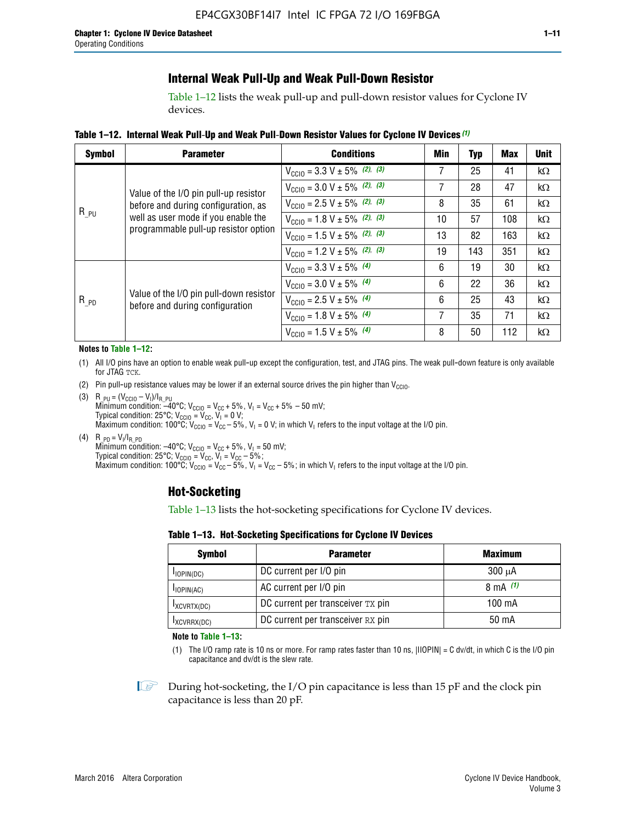# **Internal Weak Pull-Up and Weak Pull-Down Resistor**

Table 1–12 lists the weak pull-up and pull-down resistor values for Cyclone IV devices.

**Table 1–12. Internal Weak Pull**-**Up and Weak Pull**-**Down Resistor Values for Cyclone IV Devices** *(1)*

| <b>Symbol</b> | <b>Parameter</b>                                                            | <b>Conditions</b>                                  | Min | Typ | <b>Max</b> | <b>Unit</b> |
|---------------|-----------------------------------------------------------------------------|----------------------------------------------------|-----|-----|------------|-------------|
|               |                                                                             | $V_{\text{CC10}} = 3.3 \text{ V} \pm 5\%$ (2), (3) |     | 25  | 41         | kΩ          |
|               | Value of the I/O pin pull-up resistor                                       | $V_{\text{CC10}} = 3.0 \text{ V} \pm 5\%$ (2), (3) | 7   | 28  | 47         | kΩ          |
|               | before and during configuration, as                                         | $V_{\text{CC10}} = 2.5 V \pm 5\%$ (2), (3)         | 8   | 35  | 61         | kΩ          |
| $R_{PU}$      | well as user mode if you enable the<br>programmable pull-up resistor option | $V_{\text{CC10}} = 1.8 V \pm 5\%$ (2), (3)         | 10  | 57  | 108        | kΩ          |
|               |                                                                             | $V_{\text{CC10}} = 1.5 \text{ V} \pm 5\%$ (2), (3) | 13  | 82  | 163        | $k\Omega$   |
|               |                                                                             | $V_{\text{CGI0}} = 1.2 V \pm 5\%$ (2), (3)         | 19  | 143 | 351        | kΩ          |
|               |                                                                             | $V_{\text{CC10}} = 3.3 V \pm 5\%$ (4)              | 6   | 19  | 30         | kΩ          |
|               |                                                                             | $V_{\text{CC10}} = 3.0 V \pm 5\%$ (4)              | 6   | 22  | 36         | kΩ          |
| $R_{PD}$      | Value of the I/O pin pull-down resistor<br>before and during configuration  | $V_{\text{CC10}} = 2.5 V \pm 5\%$ (4)              | 6   | 25  | 43         | kΩ          |
|               |                                                                             | $V_{\text{CC10}} = 1.8 \text{ V} \pm 5\%$ (4)      | 7   | 35  | 71         | kΩ          |
|               |                                                                             | $V_{\text{CC10}} = 1.5 V \pm 5\%$ (4)              | 8   | 50  | 112        | kΩ          |

#### **Notes to Table 1–12:**

- (1) All I/O pins have an option to enable weak pull-up except the configuration, test, and JTAG pins. The weak pull-down feature is only available for JTAG TCK.
- (2) Pin pull-up resistance values may be lower if an external source drives the pin higher than  $V_{\text{CCIO}}$ .
- (3)  $R_{PU} = (V_{CC10} V_1)/I_{R_PU}$ Minimum condition: –40°C; V<sub>CCIO</sub> = V<sub>CC</sub> + 5%, V<sub>I</sub> = V<sub>CC</sub> + 5% – 50 mV; Typical condition: 25°C; V<sub>CCIO</sub> = V<sub>CC</sub>, V<sub>I</sub> = 0 V; Maximum condition: 100°C;  $V_{\text{CCIO}} = V_{\text{CC}} - 5\%$ ,  $V_1 = 0$  V; in which V<sub>I</sub> refers to the input voltage at the I/O pin.
- (4)  $R_{PD} = V_I/I_{R_PD}$ Minimum condition:  $-40^{\circ}$ C; V<sub>CCIO</sub> = V<sub>CC</sub> + 5%, V<sub>I</sub> = 50 mV; Typical condition: 25°C;  $V_{\text{CCIO}} = V_{\text{CC}}$ ,  $V_{\text{I}} = V_{\text{CC}} - 5\%$ ; Maximum condition: 100°C; V<sub>CClO</sub> = V<sub>CC</sub> – 5%, V<sub>I</sub> = V<sub>CC</sub> – 5%; in which V<sub>I</sub> refers to the input voltage at the I/O pin.

### **Hot-Socketing**

Table 1–13 lists the hot-socketing specifications for Cyclone IV devices.

**Table 1–13. Hot**-**Socketing Specifications for Cyclone IV Devices**

| <b>Symbol</b> | <b>Maximum</b>                    |             |
|---------------|-----------------------------------|-------------|
| $I$ IOPIN(DC) | DC current per I/O pin            | $300 \mu A$ |
| $I$ IOPIN(AC) | AC current per I/O pin            | 8 mA $(1)$  |
| IXCVRTX(DC)   | DC current per transceiver TX pin | 100 mA      |
| IXCVRRX(DC)   | DC current per transceiver RX pin | 50 mA       |

**Note to Table 1–13:**

(1) The I/O ramp rate is 10 ns or more. For ramp rates faster than 10 ns, |IIOPIN| = C dv/dt, in which C is the I/O pin capacitance and dv/dt is the slew rate.

 $\mathbb{I} \rightarrow \mathbb{I}$  During hot-socketing, the I/O pin capacitance is less than 15 pF and the clock pin capacitance is less than 20 pF.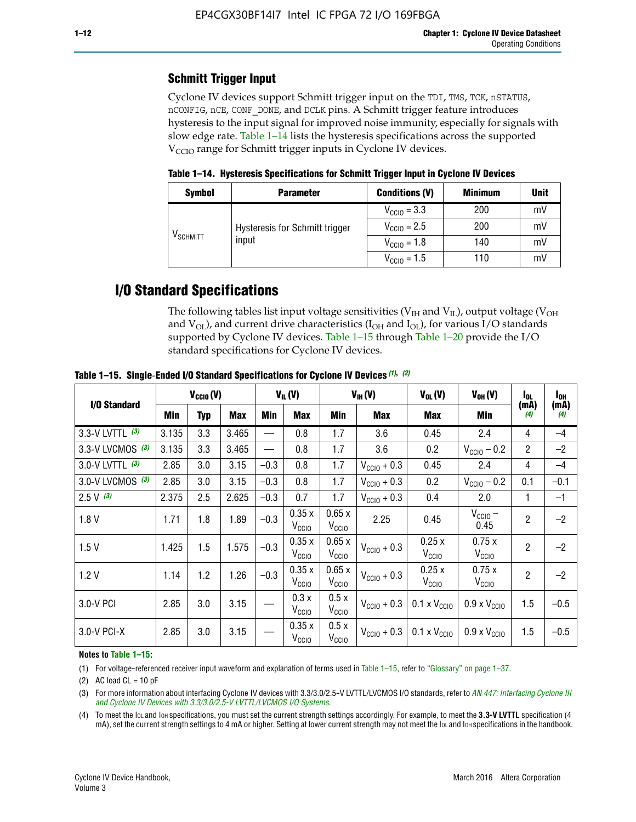# **Schmitt Trigger Input**

Cyclone IV devices support Schmitt trigger input on the TDI, TMS, TCK, nSTATUS, nCONFIG, nCE, CONF\_DONE, and DCLK pins. A Schmitt trigger feature introduces hysteresis to the input signal for improved noise immunity, especially for signals with slow edge rate. Table 1–14 lists the hysteresis specifications across the supported  $V<sub>CCIO</sub>$  range for Schmitt trigger inputs in Cyclone IV devices.

**Table 1–14. Hysteresis Specifications for Schmitt Trigger Input in Cyclone IV Devices**

| <b>Symbol</b>                  | <b>Parameter</b>               | <b>Conditions (V)</b>   | <b>Minimum</b> | <b>Unit</b> |
|--------------------------------|--------------------------------|-------------------------|----------------|-------------|
|                                |                                | $V_{\text{CGI0}} = 3.3$ | 200            | mV          |
|                                | Hysteresis for Schmitt trigger | $V_{\text{CCIO}} = 2.5$ | 200            | mV          |
| $\mathsf{V}_{\mathsf{SCHMIT}}$ | input                          | $V_{\text{CCIO}} = 1.8$ | 140            | mV          |
|                                |                                | $V_{\text{CCIO}} = 1.5$ | 110            | mV          |

# **I/O Standard Specifications**

The following tables list input voltage sensitivities ( $V<sub>IH</sub>$  and  $V<sub>II</sub>$ ), output voltage ( $V<sub>OH</sub>$ and  $V_{OL}$ ), and current drive characteristics ( $I_{OH}$  and  $I_{OL}$ ), for various I/O standards supported by Cyclone IV devices. Table 1–15 through Table 1–20 provide the I/O standard specifications for Cyclone IV devices.

|                   | $V_{CClO}(V)$ |     | $V_{IL}(V)$ |        | $V_{IH} (V)$               |                            | $V_{OL}(V)$             | $V_{OH} (V)$                 | l <sub>OL</sub>              | l <sub>oh</sub> |             |
|-------------------|---------------|-----|-------------|--------|----------------------------|----------------------------|-------------------------|------------------------------|------------------------------|-----------------|-------------|
| I/O Standard      | Min           | Typ | <b>Max</b>  | Min    | <b>Max</b>                 | Min                        | <b>Max</b>              | Max                          | Min                          | (mA)<br>(4)     | (mA)<br>(4) |
| 3.3-V LVTTL (3)   | 3.135         | 3.3 | 3.465       |        | 0.8                        | 1.7                        | 3.6                     | 0.45                         | 2.4                          | 4               | $-4$        |
| 3.3-V LVCMOS (3)  | 3.135         | 3.3 | 3.465       |        | 0.8                        | 1.7                        | 3.6                     | 0.2                          | $V_{\text{CCIO}} - 0.2$      | $\overline{2}$  | $-2$        |
| 3.0-V LVTTL $(3)$ | 2.85          | 3.0 | 3.15        | $-0.3$ | 0.8                        | 1.7                        | $V_{\text{CC10}} + 0.3$ | 0.45                         | 2.4                          | 4               | $-4$        |
| 3.0-V LVCMOS (3)  | 2.85          | 3.0 | 3.15        | $-0.3$ | 0.8                        | 1.7                        | $V_{\text{CCI}0}$ + 0.3 | 0.2                          | $V_{\text{CC10}} - 0.2$      | 0.1             | $-0.1$      |
| $2.5 V$ (3)       | 2.375         | 2.5 | 2.625       | $-0.3$ | 0.7                        | 1.7                        | $V_{\text{CCI}0}$ + 0.3 | 0.4                          | 2.0                          | 1               | $-1$        |
| 1.8V              | 1.71          | 1.8 | 1.89        | $-0.3$ | 0.35x<br>V <sub>CCIO</sub> | 0.65x<br>V <sub>CCIO</sub> | 2.25                    | 0.45                         | $V_{CGIO}$ –<br>0.45         | $\overline{2}$  | $-2$        |
| 1.5V              | 1.425         | 1.5 | 1.575       | $-0.3$ | 0.35x<br>V <sub>CCIO</sub> | 0.65x<br>V <sub>CCIO</sub> | $V_{\text{CC10}} + 0.3$ | 0.25x<br>$V_{\rm CClO}$      | 0.75x<br>V <sub>CCIO</sub>   | $\overline{2}$  | $-2$        |
| 1.2V              | 1.14          | 1.2 | 1.26        | $-0.3$ | 0.35x<br>V <sub>CCIO</sub> | 0.65x<br>V <sub>CCIO</sub> | $V_{\text{CGI0}} + 0.3$ | 0.25x<br>$V_{\rm CClO}$      | 0.75x<br>V <sub>CCIO</sub>   | $\overline{2}$  | $-2$        |
| 3.0-V PCI         | 2.85          | 3.0 | 3.15        |        | 0.3x<br>V <sub>CCIO</sub>  | 0.5x<br>V <sub>CCIO</sub>  | $V_{\text{CC10}} + 0.3$ | $0.1 \times V_{CC10}$        | $0.9 \times V_{\text{CC10}}$ | 1.5             | $-0.5$      |
| 3.0-V PCI-X       | 2.85          | 3.0 | 3.15        |        | 0.35x<br>V <sub>CCIO</sub> | 0.5x<br>V <sub>CCIO</sub>  | $V_{\text{CC}10} + 0.3$ | $0.1 \times V_{\text{CC10}}$ | $0.9 \times V_{\text{CC10}}$ | 1.5             | $-0.5$      |

**Table 1–15. Single**-**Ended I/O Standard Specifications for Cyclone IV Devices** *(1)***,** *(2)*

#### **Notes to Table 1–15:**

(1) For voltage-referenced receiver input waveform and explanation of terms used in Table 1–15, refer to "Glossary" on page 1–37.

(2) AC load  $CL = 10$  pF

(3) For more information about interfacing Cyclone IV devices with 3.3/3.0/2.5-V LVTTL/LVCMOS I/O standards, refer to *[AN 447: Interfacing Cyclone III](http://www.altera.com/literature/an/an447.pdf)  [and Cyclone IV Devices with 3.3/3.0/2.5-V LVTTL/LVCMOS I/O Systems](http://www.altera.com/literature/an/an447.pdf)*.

(4) To meet the IOL and IOH specifications, you must set the current strength settings accordingly. For example, to meet the **3.3-V LVTTL** specification (4 mA), set the current strength settings to 4 mA or higher. Setting at lower current strength may not meet the lou and lon specifications in the handbook.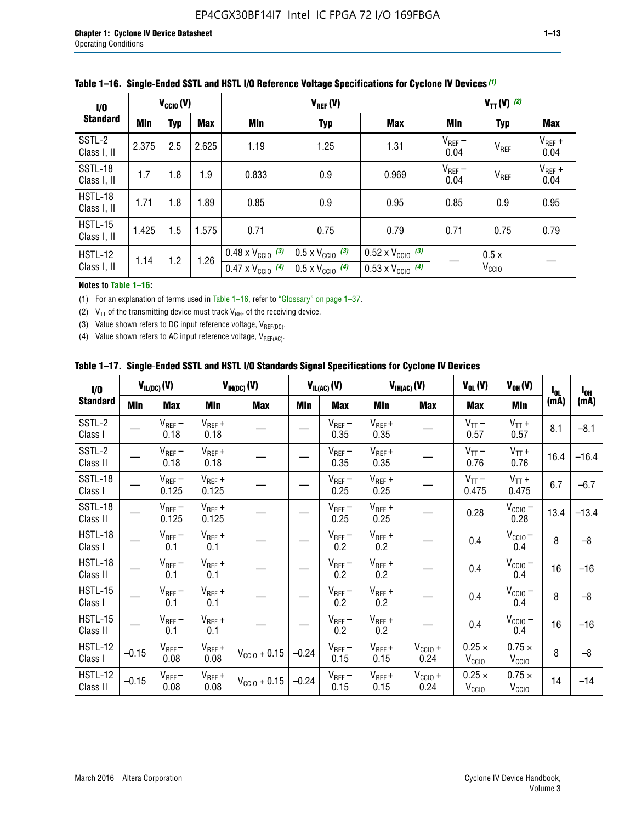| 1/0                           | $V_{\text{CC10}}(V)$ |            |       | $V_{REF}(V)$                                                           |                                                                      |                                                                        | $V_{TT} (V)$ (2)    |                           |                     |
|-------------------------------|----------------------|------------|-------|------------------------------------------------------------------------|----------------------------------------------------------------------|------------------------------------------------------------------------|---------------------|---------------------------|---------------------|
| <b>Standard</b>               | <b>Min</b>           | <b>Typ</b> | Max   | Min                                                                    | <b>Typ</b>                                                           | <b>Max</b>                                                             | Min                 | <b>Typ</b>                | Max                 |
| SSTL-2<br>Class I, II         | 2.375                | 2.5        | 2.625 | 1.19                                                                   | 1.25                                                                 | 1.31                                                                   | $V_{REF}$ –<br>0.04 | $V_{REF}$                 | $V_{REF}$ +<br>0.04 |
| SSTL-18<br>Class I, II        | 1.7                  | 1.8        | 1.9   | 0.833                                                                  | 0.9                                                                  | 0.969                                                                  | $V_{REF}$ –<br>0.04 | V <sub>REF</sub>          | $V_{REF}$ +<br>0.04 |
| HSTL-18<br>Class I, II        | 1.71                 | 1.8        | 1.89  | 0.85                                                                   | 0.9                                                                  | 0.95                                                                   | 0.85                | 0.9                       | 0.95                |
| <b>HSTL-15</b><br>Class I, II | 1.425                | 1.5        | 1.575 | 0.71                                                                   | 0.75                                                                 | 0.79                                                                   | 0.71                | 0.75                      | 0.79                |
| HSTL-12<br>Class I, II        | 1.14                 | 1.2        | 1.26  | $0.48 \times V_{\text{CC10}}$ (3)<br>$0.47 \times V_{\text{CC10}}$ (4) | $0.5 \times V_{\text{CC10}}$ (3)<br>$0.5 \times V_{\text{CC10}}$ (4) | $0.52 \times V_{\text{CC10}}$ (3)<br>$0.53 \times V_{\text{CC10}}$ (4) |                     | 0.5x<br>V <sub>CCIO</sub> |                     |

|  |  |  |  | Table 1–16. Single-Ended SSTL and HSTL I/O Reference Voltage Specifications for Cyclone IV Devices (1) |
|--|--|--|--|--------------------------------------------------------------------------------------------------------|
|--|--|--|--|--------------------------------------------------------------------------------------------------------|

#### **Notes to Table 1–16:**

(1) For an explanation of terms used in Table 1–16, refer to "Glossary" on page 1–37.

(2)  $V_{TT}$  of the transmitting device must track  $V_{REF}$  of the receiving device.

(3) Value shown refers to DC input reference voltage,  $V_{REF(DC)}$ .

(4) Value shown refers to AC input reference voltage,  $V_{REF(AC)}$ .

|  | Table 1–17.  Single-Ended SSTL and HSTL I/O Standards Signal Specifications for Cyclone IV Devices |  |  |  |  |  |
|--|----------------------------------------------------------------------------------------------------|--|--|--|--|--|
|--|----------------------------------------------------------------------------------------------------|--|--|--|--|--|

| I/O                        |            | $V_{IL(DC)}(V)$      |                      | $V_{IH(DC)}(V)$   |         | $V_{IL(AC)}(V)$     |                     | $V_{IH(AC)}(V)$      | $V_{OL}(V)$                        | $V_{OH} (V)$                       | $I_{0L}$ | $I_{0H}$ |
|----------------------------|------------|----------------------|----------------------|-------------------|---------|---------------------|---------------------|----------------------|------------------------------------|------------------------------------|----------|----------|
| <b>Standard</b>            | <b>Min</b> | Max                  | Min                  | <b>Max</b>        | Min     | Max                 | Min                 | <b>Max</b>           | <b>Max</b>                         | Min                                | (mA)     | (mA)     |
| SSTL-2<br>Class I          |            | $V_{REF}$ –<br>0.18  | $V_{REF} +$<br>0.18  |                   |         | $V_{REF}-$<br>0.35  | $V_{REF} +$<br>0.35 |                      | $V_{TT}$ –<br>0.57                 | $V_{TT}$ +<br>0.57                 | 8.1      | $-8.1$   |
| SSTL-2<br>Class II         |            | $V_{REF}$ –<br>0.18  | $V_{REF} +$<br>0.18  |                   |         | $V_{REF}$ –<br>0.35 | $V_{REF} +$<br>0.35 |                      | $V_{TT}$ –<br>0.76                 | $V_{TT}$ +<br>0.76                 | 16.4     | $-16.4$  |
| <b>SSTL-18</b><br>Class I  |            | $V_{REF}$ –<br>0.125 | $V_{REF}$ +<br>0.125 |                   |         | $V_{REF}$ –<br>0.25 | $V_{REF}$ +<br>0.25 |                      | $V_{TT}$ –<br>0.475                | $V_{TT}$ +<br>0.475                | 6.7      | $-6.7$   |
| <b>SSTL-18</b><br>Class II |            | $V_{REF}$ –<br>0.125 | $V_{REF}$ +<br>0.125 |                   |         | $V_{REF}$ –<br>0.25 | $V_{REF}$ +<br>0.25 |                      | 0.28                               | $V_{CC10} -$<br>0.28               | 13.4     | $-13.4$  |
| HSTL-18<br>Class I         |            | $V_{REF}$ –<br>0.1   | $V_{REF}$ +<br>0.1   |                   |         | $V_{REF}$ –<br>0.2  | $V_{REF}$ +<br>0.2  |                      | 0.4                                | $V_{CCIO}$ –<br>0.4                | 8        | $-8$     |
| HSTL-18<br>Class II        |            | $V_{REF}$ –<br>0.1   | $V_{REF}$ +<br>0.1   |                   |         | $V_{REF}$ –<br>0.2  | $V_{REF}$ +<br>0.2  |                      | 0.4                                | $V_{CC10}$ –<br>0.4                | 16       | $-16$    |
| HSTL-15<br>Class I         |            | $V_{REF}$ –<br>0.1   | $V_{REF}$ +<br>0.1   |                   |         | $V_{REF}$ –<br>0.2  | $V_{REF}$ +<br>0.2  |                      | 0.4                                | $V_{\text{CC10}} -$<br>0.4         | 8        | $-8$     |
| HSTL-15<br>Class II        |            | $V_{REF}$ –<br>0.1   | $V_{REF} +$<br>0.1   |                   |         | $V_{REF}$ –<br>0.2  | $V_{REF} +$<br>0.2  |                      | 0.4                                | $V_{CC10}$ –<br>0.4                | 16       | $-16$    |
| <b>HSTL-12</b><br>Class I  | $-0.15$    | $V_{REF}-$<br>0.08   | $V_{REF} +$<br>0.08  | $V_{CGI0} + 0.15$ | $-0.24$ | $V_{REF}$ –<br>0.15 | $V_{REF} +$<br>0.15 | $V_{CC10}$ +<br>0.24 | $0.25 \times$<br>V <sub>CCIO</sub> | $0.75 \times$<br>V <sub>CCIO</sub> | 8        | $-8$     |
| <b>HSTL-12</b><br>Class II | $-0.15$    | $V_{REF}$ –<br>0.08  | $V_{REF} +$<br>0.08  | $V_{CGI0} + 0.15$ | $-0.24$ | $V_{REF}$ –<br>0.15 | $V_{REF} +$<br>0.15 | $V_{CC10}$ +<br>0.24 | $0.25 \times$<br>V <sub>CCIO</sub> | $0.75 \times$<br>V <sub>CCIO</sub> | 14       | $-14$    |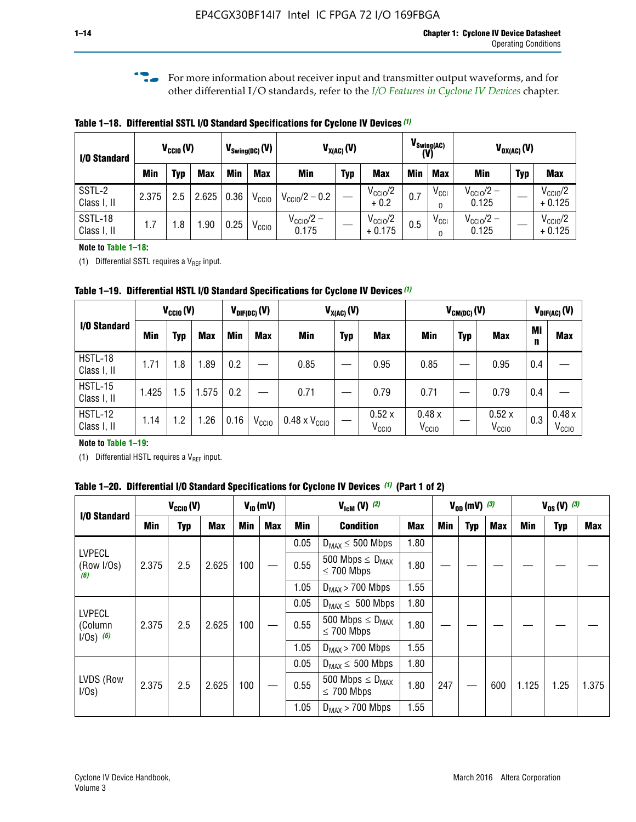**f For more information about receiver input and transmitter output waveforms, and for** other differential I/O standards, refer to the *[I/O Features in Cyclone IV Devices](http://www.altera.com/literature/hb/cyclone-iv/cyiv-51006.pdf)* chapter*.*

**Table 1–18. Differential SSTL I/O Standard Specifications for Cyclone IV Devices** *(1)*

| I/O Standard           |       | $V_{CCl0}(V)$ |            | $V_{\text{Swing(DC)}}(V)$ |                   |                                | $V_{X(AC)}(V)$ |                                 |            | $V_{\text{Swing(AC)}}$<br>(V) |                                | $V_{OX(AC)}(V)$ |                                 |
|------------------------|-------|---------------|------------|---------------------------|-------------------|--------------------------------|----------------|---------------------------------|------------|-------------------------------|--------------------------------|-----------------|---------------------------------|
|                        | Min   | Typ           | <b>Max</b> | Min                       | <b>Max</b>        | <b>Min</b>                     | <b>Typ</b>     | <b>Max</b>                      | <b>Min</b> | <b>Max</b>                    | Min                            | <b>Typ</b>      | <b>Max</b>                      |
| SSTL-2<br>Class I, II  | 2.375 | 2.5           | 2.625      | 0.36                      | V <sub>CCIO</sub> | $V_{\text{CC10}}/2 - 0.2$      |                | $V_{\text{CC1O}}/2$<br>$+0.2$   | 0.7        | $V_{\rm CCI}$                 | $V_{\text{CC10}}/2 -$<br>0.125 |                 | $V_{\text{CC10}}/2$<br>$+0.125$ |
| SSTL-18<br>Class I, II | 1.7   | .8            | .90        | 0.25                      | V <sub>CCIO</sub> | $V_{\text{CC10}}/2 -$<br>0.175 |                | $V_{\text{CC10}}/2$<br>$+0.175$ | 0.5        | $V_{\rm CCI}$                 | $V_{\text{CC10}}/2 -$<br>0.125 |                 | $V_{\text{CC10}}/2$<br>$+0.125$ |

#### **Note to Table 1–18:**

(1) Differential SSTL requires a  $V_{REF}$  input.

**Table 1–19. Differential HSTL I/O Standard Specifications for Cyclone IV Devices** *(1)*

|                               | $V_{CClO}(V)$ |     |            | $V_{\text{DIF(DC)}}(V)$ |                   | $V_{X(AC)}(V)$                |            |                            | $V_{CM(DC)}(V)$            |            |                            |         | $V_{\text{DIF(AC)}}(V)$    |
|-------------------------------|---------------|-----|------------|-------------------------|-------------------|-------------------------------|------------|----------------------------|----------------------------|------------|----------------------------|---------|----------------------------|
| I/O Standard                  | Min           | Typ | <b>Max</b> | Min                     | <b>Max</b>        | Min                           | <b>Typ</b> | <b>Max</b>                 | Min                        | <b>Typ</b> | <b>Max</b>                 | Mi<br>n | <b>Max</b>                 |
| HSTL-18<br>Class I, II        | 1.71          | 1.8 | .89        | 0.2                     |                   | 0.85                          |            | 0.95                       | 0.85                       |            | 0.95                       | 0.4     |                            |
| <b>HSTL-15</b><br>Class I, II | 1.425         | 1.5 | .575       | $0.2\,$                 |                   | 0.71                          |            | 0.79                       | 0.71                       |            | 0.79                       | 0.4     |                            |
| <b>HSTL-12</b><br>Class I, II | 1.14          | 1.2 | 1.26       | 0.16                    | V <sub>CCIO</sub> | $0.48 \times V_{\text{CC10}}$ |            | 0.52x<br>V <sub>CCIO</sub> | 0.48x<br>V <sub>CCIO</sub> |            | 0.52x<br>V <sub>CCIO</sub> | 0.3     | 0.48x<br>V <sub>CCIO</sub> |

#### **Note to Table 1–19:**

(1) Differential HSTL requires a  $V_{REF}$  input.

**Table 1–20. Differential I/O Standard Specifications for Cyclone IV Devices** *(1)* **(Part 1 of 2)**

| I/O Standard                            |       | $V_{CCl0} (V)$ |            | $V_{ID}$ (mV) |     |      | $V_{\text{lcm}}(V)^{(2)}$                  |            | $V_{0D}$ (mV) $(3)$ |     |     |       | $V_{0S} (V)^{(3)}$ |       |
|-----------------------------------------|-------|----------------|------------|---------------|-----|------|--------------------------------------------|------------|---------------------|-----|-----|-------|--------------------|-------|
|                                         | Min   | Typ            | <b>Max</b> | <b>Min</b>    | Max | Min  | <b>Condition</b>                           | <b>Max</b> | Min                 | Typ | Max | Min   | <b>Typ</b>         | Max   |
|                                         |       |                |            |               |     | 0.05 | $D_{MAX} \leq 500$ Mbps                    | 1.80       |                     |     |     |       |                    |       |
| <b>LVPECL</b><br>(Row I/Os)<br>(6)      | 2.375 | 2.5            | 2.625      | 100           |     | 0.55 | 500 Mbps $\leq D_{MAX}$<br>$\leq$ 700 Mbps | 1.80       |                     |     |     |       |                    |       |
|                                         |       |                |            |               |     | 1.05 | $D_{MAX}$ > 700 Mbps                       | 1.55       |                     |     |     |       |                    |       |
|                                         |       |                |            |               |     | 0.05 | $D_{MAX} \leq 500$ Mbps                    | 1.80       |                     |     |     |       |                    |       |
| <b>LVPECL</b><br>(Column<br>$1/Os)$ (6) | 2.375 | 2.5            | 2.625      | 100           |     | 0.55 | 500 Mbps $\leq D_{MAX}$<br>$\leq$ 700 Mbps | 1.80       |                     |     |     |       |                    |       |
|                                         |       |                |            |               |     | 1.05 | $D_{MAX}$ > 700 Mbps                       | 1.55       |                     |     |     |       |                    |       |
|                                         |       |                |            |               |     | 0.05 | $D_{MAX} \leq 500$ Mbps                    | 1.80       |                     |     |     |       |                    |       |
| LVDS (Row<br>I/Os)                      | 2.375 | 2.5            | 2.625      | 100           |     | 0.55 | 500 Mbps $\leq D_{MAX}$<br>$\leq 700$ Mbps | 1.80       | 247                 |     | 600 | 1.125 | 1.25               | 1.375 |
|                                         |       |                |            |               |     | 1.05 | $D_{MAX}$ > 700 Mbps                       | 1.55       |                     |     |     |       |                    |       |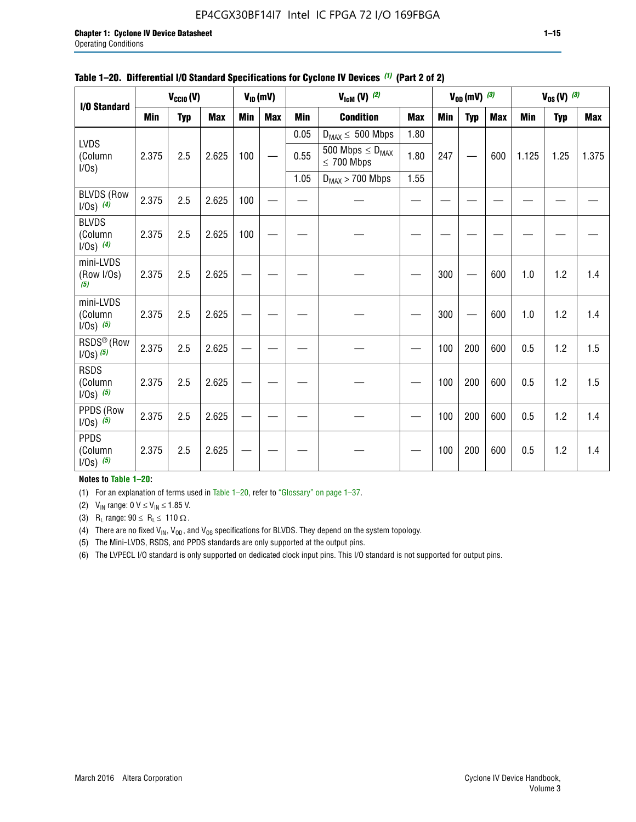#### EP4CGX30BF14I7 Intel IC FPGA 72 I/O 169FBGA

|                                         |            | $V_{\text{CCIO}}(V)$ |            |            | $V_{ID}(mV)$ |            | $V_{\text{lcm}}(V)$ (2)                    |            |            | $V_{OD}$ (mV) $(3)$ |            |       | $V_{0S} (V)$ (3) |            |
|-----------------------------------------|------------|----------------------|------------|------------|--------------|------------|--------------------------------------------|------------|------------|---------------------|------------|-------|------------------|------------|
| I/O Standard                            | <b>Min</b> | <b>Typ</b>           | <b>Max</b> | <b>Min</b> | <b>Max</b>   | <b>Min</b> | <b>Condition</b>                           | <b>Max</b> | <b>Min</b> | <b>Typ</b>          | <b>Max</b> | Min   | <b>Typ</b>       | <b>Max</b> |
|                                         |            |                      |            |            |              | 0.05       | $D_{MAX} \leq 500$ Mbps                    | 1.80       |            |                     |            |       |                  |            |
| <b>LVDS</b><br>(Column<br>$I/Os$ )      | 2.375      | 2.5                  | 2.625      | 100        |              | 0.55       | 500 Mbps $\leq D_{MAX}$<br>$\leq 700$ Mbps | 1.80       | 247        |                     | 600        | 1.125 | 1.25             | 1.375      |
|                                         |            |                      |            |            |              | 1.05       | $D_{MAX}$ > 700 Mbps                       | 1.55       |            |                     |            |       |                  |            |
| <b>BLVDS (Row</b><br>$1/0s)$ (4)        | 2.375      | 2.5                  | 2.625      | 100        |              |            |                                            |            |            |                     |            |       |                  |            |
| <b>BLVDS</b><br>(Column<br>$1/0s)$ (4)  | 2.375      | 2.5                  | 2.625      | 100        |              |            |                                            |            |            |                     |            |       |                  |            |
| mini-LVDS<br>(Row I/Os)<br>(5)          | 2.375      | 2.5                  | 2.625      |            |              |            |                                            |            | 300        |                     | 600        | 1.0   | 1.2              | 1.4        |
| mini-LVDS<br>(Column<br>$1/0s)$ (5)     | 2.375      | 2.5                  | 2.625      |            |              |            |                                            |            | 300        |                     | 600        | 1.0   | 1.2              | 1.4        |
| RSDS <sup>®</sup> (Row<br>$1/0s)$ $(5)$ | 2.375      | 2.5                  | 2.625      |            |              |            |                                            |            | 100        | 200                 | 600        | 0.5   | 1.2              | 1.5        |
| <b>RSDS</b><br>(Column<br>$1/0s)$ (5)   | 2.375      | 2.5                  | 2.625      |            |              |            |                                            |            | 100        | 200                 | 600        | 0.5   | 1.2              | 1.5        |
| PPDS (Row<br>$1/0s)$ (5)                | 2.375      | 2.5                  | 2.625      |            |              |            |                                            |            | 100        | 200                 | 600        | 0.5   | 1.2              | 1.4        |
| <b>PPDS</b><br>(Column<br>$1/0s)$ (5)   | 2.375      | 2.5                  | 2.625      |            |              |            |                                            |            | 100        | 200                 | 600        | 0.5   | 1.2              | 1.4        |

#### **Table 1–20. Differential I/O Standard Specifications for Cyclone IV Devices** *(1)* **(Part 2 of 2)**

#### **Notes to Table 1–20:**

(1) For an explanation of terms used in Table 1–20, refer to "Glossary" on page 1–37.

(2)  $V_{IN}$  range: 0  $V \le V_{IN} \le 1.85$  V.

(3) R<sub>L</sub> range:  $90 \le R_L \le 110 \Omega$ .

(4) There are no fixed  $V_{IN}$ ,  $V_{OD}$ , and  $V_{OS}$  specifications for BLVDS. They depend on the system topology.

(5) The Mini-LVDS, RSDS, and PPDS standards are only supported at the output pins.

(6) The LVPECL I/O standard is only supported on dedicated clock input pins. This I/O standard is not supported for output pins.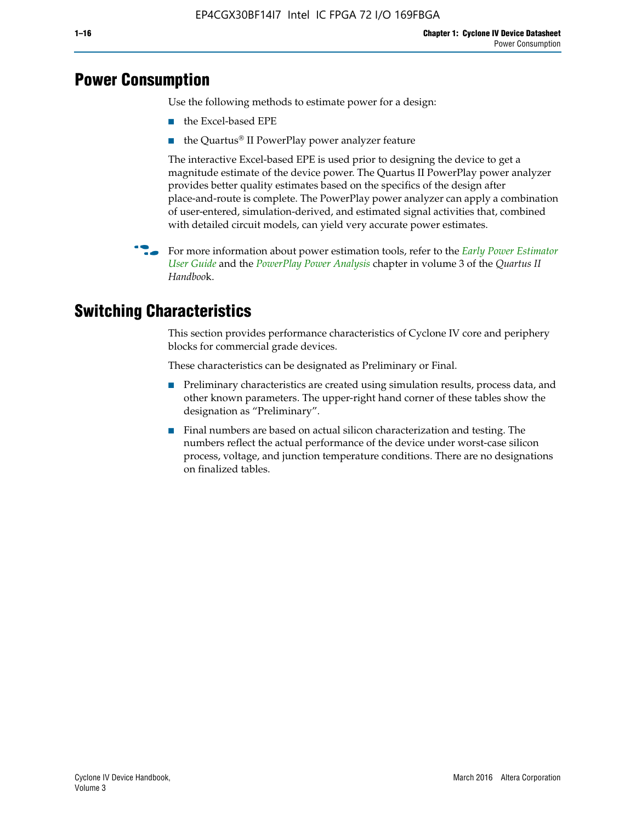# **Power Consumption**

Use the following methods to estimate power for a design:

- the Excel-based EPE
- the Quartus® II PowerPlay power analyzer feature

The interactive Excel-based EPE is used prior to designing the device to get a magnitude estimate of the device power. The Quartus II PowerPlay power analyzer provides better quality estimates based on the specifics of the design after place-and-route is complete. The PowerPlay power analyzer can apply a combination of user-entered, simulation-derived, and estimated signal activities that, combined with detailed circuit models, can yield very accurate power estimates.

**For more information about power estimation tools, refer to the** *Early Power Estimator* **<b>For a** *[User Guide](http://www.altera.com/literature/ug/ug_epe.pdf
)* and the *[PowerPlay Power Analysis](http://www.altera.com/literature/hb/qts/qts_qii53013.pdf)* chapter in volume 3 of the *Quartus II Handboo*k.

# **Switching Characteristics**

This section provides performance characteristics of Cyclone IV core and periphery blocks for commercial grade devices.

These characteristics can be designated as Preliminary or Final.

- Preliminary characteristics are created using simulation results, process data, and other known parameters. The upper-right hand corner of these tables show the designation as "Preliminary".
- Final numbers are based on actual silicon characterization and testing. The numbers reflect the actual performance of the device under worst-case silicon process, voltage, and junction temperature conditions. There are no designations on finalized tables.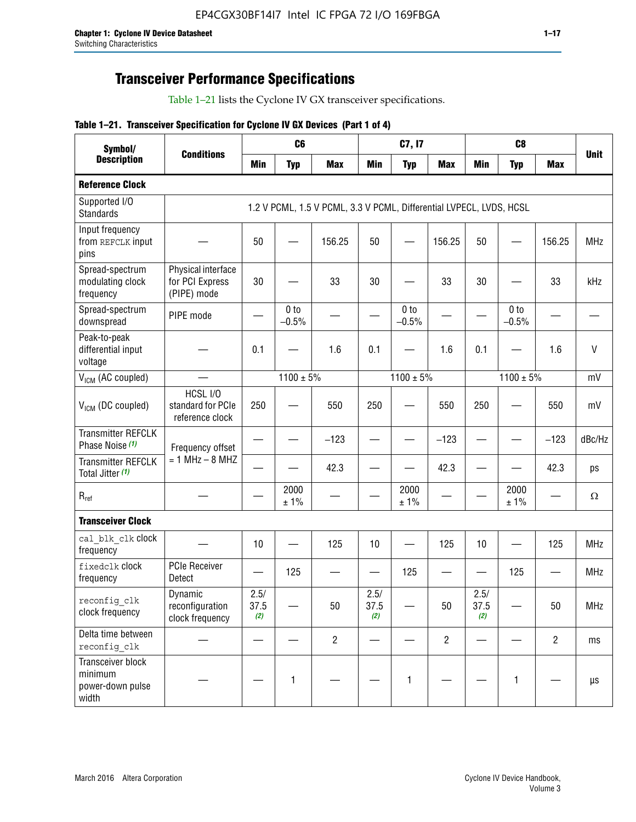# **Transceiver Performance Specifications**

Table 1–21 lists the Cyclone IV GX transceiver specifications.

#### **Table 1–21. Transceiver Specification for Cyclone IV GX Devices (Part 1 of 4)**

| Symbol/                                                   |                                                      |                          | C <sub>6</sub>             |                                                                     |                                | C7, I7                     |                                |                     | C <sub>8</sub>           |                |             |
|-----------------------------------------------------------|------------------------------------------------------|--------------------------|----------------------------|---------------------------------------------------------------------|--------------------------------|----------------------------|--------------------------------|---------------------|--------------------------|----------------|-------------|
| <b>Description</b>                                        | <b>Conditions</b>                                    | <b>Min</b>               | <b>Typ</b>                 | <b>Max</b>                                                          | <b>Min</b>                     | <b>Typ</b>                 | <b>Max</b>                     | <b>Min</b>          | <b>Typ</b>               | <b>Max</b>     | <b>Unit</b> |
| <b>Reference Clock</b>                                    |                                                      |                          |                            |                                                                     |                                |                            |                                |                     |                          |                |             |
| Supported I/O<br><b>Standards</b>                         |                                                      |                          |                            | 1.2 V PCML, 1.5 V PCML, 3.3 V PCML, Differential LVPECL, LVDS, HCSL |                                |                            |                                |                     |                          |                |             |
| Input frequency<br>from REFCLK input<br>pins              |                                                      | 50                       |                            | 156.25                                                              | 50                             |                            | 156.25                         | 50                  |                          | 156.25         | <b>MHz</b>  |
| Spread-spectrum<br>modulating clock<br>frequency          | Physical interface<br>for PCI Express<br>(PIPE) mode | 30                       |                            | 33                                                                  | 30                             |                            | 33                             | 30                  |                          | 33             | kHz         |
| Spread-spectrum<br>downspread                             | PIPE mode                                            |                          | 0 <sub>to</sub><br>$-0.5%$ |                                                                     |                                | 0 <sub>to</sub><br>$-0.5%$ |                                |                     | 0 to<br>$-0.5%$          |                |             |
| Peak-to-peak<br>differential input<br>voltage             |                                                      | 0.1                      |                            | 1.6                                                                 | 0.1                            |                            | 1.6                            | 0.1                 |                          | 1.6            | V           |
| V <sub>ICM</sub> (AC coupled)                             |                                                      |                          | $1100 \pm 5\%$             |                                                                     |                                | $1100 \pm 5\%$             |                                |                     | $1100 \pm 5\%$           |                | mV          |
| V <sub>ICM</sub> (DC coupled)                             | HCSL I/O<br>standard for PCIe<br>reference clock     | 250                      |                            | 550                                                                 | 250                            |                            | 550                            | 250                 |                          | 550            | mV          |
| <b>Transmitter REFCLK</b><br>Phase Noise (1)              | Frequency offset                                     |                          |                            | $-123$                                                              | $\overline{\phantom{0}}$       |                            | $-123$                         | —                   |                          | $-123$         | dBc/Hz      |
| <b>Transmitter REFCLK</b><br>Total Jitter (1)             | $= 1$ MHz $- 8$ MHZ                                  |                          |                            | 42.3                                                                |                                |                            | 42.3                           |                     |                          | 42.3           | ps          |
| $R_{ref}$                                                 |                                                      |                          | 2000<br>± 1%               |                                                                     |                                | 2000<br>± 1%               |                                |                     | 2000<br>± 1%             |                | $\Omega$    |
| <b>Transceiver Clock</b>                                  |                                                      |                          |                            |                                                                     |                                |                            |                                |                     |                          |                |             |
| cal blk clk clock<br>frequency                            |                                                      | 10                       |                            | 125                                                                 | 10                             |                            | 125                            | 10                  | $\overline{\phantom{0}}$ | 125            | MHz         |
| fixedclk Clock<br>frequency                               | <b>PCIe Receiver</b><br>Detect                       | $\overline{\phantom{0}}$ | 125                        |                                                                     | $\qquad \qquad \longleftarrow$ | 125                        | $\qquad \qquad \longleftarrow$ | —                   | 125                      |                | <b>MHz</b>  |
| reconfig_clk<br>clock frequency                           | Dynamic<br>reconfiguration<br>clock frequency        | 2.5/<br>37.5<br>(2)      |                            | 50                                                                  | 2.5/<br>37.5<br>(2)            |                            | 50                             | 2.5/<br>37.5<br>(2) |                          | 50             | <b>MHz</b>  |
| Delta time between<br>reconfig clk                        |                                                      |                          |                            | $\overline{2}$                                                      |                                |                            | $\overline{c}$                 |                     |                          | $\overline{2}$ | ms          |
| Transceiver block<br>minimum<br>power-down pulse<br>width |                                                      |                          | 1                          |                                                                     |                                | 1                          |                                |                     | $\mathbf{1}$             |                | μs          |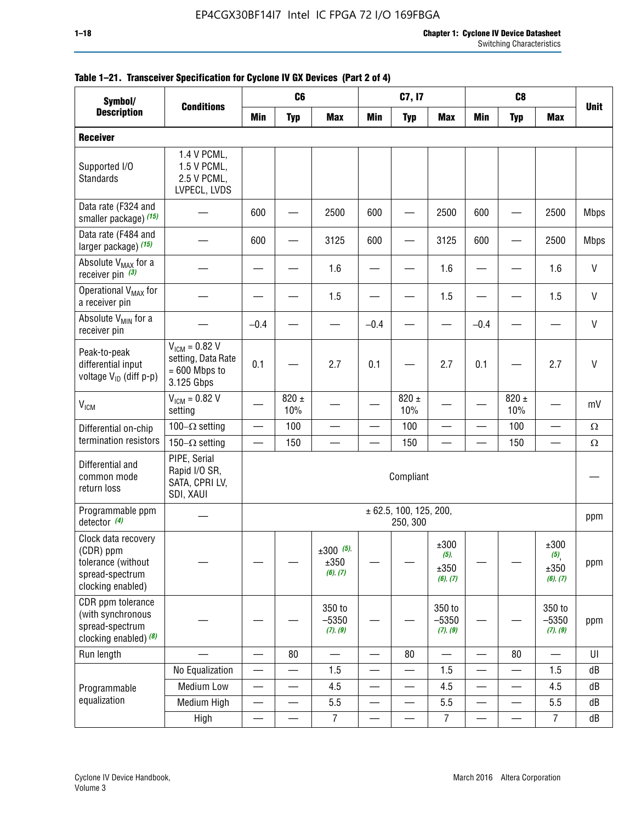| Symbol/                                                                                        |                                                                           |                          | C <sub>6</sub>   |                                    |                               | C7, I7                             |                                          |                          | C <sub>8</sub>           |                                                |             |
|------------------------------------------------------------------------------------------------|---------------------------------------------------------------------------|--------------------------|------------------|------------------------------------|-------------------------------|------------------------------------|------------------------------------------|--------------------------|--------------------------|------------------------------------------------|-------------|
| <b>Description</b>                                                                             | <b>Conditions</b>                                                         | <b>Min</b>               | <b>Typ</b>       | <b>Max</b>                         | <b>Min</b>                    | <b>Typ</b>                         | <b>Max</b>                               | <b>Min</b>               | <b>Typ</b>               | <b>Max</b>                                     | <b>Unit</b> |
| <b>Receiver</b>                                                                                |                                                                           |                          |                  |                                    |                               |                                    |                                          |                          |                          |                                                |             |
| Supported I/O<br>Standards                                                                     | 1.4 V PCML,<br>1.5 V PCML,<br>2.5 V PCML,<br>LVPECL, LVDS                 |                          |                  |                                    |                               |                                    |                                          |                          |                          |                                                |             |
| Data rate (F324 and<br>smaller package) (15)                                                   |                                                                           | 600                      |                  | 2500                               | 600                           |                                    | 2500                                     | 600                      |                          | 2500                                           | <b>Mbps</b> |
| Data rate (F484 and<br>larger package) (15)                                                    |                                                                           | 600                      |                  | 3125                               | 600                           |                                    | 3125                                     | 600                      |                          | 2500                                           | <b>Mbps</b> |
| Absolute V <sub>MAX</sub> for a<br>receiver pin $(3)$                                          |                                                                           |                          |                  | 1.6                                |                               |                                    | 1.6                                      |                          |                          | 1.6                                            | V           |
| Operational V <sub>MAX</sub> for<br>a receiver pin                                             |                                                                           |                          |                  | 1.5                                |                               |                                    | 1.5                                      |                          |                          | 1.5                                            | V           |
| Absolute V <sub>MIN</sub> for a<br>receiver pin                                                |                                                                           | $-0.4$                   |                  |                                    | $-0.4$                        |                                    |                                          | $-0.4$                   |                          |                                                | V           |
| Peak-to-peak<br>differential input<br>voltage V <sub>ID</sub> (diff p-p)                       | $V_{ICM} = 0.82 V$<br>setting, Data Rate<br>$= 600$ Mbps to<br>3.125 Gbps | 0.1                      |                  | 2.7                                | 0.1                           |                                    | 2.7                                      | 0.1                      |                          | 2.7                                            | $\vee$      |
| <b>V<sub>ICM</sub></b>                                                                         | $V_{IGM} = 0.82 V$<br>setting                                             |                          | 820 $\pm$<br>10% |                                    |                               | 820 $\pm$<br>10%                   |                                          |                          | $820 \pm$<br>10%         |                                                | mV          |
| Differential on-chip                                                                           | 100 $-\Omega$ setting                                                     | —                        | 100              |                                    | $\overline{\phantom{0}}$      | 100                                |                                          |                          | 100                      | -                                              | $\Omega$    |
| termination resistors                                                                          | 150 $-\Omega$ setting                                                     |                          | 150              |                                    |                               | 150                                |                                          |                          | 150                      |                                                | $\Omega$    |
| Differential and<br>common mode<br>return loss                                                 | PIPE, Serial<br>Rapid I/O SR,<br>SATA, CPRI LV,<br>SDI, XAUI              |                          |                  |                                    |                               | Compliant                          |                                          |                          |                          |                                                |             |
| Programmable ppm<br>detector $(4)$                                                             |                                                                           |                          |                  |                                    |                               | ± 62.5, 100, 125, 200,<br>250, 300 |                                          |                          |                          |                                                | ppm         |
| Clock data recovery<br>(CDR) ppm<br>tolerance (without<br>spread-spectrum<br>clocking enabled) |                                                                           |                          |                  | $\pm 300$ (5),<br>±350<br>(6), (7) |                               |                                    | $\pm 300$<br>$(5)$ ,<br>±350<br>(6), (7) |                          |                          | ±300<br>$(5)$ <sub>,</sub><br>±350<br>(6), (7) | ppm         |
| CDR ppm tolerance<br>(with synchronous<br>spread-spectrum<br>clocking enabled) (8)             |                                                                           |                          |                  | 350 to<br>$-5350$<br>(7), (9)      |                               |                                    | 350 to<br>$-5350$<br>(7), (9)            |                          |                          | 350 to<br>$-5350$<br>(7), (9)                  | ppm         |
| Run length                                                                                     |                                                                           | $\overline{\phantom{0}}$ | 80               |                                    |                               | 80                                 | $\overline{\phantom{0}}$                 |                          | 80                       |                                                | U           |
|                                                                                                | No Equalization                                                           | —                        |                  | 1.5                                | —                             |                                    | 1.5                                      | —<br>—                   |                          | 1.5                                            | dB          |
| Programmable                                                                                   | <b>Medium Low</b>                                                         | $\overline{\phantom{0}}$ | —                | 4.5                                | $\overbrace{\phantom{13333}}$ | —                                  | 4.5                                      | —                        | $\overline{\phantom{a}}$ | 4.5                                            | dB          |
| equalization                                                                                   | Medium High                                                               | $\overline{\phantom{0}}$ | $\qquad \qquad$  | 5.5                                | $\overline{\phantom{0}}$      | $\overline{\phantom{0}}$           | 5.5                                      |                          | $\overline{\phantom{0}}$ | 5.5                                            | dB          |
|                                                                                                | High                                                                      | —                        | —                | $\overline{7}$                     | $\overline{\phantom{0}}$      |                                    | $\boldsymbol{7}$                         | $\overline{\phantom{0}}$ |                          | $\overline{7}$                                 | dB          |

#### **Table 1–21. Transceiver Specification for Cyclone IV GX Devices (Part 2 of 4)**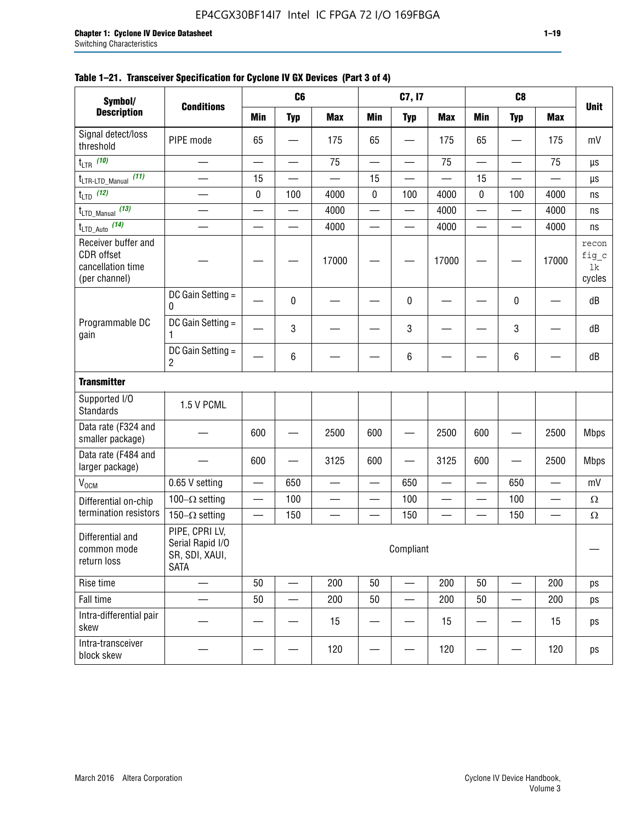| Symbol/                                                                 |                                                                     |            | C <sub>6</sub>           |            |                             | C7, I7                   |                          |                          | C <sub>8</sub>           |                          |                                |
|-------------------------------------------------------------------------|---------------------------------------------------------------------|------------|--------------------------|------------|-----------------------------|--------------------------|--------------------------|--------------------------|--------------------------|--------------------------|--------------------------------|
| <b>Description</b>                                                      | <b>Conditions</b>                                                   | <b>Min</b> | <b>Typ</b>               | <b>Max</b> | <b>Min</b>                  | <b>Typ</b>               | <b>Max</b>               | <b>Min</b>               | <b>Typ</b>               | <b>Max</b>               | <b>Unit</b>                    |
| Signal detect/loss<br>threshold                                         | PIPE mode                                                           | 65         |                          | 175        | 65                          |                          | 175                      | 65                       |                          | 175                      | mV                             |
| $t_{LTR}$ (10)                                                          |                                                                     |            |                          | 75         | $\mathcal{L}_{\mathcal{A}}$ |                          | 75                       | $\overline{\phantom{0}}$ |                          | 75                       | μs                             |
| (11)<br>$t_{\text{LTR-LTD\_Manual}}$                                    | $\overline{\phantom{0}}$                                            | 15         |                          |            | 15                          |                          |                          | 15                       |                          |                          | μs                             |
| $t_{LTD}$ (12)                                                          |                                                                     | 0          | 100                      | 4000       | 0                           | 100                      | 4000                     | 0                        | 100                      | 4000                     | ns                             |
| $t_{\text{LTD\_Manual}}$ (13)                                           |                                                                     |            |                          | 4000       | $\overline{\phantom{0}}$    | $\overline{\phantom{0}}$ | 4000                     | —                        | $\overline{\phantom{0}}$ | 4000                     | ns                             |
| $t_{\text{LTD\_Auto}}$ (14)                                             |                                                                     |            | $\overline{\phantom{0}}$ | 4000       | —                           |                          | 4000                     | $\overline{\phantom{0}}$ |                          | 4000                     | ns                             |
| Receiver buffer and<br>CDR offset<br>cancellation time<br>(per channel) |                                                                     |            |                          | 17000      |                             |                          | 17000                    |                          |                          | 17000                    | recon<br>fig_c<br>1k<br>cycles |
|                                                                         | DC Gain Setting =<br>0                                              |            | 0                        |            |                             | 0                        |                          |                          | 0                        |                          | dB                             |
| Programmable DC<br>gain                                                 | DC Gain Setting =<br>1                                              |            | 3                        |            |                             | 3                        |                          |                          | 3                        |                          | dB                             |
|                                                                         | DC Gain Setting =<br>$\overline{c}$                                 |            | 6                        |            |                             | 6                        |                          |                          | 6                        |                          | dB                             |
| <b>Transmitter</b>                                                      |                                                                     |            |                          |            |                             |                          |                          |                          |                          |                          |                                |
| Supported I/O<br><b>Standards</b>                                       | 1.5 V PCML                                                          |            |                          |            |                             |                          |                          |                          |                          |                          |                                |
| Data rate (F324 and<br>smaller package)                                 |                                                                     | 600        |                          | 2500       | 600                         |                          | 2500                     | 600                      |                          | 2500                     | <b>Mbps</b>                    |
| Data rate (F484 and<br>larger package)                                  |                                                                     | 600        |                          | 3125       | 600                         |                          | 3125                     | 600                      |                          | 2500                     | <b>Mbps</b>                    |
| V <sub>OCM</sub>                                                        | 0.65 V setting                                                      |            | 650                      |            | $\overline{\phantom{0}}$    | 650                      |                          |                          | 650                      |                          | mV                             |
| Differential on-chip                                                    | 100 $-\Omega$ setting                                               |            | 100                      | —          | $\overline{\phantom{0}}$    | 100                      | $\overline{\phantom{0}}$ | —                        | 100                      | $\overline{\phantom{0}}$ | $\Omega$                       |
| termination resistors                                                   | 150 $-\Omega$ setting                                               |            | 150                      |            |                             | 150                      |                          |                          | 150                      | —                        | $\Omega$                       |
| Differential and<br>common mode<br>return loss                          | PIPE, CPRI LV,<br>Serial Rapid I/O<br>SR, SDI, XAUI,<br><b>SATA</b> |            |                          |            |                             | Compliant                |                          |                          |                          |                          |                                |
| Rise time                                                               | —                                                                   | 50         |                          | 200        | 50                          |                          | 200                      | 50                       |                          | 200                      | ps                             |
| Fall time                                                               |                                                                     | 50         |                          | 200        | 50                          |                          | 200                      | 50                       |                          | 200                      | ps                             |
| Intra-differential pair<br>skew                                         |                                                                     |            |                          | 15         |                             |                          | 15                       |                          |                          | 15                       | ps                             |
| Intra-transceiver<br>block skew                                         |                                                                     |            |                          | 120        |                             |                          | 120                      |                          |                          | 120                      | ps                             |

#### **Table 1–21. Transceiver Specification for Cyclone IV GX Devices (Part 3 of 4)**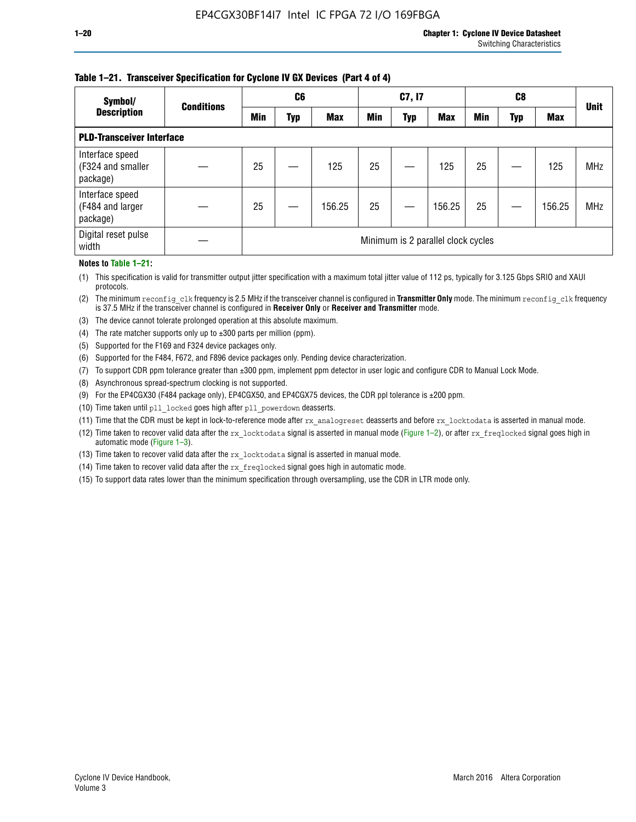#### **Table 1–21. Transceiver Specification for Cyclone IV GX Devices (Part 4 of 4)**

| Symbol/                                          | <b>Conditions</b> | C <sub>6</sub>                     |     | C7, I7     |            |            |            |            | <b>Unit</b> |            |            |
|--------------------------------------------------|-------------------|------------------------------------|-----|------------|------------|------------|------------|------------|-------------|------------|------------|
| <b>Description</b>                               |                   | Min                                | Typ | <b>Max</b> | <b>Min</b> | <b>Typ</b> | <b>Max</b> | <b>Min</b> | Typ         | <b>Max</b> |            |
| <b>PLD-Transceiver Interface</b>                 |                   |                                    |     |            |            |            |            |            |             |            |            |
| Interface speed<br>(F324 and smaller<br>package) |                   | 25                                 |     | 125        | 25         |            | 125        | 25         |             | 125        | <b>MHz</b> |
| Interface speed<br>(F484 and larger<br>package)  |                   | 25                                 |     | 156.25     | 25         |            | 156.25     | 25         |             | 156.25     | <b>MHz</b> |
| Digital reset pulse<br>width                     |                   | Minimum is 2 parallel clock cycles |     |            |            |            |            |            |             |            |            |

#### **Notes to Table 1–21:**

(1) This specification is valid for transmitter output jitter specification with a maximum total jitter value of 112 ps, typically for 3.125 Gbps SRIO and XAUI protocols.

(2) The minimum reconfig\_clk frequency is 2.5 MHz if the transceiver channel is configured in **Transmitter Only** mode. The minimum reconfig\_clk frequency is 37.5 MHz if the transceiver channel is configured in **Receiver Only** or **Receiver and Transmitter** mode.

(3) The device cannot tolerate prolonged operation at this absolute maximum.

- (4) The rate matcher supports only up to  $\pm 300$  parts per million (ppm).
- (5) Supported for the F169 and F324 device packages only.
- (6) Supported for the F484, F672, and F896 device packages only. Pending device characterization.
- (7) To support CDR ppm tolerance greater than ±300 ppm, implement ppm detector in user logic and configure CDR to Manual Lock Mode.
- (8) Asynchronous spread-spectrum clocking is not supported.
- (9) For the EP4CGX30 (F484 package only), EP4CGX50, and EP4CGX75 devices, the CDR ppl tolerance is ±200 ppm.
- (10) Time taken until pll\_locked goes high after pll\_powerdown deasserts.
- (11) Time that the CDR must be kept in lock-to-reference mode after rx analogreset deasserts and before rx locktodata is asserted in manual mode.

(12) Time taken to recover valid data after the rx locktodata signal is asserted in manual mode (Figure 1–2), or after rx freqlocked signal goes high in automatic mode (Figure 1–3).

(13) Time taken to recover valid data after the rx locktodata signal is asserted in manual mode.

- (14) Time taken to recover valid data after the rx\_freqlocked signal goes high in automatic mode.
- (15) To support data rates lower than the minimum specification through oversampling, use the CDR in LTR mode only.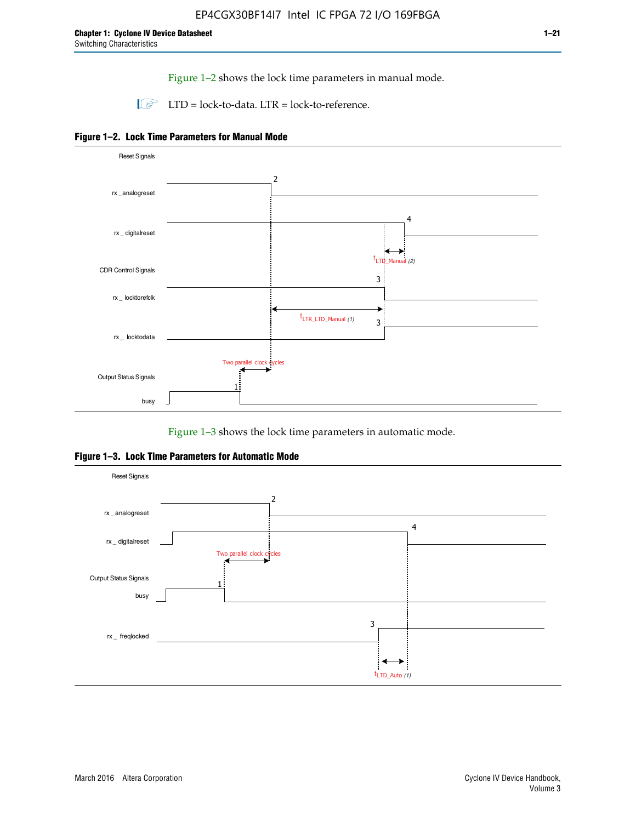Figure 1–2 shows the lock time parameters in manual mode.

 $\Box$  LTD = lock-to-data. LTR = lock-to-reference.





Figure 1–3 shows the lock time parameters in automatic mode.

**Figure 1–3. Lock Time Parameters for Automatic Mode**

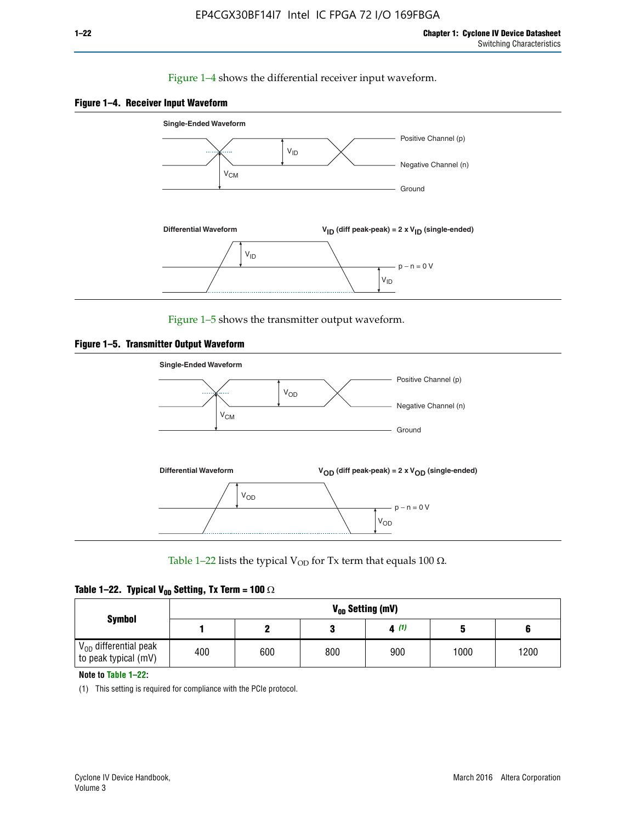#### Figure 1–4 shows the differential receiver input waveform.





Figure 1–5 shows the transmitter output waveform.





Table 1–22 lists the typical V<sub>OD</sub> for Tx term that equals 100  $\Omega$ .

|  |  | Table 1–22. Typical V <sub>0D</sub> Setting, Tx Term = 100 $\Omega$ |  |  |
|--|--|---------------------------------------------------------------------|--|--|
|--|--|---------------------------------------------------------------------|--|--|

| <b>Symbol</b><br>$\rm V_{OD}$ differential peak |     | V <sub>op</sub> Setting (mV) |     |      |      |      |  |  |  |  |  |  |  |
|-------------------------------------------------|-----|------------------------------|-----|------|------|------|--|--|--|--|--|--|--|
|                                                 |     |                              |     | 4(1) |      |      |  |  |  |  |  |  |  |
| to peak typical (mV)                            | 400 | 600                          | 800 | 900  | 1000 | 1200 |  |  |  |  |  |  |  |

**Note to Table 1–22:**

(1) This setting is required for compliance with the PCIe protocol.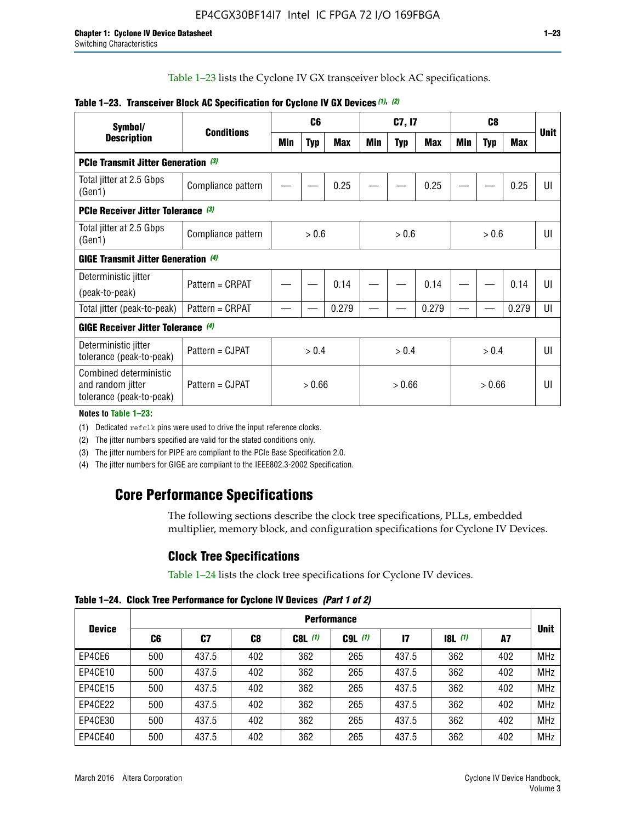Table 1–23 lists the Cyclone IV GX transceiver block AC specifications.

| Symbol/                                                                 |                    |       | C <sub>6</sub> |            | C7, I7 |            |       |       |            |            |             |  |
|-------------------------------------------------------------------------|--------------------|-------|----------------|------------|--------|------------|-------|-------|------------|------------|-------------|--|
| <b>Description</b>                                                      | <b>Conditions</b>  | Min   | <b>Typ</b>     | <b>Max</b> | Min    | <b>Typ</b> | Max   | Min   | <b>Typ</b> | <b>Max</b> | <b>Unit</b> |  |
| <b>PCIe Transmit Jitter Generation</b> (3)                              |                    |       |                |            |        |            |       |       |            |            |             |  |
| Total jitter at 2.5 Gbps<br>(Gen1)                                      | Compliance pattern |       |                | 0.25       |        |            | 0.25  |       |            | 0.25       | UI          |  |
| <b>PCIe Receiver Jitter Tolerance</b> (3)                               |                    |       |                |            |        |            |       |       |            |            |             |  |
| Total jitter at 2.5 Gbps<br>(Gen1)                                      | Compliance pattern | > 0.6 |                |            | > 0.6  |            |       |       | > 0.6      | UI         |             |  |
| GIGE Transmit Jitter Generation (4)                                     |                    |       |                |            |        |            |       |       |            |            |             |  |
| Deterministic jitter                                                    | Pattern = CRPAT    |       |                | 0.14       |        |            | 0.14  |       |            | 0.14       | UI          |  |
| (peak-to-peak)                                                          |                    |       |                |            |        |            |       |       |            |            |             |  |
| Total jitter (peak-to-peak)                                             | Pattern = CRPAT    |       |                | 0.279      |        |            | 0.279 |       |            | 0.279      | UI          |  |
| <b>GIGE Receiver Jitter Tolerance (4)</b>                               |                    |       |                |            |        |            |       |       |            |            |             |  |
| Deterministic jitter<br>tolerance (peak-to-peak)                        | Pattern = CJPAT    |       | > 0.4          |            | > 0.4  |            |       | > 0.4 |            |            | U           |  |
| Combined deterministic<br>and random jitter<br>tolerance (peak-to-peak) | Pattern = CJPAT    |       | > 0.66         |            |        | > 0.66     |       |       | > 0.66     |            | UI          |  |

#### **Table 1–23. Transceiver Block AC Specification for Cyclone IV GX Devices** *(1)***,** *(2)*

**Notes to Table 1–23:**

(1) Dedicated refclk pins were used to drive the input reference clocks.

(2) The jitter numbers specified are valid for the stated conditions only.

(3) The jitter numbers for PIPE are compliant to the PCIe Base Specification 2.0.

(4) The jitter numbers for GIGE are compliant to the IEEE802.3-2002 Specification.

# **Core Performance Specifications**

The following sections describe the clock tree specifications, PLLs, embedded multiplier, memory block, and configuration specifications for Cyclone IV Devices.

### **Clock Tree Specifications**

Table 1–24 lists the clock tree specifications for Cyclone IV devices.

**Table 1–24. Clock Tree Performance for Cyclone IV Devices** *(Part 1 of 2)*

|               |     | <b>Performance</b> |     |           |             |               |                  |     |             |  |  |  |  |  |  |  |
|---------------|-----|--------------------|-----|-----------|-------------|---------------|------------------|-----|-------------|--|--|--|--|--|--|--|
| <b>Device</b> | C6  | C7                 | C8  | $C8L$ (1) | $C9L$ $(1)$ | $\mathsf{I}7$ | <b>18L</b> $(1)$ | A7  | <b>Unit</b> |  |  |  |  |  |  |  |
| EP4CE6        | 500 | 437.5              | 402 | 362       | 265         | 437.5         | 362              | 402 | <b>MHz</b>  |  |  |  |  |  |  |  |
| EP4CE10       | 500 | 437.5              | 402 | 362       | 265         | 437.5         | 362              | 402 | <b>MHz</b>  |  |  |  |  |  |  |  |
| EP4CE15       | 500 | 437.5              | 402 | 362       | 265         | 437.5         | 362              | 402 | <b>MHz</b>  |  |  |  |  |  |  |  |
| EP4CE22       | 500 | 437.5              | 402 | 362       | 265         | 437.5         | 362              | 402 | <b>MHz</b>  |  |  |  |  |  |  |  |
| EP4CE30       | 500 | 437.5              | 402 | 362       | 265         | 437.5         | 362              | 402 | <b>MHz</b>  |  |  |  |  |  |  |  |
| EP4CE40       | 500 | 437.5              | 402 | 362       | 265         | 437.5         | 362              | 402 | <b>MHz</b>  |  |  |  |  |  |  |  |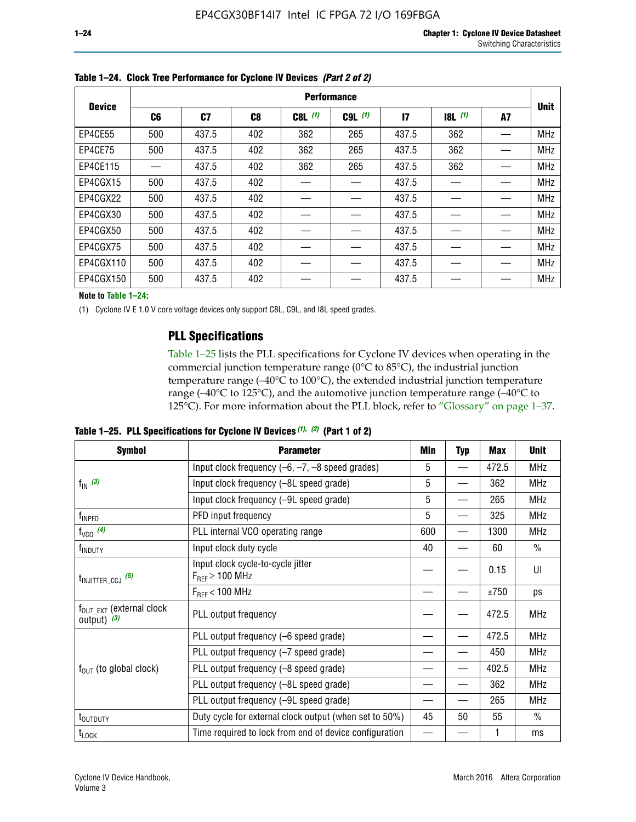|               |                |       |     |             | <b>Performance</b> |                 |       |    |             |
|---------------|----------------|-------|-----|-------------|--------------------|-----------------|-------|----|-------------|
| <b>Device</b> | C <sub>6</sub> | C7    | C8  | $C8L$ $(1)$ | $C9L$ $(1)$        | $\overline{17}$ | 8L(1) | A7 | <b>Unit</b> |
| EP4CE55       | 500            | 437.5 | 402 | 362         | 265                | 437.5           | 362   |    | <b>MHz</b>  |
| EP4CE75       | 500            | 437.5 | 402 | 362         | 265                | 437.5           | 362   |    | <b>MHz</b>  |
| EP4CE115      |                | 437.5 | 402 | 362         | 265                | 437.5           | 362   |    | <b>MHz</b>  |
| EP4CGX15      | 500            | 437.5 | 402 |             |                    | 437.5           |       |    | <b>MHz</b>  |
| EP4CGX22      | 500            | 437.5 | 402 |             |                    | 437.5           |       |    | <b>MHz</b>  |
| EP4CGX30      | 500            | 437.5 | 402 |             |                    | 437.5           |       |    | <b>MHz</b>  |
| EP4CGX50      | 500            | 437.5 | 402 |             |                    | 437.5           |       |    | <b>MHz</b>  |
| EP4CGX75      | 500            | 437.5 | 402 |             |                    | 437.5           |       |    | <b>MHz</b>  |
| EP4CGX110     | 500            | 437.5 | 402 |             |                    | 437.5           |       |    | <b>MHz</b>  |
| EP4CGX150     | 500            | 437.5 | 402 |             |                    | 437.5           |       |    | <b>MHz</b>  |

**Table 1–24. Clock Tree Performance for Cyclone IV Devices** *(Part 2 of 2)*

**Note to Table 1–24:**

(1) Cyclone IV E 1.0 V core voltage devices only support C8L, C9L, and I8L speed grades.

# **PLL Specifications**

Table 1–25 lists the PLL specifications for Cyclone IV devices when operating in the commercial junction temperature range (0°C to 85°C), the industrial junction temperature range (–40°C to 100°C), the extended industrial junction temperature range (–40°C to 125°C), and the automotive junction temperature range (–40°C to 125°C). For more information about the PLL block, refer to "Glossary" on page 1–37.

|  |  | Table 1–25. PLL Specifications for Cyclone IV Devices $(1)$ , $(2)$ (Part 1 of 2) |  |
|--|--|-----------------------------------------------------------------------------------|--|
|--|--|-----------------------------------------------------------------------------------|--|

| <b>Symbol</b>                                          | <b>Parameter</b>                                            | Min | <b>Typ</b> | Max   | <b>Unit</b>   |
|--------------------------------------------------------|-------------------------------------------------------------|-----|------------|-------|---------------|
|                                                        | Input clock frequency $(-6, -7, -8)$ speed grades)          | 5   |            | 472.5 | <b>MHz</b>    |
| $f_{\text{IN}}$ (3)                                    | Input clock frequency (-8L speed grade)                     | 5   |            | 362   | <b>MHz</b>    |
|                                                        | Input clock frequency (-9L speed grade)                     | 5   |            | 265   | <b>MHz</b>    |
| f <sub>INPFD</sub>                                     | PFD input frequency                                         | 5   |            | 325   | <b>MHz</b>    |
| $f_{VCO}$ (4)                                          | PLL internal VCO operating range                            | 600 |            | 1300  | <b>MHz</b>    |
| f <sub>INDUTY</sub>                                    | Input clock duty cycle                                      | 40  |            | 60    | $\frac{0}{0}$ |
| $t_{\text{INJITTER\_CCJ}}$ (5)                         | Input clock cycle-to-cycle jitter<br>$F_{REF} \geq 100$ MHz |     |            | 0.15  | UI            |
|                                                        | $F_{RFF}$ < 100 MHz                                         |     |            | ±750  | ps            |
| $f_{\text{OUT\_EXT}}$ (external clock<br>output) $(3)$ | PLL output frequency                                        |     |            | 472.5 | <b>MHz</b>    |
|                                                        | PLL output frequency (-6 speed grade)                       |     |            | 472.5 | <b>MHz</b>    |
|                                                        | PLL output frequency (-7 speed grade)                       |     |            | 450   | <b>MHz</b>    |
| $f_{OUT}$ (to global clock)                            | PLL output frequency (-8 speed grade)                       |     |            | 402.5 | <b>MHz</b>    |
|                                                        | PLL output frequency (-8L speed grade)                      |     |            | 362   | <b>MHz</b>    |
|                                                        | PLL output frequency (-9L speed grade)                      |     |            | 265   | <b>MHz</b>    |
| t <sub>outputy</sub>                                   | Duty cycle for external clock output (when set to 50%)      | 45  | 50         | 55    | $\frac{0}{0}$ |
| $t_{\textrm{LOCK}}$                                    | Time required to lock from end of device configuration      |     |            | 1     | ms            |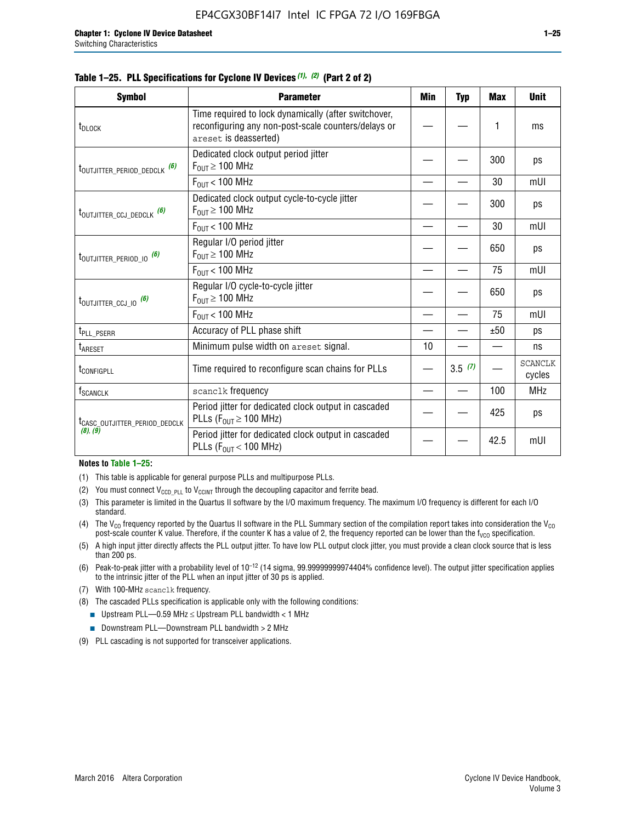| <b>Symbol</b>                               | <b>Parameter</b>                                                                                                                     | Min | <b>Typ</b> | Max  | <b>Unit</b>              |
|---------------------------------------------|--------------------------------------------------------------------------------------------------------------------------------------|-----|------------|------|--------------------------|
| t <sub>DLOCK</sub>                          | Time required to lock dynamically (after switchover,<br>reconfiguring any non-post-scale counters/delays or<br>areset is deasserted) |     |            | 1    | ms                       |
| t <sub>outjitter_period_dedclk</sub> (6)    | Dedicated clock output period jitter<br>$F_{OUT} \geq 100$ MHz                                                                       |     |            | 300  | ps                       |
|                                             | $F_{OUT}$ < 100 MHz                                                                                                                  |     |            | 30   | mUI                      |
| t <sub>outjitter_ccj_dedclk</sub> (6)       | Dedicated clock output cycle-to-cycle jitter<br>$F_{OUT} \ge 100$ MHz                                                                |     |            | 300  | ps                       |
|                                             | $F_{OUT}$ < 100 MHz                                                                                                                  |     |            | 30   | mUI                      |
| $t_{\text{OUTJITTER}_P \text{ERIOD}_0}$ (6) | Regular I/O period jitter<br>$F_{OUT} \geq 100$ MHz                                                                                  |     |            | 650  | ps                       |
|                                             | $F_{OUT}$ < 100 MHz                                                                                                                  |     |            | 75   | mUI                      |
| $t_{\text{OUTJITTER\_CCJ\_IO}}$ (6)         | Regular I/O cycle-to-cycle jitter<br>$F_{OUT} \geq 100$ MHz                                                                          |     |            | 650  | ps                       |
|                                             | $F_{OIII}$ < 100 MHz                                                                                                                 |     |            | 75   | mUI                      |
| t <sub>PLL_PSERR</sub>                      | Accuracy of PLL phase shift                                                                                                          |     |            | ±50  | ps                       |
| t <sub>ARESET</sub>                         | Minimum pulse width on areset signal.                                                                                                | 10  |            |      | ns                       |
| t <sub>configpll</sub>                      | Time required to reconfigure scan chains for PLLs                                                                                    |     | 3.5(7)     |      | <b>SCANCLK</b><br>cycles |
| <b>f</b> <sub>SCANCLK</sub>                 | scanclk frequency                                                                                                                    |     |            | 100  | <b>MHz</b>               |
| t <sub>CASC_OUTJITTER_PERIOD_DEDCLK</sub>   | Period jitter for dedicated clock output in cascaded<br>PLLs ( $F_{OUT} \ge 100$ MHz)                                                |     |            | 425  | ps                       |
| (8), (9)                                    | Period jitter for dedicated clock output in cascaded<br>PLLs ( $F_{OUT}$ < 100 MHz)                                                  |     |            | 42.5 | mUI                      |

#### **Table 1–25. PLL Specifications for Cyclone IV Devices** *(1), (2)* **(Part 2 of 2)**

#### **Notes to Table 1–25:**

- (1) This table is applicable for general purpose PLLs and multipurpose PLLs.
- (2) You must connect  $V_{CCD-PLL}$  to  $V_{CCINT}$  through the decoupling capacitor and ferrite bead.
- (3) This parameter is limited in the Quartus II software by the I/O maximum frequency. The maximum I/O frequency is different for each I/O standard.
- (4) The  $V_{CO}$  frequency reported by the Quartus II software in the PLL Summary section of the compilation report takes into consideration the  $V_{CO}$ post-scale counter K value. Therefore, if the counter K has a value of 2, the frequency reported can be lower than the f<sub>VCO</sub> specification.
- (5) A high input jitter directly affects the PLL output jitter. To have low PLL output clock jitter, you must provide a clean clock source that is less than 200 ps.
- (6) Peak-to-peak jitter with a probability level of 10–12 (14 sigma, 99.99999999974404% confidence level). The output jitter specification applies to the intrinsic jitter of the PLL when an input jitter of 30 ps is applied.
- (7) With 100-MHz scanclk frequency.
- (8) The cascaded PLLs specification is applicable only with the following conditions:
	- **■** Upstream PLL—0.59 MHz  $\leq$  Upstream PLL bandwidth  $<$  1 MHz
	- Downstream PLL—Downstream PLL bandwidth > 2 MHz
- (9) PLL cascading is not supported for transceiver applications.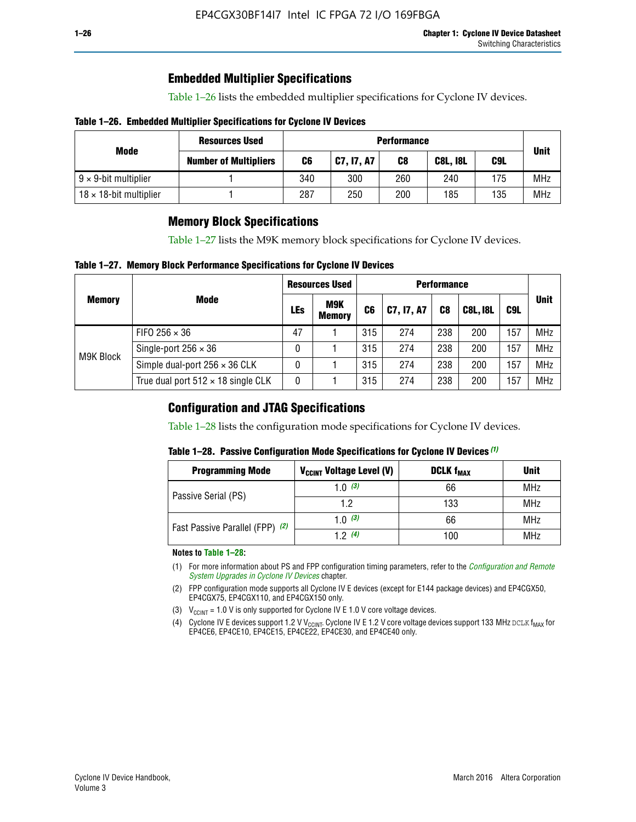# **Embedded Multiplier Specifications**

Table 1–26 lists the embedded multiplier specifications for Cyclone IV devices.

#### **Table 1–26. Embedded Multiplier Specifications for Cyclone IV Devices**

|                                | <b>Resources Used</b>        |     | <b>Performance</b> |     |                 |     |             |  |  |  |  |  |
|--------------------------------|------------------------------|-----|--------------------|-----|-----------------|-----|-------------|--|--|--|--|--|
| Mode                           | <b>Number of Multipliers</b> | C6  | C7, I7, A7         | C8  | <b>C8L, I8L</b> | C9L | <b>Unit</b> |  |  |  |  |  |
| $9 \times 9$ -bit multiplier   |                              | 340 | 300                | 260 | 240             | 175 | <b>MHz</b>  |  |  |  |  |  |
| $18 \times 18$ -bit multiplier |                              | 287 | 250                | 200 | 185             | 135 | <b>MHz</b>  |  |  |  |  |  |

# **Memory Block Specifications**

Table 1–27 lists the M9K memory block specifications for Cyclone IV devices.

#### **Table 1–27. Memory Block Performance Specifications for Cyclone IV Devices**

|               |                                           |     | <b>Resources Used</b>       |                | <b>Performance</b> |                |                 |     |             |  |  |
|---------------|-------------------------------------------|-----|-----------------------------|----------------|--------------------|----------------|-----------------|-----|-------------|--|--|
| <b>Memory</b> | <b>Mode</b>                               | LEs | <b>M9K</b><br><b>Memory</b> | C <sub>6</sub> | C7, I7, A7         | C <sub>8</sub> | <b>C8L, I8L</b> | C9L | <b>Unit</b> |  |  |
|               | FIFO 256 $\times$ 36                      | 47  |                             | 315            | 274                | 238            | 200             | 157 | <b>MHz</b>  |  |  |
| M9K Block     | Single-port $256 \times 36$               | 0   |                             | 315            | 274                | 238            | 200             | 157 | <b>MHz</b>  |  |  |
|               | Simple dual-port $256 \times 36$ CLK      | 0   |                             | 315            | 274                | 238            | 200             | 157 | <b>MHz</b>  |  |  |
|               | True dual port $512 \times 18$ single CLK | 0   |                             | 315            | 274                | 238            | 200             | 157 | <b>MHz</b>  |  |  |

### **Configuration and JTAG Specifications**

Table 1–28 lists the configuration mode specifications for Cyclone IV devices.

#### **Table 1–28. Passive Configuration Mode Specifications for Cyclone IV Devices** *(1)*

| <b>Programming Mode</b>         | V <sub>CCINT</sub> Voltage Level (V) | <b>DCLK f<sub>MAX</sub></b> | <b>Unit</b> |
|---------------------------------|--------------------------------------|-----------------------------|-------------|
| Passive Serial (PS)             | 1.0 $(3)$                            | 66                          | MHz         |
|                                 | 1.2                                  | 133                         | MHz         |
| Fast Passive Parallel (FPP) (2) | 1.0 $(3)$                            | 66                          | <b>MHz</b>  |
|                                 | 12(4)                                | 100                         | <b>MHz</b>  |

#### **Notes to Table 1–28:**

- (1) For more information about PS and FPP configuration timing parameters, refer to the *[Configuration and Remote](http://www.altera.com/literature/hb/cyclone-iv/cyiv-51008.pdf)  [System Upgrades in Cyclone IV Devices](http://www.altera.com/literature/hb/cyclone-iv/cyiv-51008.pdf)* chapter.
- (2) FPP configuration mode supports all Cyclone IV E devices (except for E144 package devices) and EP4CGX50, EP4CGX75, EP4CGX110, and EP4CGX150 only.
- (3)  $V_{CCMT}$  = 1.0 V is only supported for Cyclone IV E 1.0 V core voltage devices.
- (4) Cyclone IV E devices support 1.2 V V<sub>CCINT</sub>. Cyclone IV E 1.2 V core voltage devices support 133 MHz DCLK f<sub>MAX</sub> for EP4CE6, EP4CE10, EP4CE15, EP4CE22, EP4CE30, and EP4CE40 only.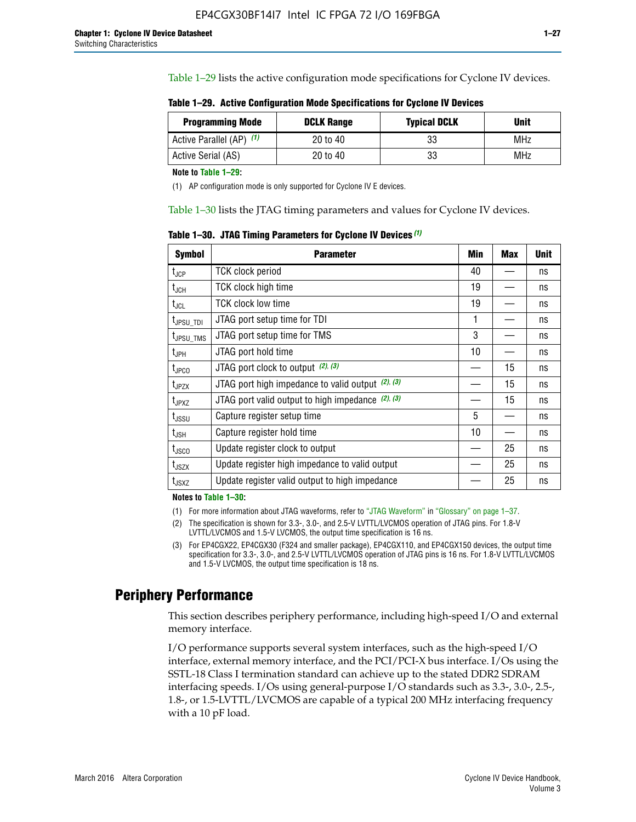Table 1–29 lists the active configuration mode specifications for Cyclone IV devices.

**Table 1–29. Active Configuration Mode Specifications for Cyclone IV Devices**

| <b>Programming Mode</b>  | <b>DCLK Range</b> | <b>Typical DCLK</b> | <b>Unit</b> |
|--------------------------|-------------------|---------------------|-------------|
| Active Parallel (AP) (1) | 20 to 40          | 33                  | MHz         |
| Active Serial (AS)       | 20 to 40          | 33                  | MHz         |

**Note to Table 1–29:**

(1) AP configuration mode is only supported for Cyclone IV E devices.

Table 1–30 lists the JTAG timing parameters and values for Cyclone IV devices.

**Table 1–30. JTAG Timing Parameters for Cyclone IV Devices** *(1)*

| <b>Symbol</b>         | <b>Parameter</b>                                       | Min | <b>Max</b> | <b>Unit</b> |
|-----------------------|--------------------------------------------------------|-----|------------|-------------|
| $t_{JCP}$             | <b>TCK clock period</b>                                | 40  |            | ns          |
| $t_{\rm JCH}$         | TCK clock high time                                    | 19  |            | ns          |
| $t_{JCL}$             | TCK clock low time                                     | 19  |            | ns          |
| t <sub>JPSU_TDI</sub> | JTAG port setup time for TDI                           | 1   |            | ns          |
| t <sub>JPSU_TMS</sub> | JTAG port setup time for TMS                           | 3   |            | ns          |
| t <sub>JPH</sub>      | JTAG port hold time                                    | 10  |            | ns          |
| t <sub>JPCO</sub>     | JTAG port clock to output (2), (3)                     |     | 15         | ns          |
| $t_{JPZX}$            | JTAG port high impedance to valid output $(2)$ , $(3)$ |     | 15         | ns          |
| t <sub>JPXZ</sub>     | JTAG port valid output to high impedance $(2)$ , $(3)$ |     | 15         | ns          |
| $t_{\rm JSSU}$        | Capture register setup time                            | 5   |            | ns          |
| $t_{\mathsf{JSH}}$    | Capture register hold time                             | 10  |            | ns          |
| $t_{\rm JSCO}$        | Update register clock to output                        |     | 25         | ns          |
| $t_{\text{JSZX}}$     | Update register high impedance to valid output         |     | 25         | ns          |
| t <sub>JSXZ</sub>     | Update register valid output to high impedance         |     | 25         | ns          |

**Notes to Table 1–30:**

(1) For more information about JTAG waveforms, refer to "JTAG Waveform" in "Glossary" on page 1–37.

(2) The specification is shown for 3.3-, 3.0-, and 2.5-V LVTTL/LVCMOS operation of JTAG pins. For 1.8-V LVTTL/LVCMOS and 1.5-V LVCMOS, the output time specification is 16 ns.

(3) For EP4CGX22, EP4CGX30 (F324 and smaller package), EP4CGX110, and EP4CGX150 devices, the output time specification for 3.3-, 3.0-, and 2.5-V LVTTL/LVCMOS operation of JTAG pins is 16 ns. For 1.8-V LVTTL/LVCMOS and 1.5-V LVCMOS, the output time specification is 18 ns.

# **Periphery Performance**

This section describes periphery performance, including high-speed I/O and external memory interface.

I/O performance supports several system interfaces, such as the high-speed I/O interface, external memory interface, and the PCI/PCI-X bus interface. I/Os using the SSTL-18 Class I termination standard can achieve up to the stated DDR2 SDRAM interfacing speeds. I/Os using general-purpose I/O standards such as 3.3-, 3.0-, 2.5-, 1.8-, or 1.5-LVTTL/LVCMOS are capable of a typical 200 MHz interfacing frequency with a 10 pF load.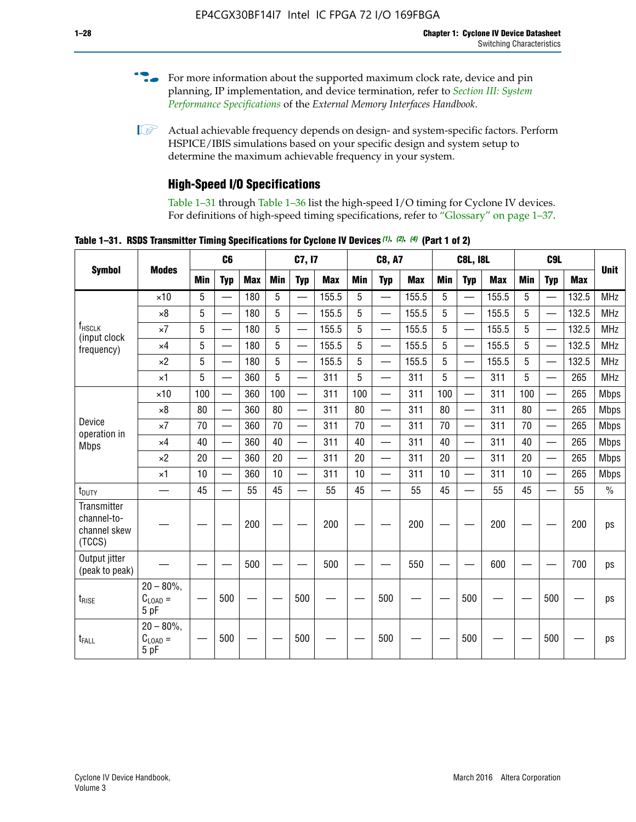- For more information about the supported maximum clock rate, device and pin planning, IP implementation, and device termination, refer to *[Section III: System](http://www.altera.com/literature/hb/external-memory/emi_intro_specs.pdf)  [Performance Specifications](http://www.altera.com/literature/hb/external-memory/emi_intro_specs.pdf)* of the *External Memory Interfaces Handbook*.
- **1 Actual achievable frequency depends on design- and system-specific factors. Perform** HSPICE/IBIS simulations based on your specific design and system setup to determine the maximum achievable frequency in your system.

# **High-Speed I/O Specifications**

Table 1–31 through Table 1–36 list the high-speed I/O timing for Cyclone IV devices. For definitions of high-speed timing specifications, refer to "Glossary" on page 1–37.

**Table 1–31. RSDS Transmitter Timing Specifications for Cyclone IV Devices** *(1)***,** *(2)***,** *(4)* **(Part 1 of 2)**

|                                                      |                                     |            | C <sub>6</sub>           |            |            | C7, I7                   |            |            | <b>C8, A7</b>            |            |            | <b>C8L, I8L</b>          |            |     |                          |            |             |
|------------------------------------------------------|-------------------------------------|------------|--------------------------|------------|------------|--------------------------|------------|------------|--------------------------|------------|------------|--------------------------|------------|-----|--------------------------|------------|-------------|
| <b>Symbol</b>                                        | <b>Modes</b>                        | <b>Min</b> | <b>Typ</b>               | <b>Max</b> | <b>Min</b> | <b>Typ</b>               | <b>Max</b> | <b>Min</b> | <b>Typ</b>               | <b>Max</b> | <b>Min</b> | <b>Typ</b>               | <b>Max</b> | Min | <b>Typ</b>               | <b>Max</b> | <b>Unit</b> |
|                                                      | $\times$ 10                         | 5          |                          | 180        | 5          | $\overline{\phantom{0}}$ | 155.5      | 5          | $\overline{\phantom{0}}$ | 155.5      | 5          | $\overline{\phantom{0}}$ | 155.5      | 5   |                          | 132.5      | <b>MHz</b>  |
|                                                      | $\times 8$                          | 5          |                          | 180        | 5          |                          | 155.5      | 5          | $\overline{\phantom{0}}$ | 155.5      | 5          |                          | 155.5      | 5   |                          | 132.5      | <b>MHz</b>  |
| f <sub>HSCLK</sub><br>(input clock                   | $\times 7$                          | 5          |                          | 180        | 5          |                          | 155.5      | 5          | $\overline{\phantom{0}}$ | 155.5      | 5          |                          | 155.5      | 5   |                          | 132.5      | <b>MHz</b>  |
| frequency)                                           | $\times$ 4                          | 5          | $\overline{\phantom{0}}$ | 180        | 5          |                          | 155.5      | 5          | $\overline{\phantom{0}}$ | 155.5      | 5          |                          | 155.5      | 5   |                          | 132.5      | <b>MHz</b>  |
|                                                      | $\times 2$                          | 5          | $\overline{\phantom{m}}$ | 180        | 5          | —                        | 155.5      | 5          | $\overline{\phantom{0}}$ | 155.5      | 5          | —                        | 155.5      | 5   | —                        | 132.5      | <b>MHz</b>  |
|                                                      | $\times$ 1                          | 5          |                          | 360        | 5          | $\overline{\phantom{0}}$ | 311        | 5          | $\qquad \qquad$          | 311        | 5          | —                        | 311        | 5   | —                        | 265        | <b>MHz</b>  |
|                                                      | $\times$ 10                         | 100        | $\overline{\phantom{0}}$ | 360        | 100        |                          | 311        | 100        | $\overline{\phantom{0}}$ | 311        | 100        | $\overline{\phantom{0}}$ | 311        | 100 |                          | 265        | <b>Mbps</b> |
|                                                      | $\times 8$                          | 80         | $\overline{\phantom{0}}$ | 360        | 80         |                          | 311        | 80         | $\overline{\phantom{0}}$ | 311        | 80         | $\overline{\phantom{0}}$ | 311        | 80  |                          | 265        | <b>Mbps</b> |
| Device<br>operation in                               | $\times 7$                          | 70         |                          | 360        | 70         | $\equiv$                 | 311        | 70         | $\overline{\phantom{0}}$ | 311        | 70         | $\overline{\phantom{0}}$ | 311        | 70  | $\equiv$                 | 265        | <b>Mbps</b> |
| <b>Mbps</b>                                          | $\times$ 4                          | 40         |                          | 360        | 40         |                          | 311        | 40         | $\overline{\phantom{0}}$ | 311        | 40         | $\overline{\phantom{0}}$ | 311        | 40  | $\overline{\phantom{0}}$ | 265        | <b>Mbps</b> |
|                                                      | $\times 2$                          | 20         |                          | 360        | 20         |                          | 311        | 20         |                          | 311        | 20         |                          | 311        | 20  | $\overline{\phantom{0}}$ | 265        | <b>Mbps</b> |
|                                                      | $\times$ 1                          | 10         |                          | 360        | 10         |                          | 311        | 10         | $\overline{\phantom{0}}$ | 311        | 10         | $\overline{\phantom{0}}$ | 311        | 10  | $\overline{\phantom{0}}$ | 265        | <b>Mbps</b> |
| $t_{\text{DUTY}}$                                    | $\overline{\phantom{0}}$            | 45         | $\overline{\phantom{0}}$ | 55         | 45         |                          | 55         | 45         | $\overline{\phantom{0}}$ | 55         | 45         |                          | 55         | 45  |                          | 55         | $\%$        |
| Transmitter<br>channel-to-<br>channel skew<br>(TCCS) |                                     |            |                          | 200        |            |                          | 200        |            |                          | 200        |            |                          | 200        |     |                          | 200        | ps          |
| Output jitter<br>(peak to peak)                      |                                     |            |                          | 500        |            |                          | 500        |            |                          | 550        |            |                          | 600        |     |                          | 700        | ps          |
| $t_{\text{RISE}}$                                    | $20 - 80\%$<br>$C_{LOAD} =$<br>5 pF |            | 500                      |            |            | 500                      |            |            | 500                      |            |            | 500                      |            |     | 500                      |            | ps          |
| t <sub>FALL</sub>                                    | $20 - 80\%$<br>$C_{LOAD}$ =<br>5 pF |            | 500                      |            |            | 500                      |            |            | 500                      |            |            | 500                      |            |     | 500                      |            | ps          |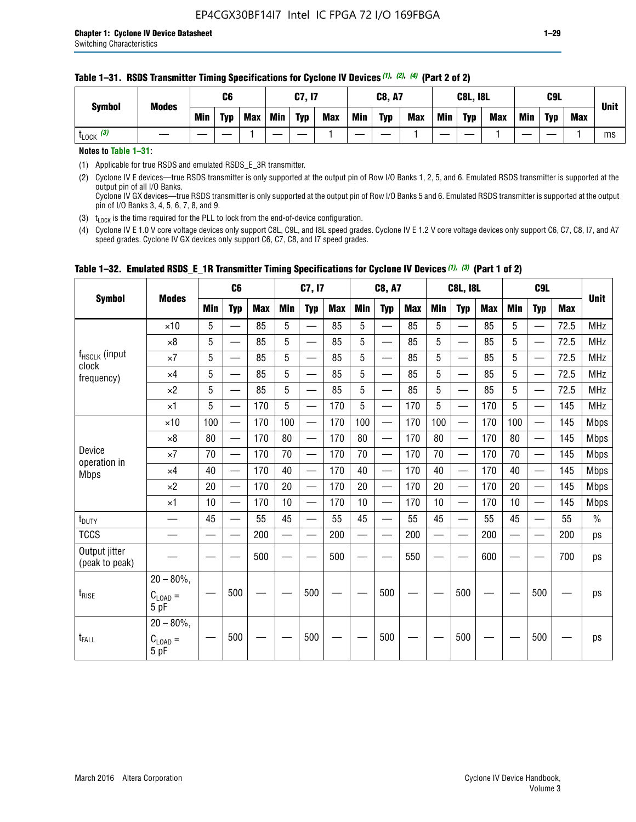| <b>Symbol</b><br><b>Modes</b> |     | C6         |     |     | C7, I7     |            |     | <b>C8, A7</b> |            |     | <b>C8L, I8L</b> |            |            | C <sub>9</sub> L |            |  | <b>Unit</b> |
|-------------------------------|-----|------------|-----|-----|------------|------------|-----|---------------|------------|-----|-----------------|------------|------------|------------------|------------|--|-------------|
|                               | Min | <b>Typ</b> | Max | Min | <b>Typ</b> | <b>Max</b> | Min | <b>Typ</b>    | <b>Max</b> | Min | <b>Typ</b>      | <b>Max</b> | <b>Min</b> | <b>Typ</b>       | <b>Max</b> |  |             |
| $t_{\text{LOCK}}$ (3)         |     |            |     |     |            |            |     |               |            |     |                 |            |            |                  |            |  | ms          |

#### **Table 1–31. RSDS Transmitter Timing Specifications for Cyclone IV Devices** *(1)***,** *(2)***,** *(4)* **(Part 2 of 2)**

**Notes to Table 1–31:**

(1) Applicable for true RSDS and emulated RSDS\_E\_3R transmitter.

(2) Cyclone IV E devices—true RSDS transmitter is only supported at the output pin of Row I/O Banks 1, 2, 5, and 6. Emulated RSDS transmitter is supported at the output pin of all I/O Banks. Cyclone IV GX devices—true RSDS transmitter is only supported at the output pin of Row I/O Banks 5 and 6. Emulated RSDS transmitter is supported at the output

pin of I/O Banks 3, 4, 5, 6, 7, 8, and 9.

(3)  $t_{\text{LOCK}}$  is the time required for the PLL to lock from the end-of-device configuration.

(4) Cyclone IV E 1.0 V core voltage devices only support C8L, C9L, and I8L speed grades. Cyclone IV E 1.2 V core voltage devices only support C6, C7, C8, I7, and A7 speed grades. Cyclone IV GX devices only support C6, C7, C8, and I7 speed grades.

|                                 |                                     |     | C6                       |            |            | C7, I7                   |            |            | <b>C8, A7</b>            |     |            | <b>C8L, I8L</b>          |            |     | C <sub>9</sub> L                          |      |               |
|---------------------------------|-------------------------------------|-----|--------------------------|------------|------------|--------------------------|------------|------------|--------------------------|-----|------------|--------------------------|------------|-----|-------------------------------------------|------|---------------|
| <b>Symbol</b>                   | <b>Modes</b>                        | Min | <b>Typ</b>               | <b>Max</b> | <b>Min</b> | <b>Typ</b>               | <b>Max</b> | <b>Min</b> | <b>Typ</b>               | Max | <b>Min</b> | <b>Typ</b>               | <b>Max</b> | Min | <b>Typ</b>                                | Max  | <b>Unit</b>   |
|                                 | $\times$ 10                         | 5   | $\overline{\phantom{0}}$ | 85         | 5          | $\overline{\phantom{0}}$ | 85         | 5          | $\equiv$                 | 85  | 5          | $\overline{\phantom{0}}$ | 85         | 5   |                                           | 72.5 | <b>MHz</b>    |
|                                 | $\times 8$                          | 5   | —                        | 85         | 5          | $\overline{\phantom{0}}$ | 85         | 5          | —                        | 85  | 5          | $\overline{\phantom{0}}$ | 85         | 5   |                                           | 72.5 | <b>MHz</b>    |
| f <sub>HSCLK</sub> (input       | $\times 7$                          | 5   | —                        | 85         | 5          | $\overline{\phantom{0}}$ | 85         | 5          | $\overline{\phantom{0}}$ | 85  | 5          | —                        | 85         | 5   |                                           | 72.5 | <b>MHz</b>    |
| clock<br>frequency)             | $\times$ 4                          | 5   | $\equiv$                 | 85         | 5          | $\overline{\phantom{0}}$ | 85         | 5          | $\overline{\phantom{0}}$ | 85  | 5          | $\equiv$                 | 85         | 5   |                                           | 72.5 | <b>MHz</b>    |
|                                 | $\times 2$                          | 5   | $\qquad \qquad$          | 85         | 5          | —                        | 85         | 5          | $\equiv$                 | 85  | 5          | $\overline{\phantom{0}}$ | 85         | 5   | $\qquad \qquad \overline{\qquad \qquad }$ | 72.5 | <b>MHz</b>    |
|                                 | $\times$ 1                          | 5   | $\overline{\phantom{0}}$ | 170        | 5          |                          | 170        | 5          |                          | 170 | 5          | $\overline{\phantom{0}}$ | 170        | 5   |                                           | 145  | <b>MHz</b>    |
|                                 | $\times$ 10                         | 100 |                          | 170        | 100        | $\overline{\phantom{0}}$ | 170        | 100        | $\overline{\phantom{0}}$ | 170 | 100        | $\overline{\phantom{0}}$ | 170        | 100 | $\qquad \qquad$                           | 145  | <b>Mbps</b>   |
|                                 | $\times 8$                          | 80  | $\overline{\phantom{0}}$ | 170        | 80         | $\overline{\phantom{0}}$ | 170        | 80         |                          | 170 | 80         | —                        | 170        | 80  |                                           | 145  | <b>Mbps</b>   |
| Device                          | $\times 7$                          | 70  | $\overline{\phantom{0}}$ | 170        | 70         | $\qquad \qquad$          | 170        | 70         | $\qquad \qquad \qquad$   | 170 | 70         | $\overline{\phantom{0}}$ | 170        | 70  |                                           | 145  | <b>Mbps</b>   |
| operation in<br><b>Mbps</b>     | $\times$ 4                          | 40  |                          | 170        | 40         | $\overline{\phantom{0}}$ | 170        | 40         | $\overline{\phantom{0}}$ | 170 | 40         | $\overline{\phantom{0}}$ | 170        | 40  |                                           | 145  | <b>Mbps</b>   |
|                                 | $\times 2$                          | 20  |                          | 170        | 20         | $\overline{\phantom{0}}$ | 170        | 20         |                          | 170 | 20         | $\overline{\phantom{0}}$ | 170        | 20  |                                           | 145  | <b>Mbps</b>   |
|                                 | $\times$ 1                          | 10  | $\overline{\phantom{0}}$ | 170        | 10         | $\overline{\phantom{0}}$ | 170        | 10         | $\overline{\phantom{0}}$ | 170 | 10         | $\overline{\phantom{0}}$ | 170        | 10  |                                           | 145  | <b>Mbps</b>   |
| t <sub>DUTY</sub>               |                                     | 45  | $\overline{\phantom{0}}$ | 55         | 45         |                          | 55         | 45         |                          | 55  | 45         | $\overline{\phantom{0}}$ | 55         | 45  |                                           | 55   | $\frac{0}{0}$ |
| <b>TCCS</b>                     |                                     |     |                          | 200        |            |                          | 200        | $\sim$     |                          | 200 |            | $\sim$                   | 200        |     |                                           | 200  | ps            |
| Output jitter<br>(peak to peak) |                                     |     |                          | 500        |            |                          | 500        |            |                          | 550 |            |                          | 600        |     |                                           | 700  | ps            |
| $t_{\text{RISE}}$               | $20 - 80\%$<br>$C_{LOAD} =$<br>5 pF |     | 500                      |            |            | 500                      |            |            | 500                      |     |            | 500                      |            |     | 500                                       |      | ps            |
| $t_{FALL}$                      | $20 - 80\%$<br>$C_{LOAD} =$<br>5 pF |     | 500                      |            |            | 500                      |            |            | 500                      |     |            | 500                      |            |     | 500                                       |      | ps            |

### **Table 1–32. Emulated RSDS\_E\_1R Transmitter Timing Specifications for Cyclone IV Devices** *(1), (3)* **(Part 1 of 2)**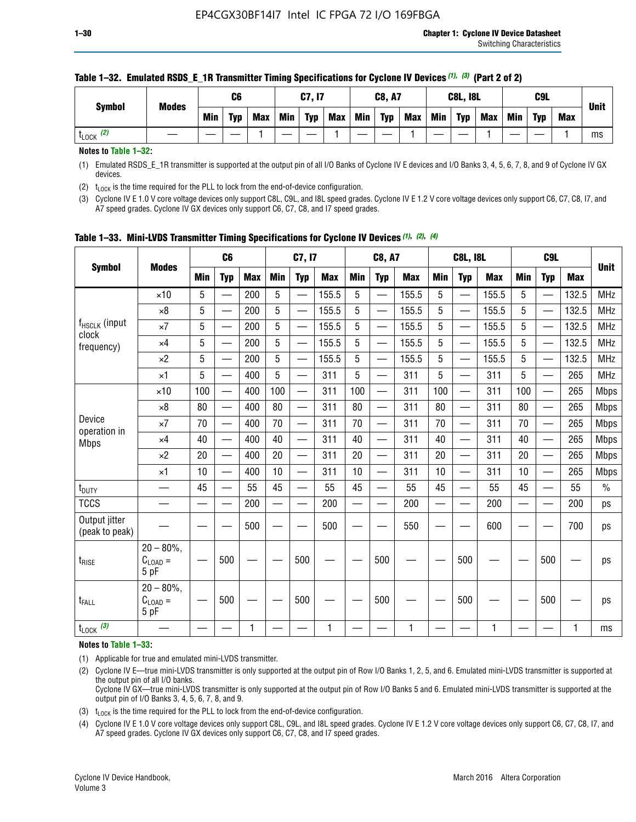| <b>Symbol</b>        | <b>Modes</b> |     | C6         |            |            | C7, I7     |            |            | <b>C8, A7</b> |            |            | <b>C8L, I8L</b> |            |     | C9L        |            |             |
|----------------------|--------------|-----|------------|------------|------------|------------|------------|------------|---------------|------------|------------|-----------------|------------|-----|------------|------------|-------------|
|                      |              | Min | <b>Typ</b> | <b>Max</b> | <b>Min</b> | <b>Typ</b> | <b>Max</b> | <b>Min</b> | <b>Typ</b>    | <b>Max</b> | <b>Min</b> | <b>Typ</b>      | <b>Max</b> | Min | <b>Typ</b> | <b>Max</b> | <b>Unit</b> |
| (2)<br><b>L</b> LOCK |              |     |            |            |            |            |            |            |               |            |            |                 |            |     |            |            | ms          |

#### **Table 1–32. Emulated RSDS\_E\_1R Transmitter Timing Specifications for Cyclone IV Devices** *(1), (3)* **(Part 2 of 2)**

**Notes to Table 1–32:**

(1) Emulated RSDS\_E\_1R transmitter is supported at the output pin of all I/O Banks of Cyclone IV E devices and I/O Banks 3, 4, 5, 6, 7, 8, and 9 of Cyclone IV GX devices.

(2)  $t_{\text{LOCK}}$  is the time required for the PLL to lock from the end-of-device configuration.

(3) Cyclone IV E 1.0 V core voltage devices only support C8L, C9L, and I8L speed grades. Cyclone IV E 1.2 V core voltage devices only support C6, C7, C8, I7, and A7 speed grades. Cyclone IV GX devices only support C6, C7, C8, and I7 speed grades.

| <b>Symbol</b>                      |                                            |            | C <sub>6</sub>                   |            |                          | C7, I7                   |            |            | <b>C8, A7</b>            |              |                          | <b>C8L, I8L</b>          |            |            | C <sub>9</sub> L |            |               |
|------------------------------------|--------------------------------------------|------------|----------------------------------|------------|--------------------------|--------------------------|------------|------------|--------------------------|--------------|--------------------------|--------------------------|------------|------------|------------------|------------|---------------|
|                                    | <b>Modes</b>                               | <b>Min</b> | <b>Typ</b>                       | <b>Max</b> | <b>Min</b>               | <b>Typ</b>               | <b>Max</b> | <b>Min</b> | <b>Typ</b>               | <b>Max</b>   | <b>Min</b>               | <b>Typ</b>               | <b>Max</b> | <b>Min</b> | <b>Typ</b>       | <b>Max</b> | <b>Unit</b>   |
|                                    | $\times$ 10                                | 5          | —<br>—                           | 200        | 5                        | —                        | 155.5      | 5          | ÷,                       | 155.5        | 5                        | $\overline{\phantom{0}}$ | 155.5      | 5          |                  | 132.5      | <b>MHz</b>    |
|                                    | $\times 8$                                 | 5          | $\overline{\phantom{0}}$         | 200        | $5\phantom{.0}$          | <u>—</u>                 | 155.5      | 5          | $\overline{\phantom{0}}$ | 155.5        | 5                        | $\overline{\phantom{0}}$ | 155.5      | 5          |                  | 132.5      | <b>MHz</b>    |
| f <sub>HSCLK</sub> (input<br>clock | $\times 7$                                 | 5          | $\overline{\phantom{0}}$         | 200        | 5                        | ÷,                       | 155.5      | 5          | —<br>——                  | 155.5        | 5                        |                          | 155.5      | 5          |                  | 132.5      | <b>MHz</b>    |
| frequency)                         | $\times$ 4                                 | 5          | $\overline{\phantom{0}}$         | 200        | 5                        | $\overline{\phantom{0}}$ | 155.5      | 5          | $\overline{\phantom{0}}$ | 155.5        | 5                        |                          | 155.5      | 5          | $\qquad \qquad$  | 132.5      | MHz           |
|                                    | $\times 2$                                 | 5          | $\overline{\phantom{0}}$         | 200        | 5                        | —                        | 155.5      | 5          | $\overline{\phantom{0}}$ | 155.5        | 5                        | $\overline{\phantom{0}}$ | 155.5      | 5          |                  | 132.5      | <b>MHz</b>    |
|                                    | $\times$ 1                                 | 5          | $\overline{\phantom{0}}$         | 400        | 5                        | —                        | 311        | 5          | $\overline{\phantom{0}}$ | 311          | 5                        | $\overline{\phantom{0}}$ | 311        | 5          |                  | 265        | <b>MHz</b>    |
|                                    | $\times$ 10                                | 100        | $\overline{\phantom{0}}$         | 400        | 100                      | $\overline{\phantom{0}}$ | 311        | 100        | $\overline{\phantom{0}}$ | 311          | 100                      |                          | 311        | 100        |                  | 265        | <b>Mbps</b>   |
|                                    | $\times 8$                                 | 80         | $\overline{\phantom{0}}$         | 400        | 80                       |                          | 311        | 80         | $\overline{\phantom{0}}$ | 311          | 80                       | $\overline{\phantom{0}}$ | 311        | 80         |                  | 265        | <b>Mbps</b>   |
| Device                             | $\times 7$                                 | 70         | $\overline{\phantom{0}}$         | 400        | 70                       | $\overline{\phantom{0}}$ | 311        | 70         | $\overline{\phantom{0}}$ | 311          | 70                       | $\overline{\phantom{0}}$ | 311        | 70         |                  | 265        | <b>Mbps</b>   |
| operation in<br><b>Mbps</b>        | $\times 4$                                 | 40         | $\overline{\phantom{0}}$         | 400        | 40                       | $\overline{\phantom{0}}$ | 311        | 40         | $\overline{\phantom{0}}$ | 311          | 40                       | $\overline{\phantom{0}}$ | 311        | 40         |                  | 265        | <b>Mbps</b>   |
|                                    | $\times 2$                                 | 20         | $\qquad \qquad \overbrace{ }^{}$ | 400        | 20                       | —                        | 311        | 20         | —                        | 311          | 20                       | —                        | 311        | 20         | —                | 265        | <b>Mbps</b>   |
|                                    | $\times$ 1                                 | 10         |                                  | 400        | 10                       | —                        | 311        | 10         | $\overline{\phantom{0}}$ | 311          | 10                       | $\overline{\phantom{0}}$ | 311        | 10         |                  | 265        | <b>Mbps</b>   |
| t <sub>DUTY</sub>                  |                                            | 45         | $\overbrace{\phantom{aaaaa}}$    | 55         | 45                       |                          | 55         | 45         | —                        | 55           | 45                       | $\overline{\phantom{0}}$ | 55         | 45         |                  | 55         | $\frac{0}{0}$ |
| <b>TCCS</b>                        |                                            |            |                                  | 200        | $\overline{\phantom{0}}$ |                          | 200        |            |                          | 200          | $\overline{\phantom{0}}$ |                          | 200        |            |                  | 200        | ps            |
| Output jitter<br>(peak to peak)    |                                            |            |                                  | 500        |                          |                          | 500        |            |                          | 550          |                          |                          | 600        |            |                  | 700        | ps            |
| $t_{\text{RISE}}$                  | $20 - 80\%$ ,<br>$C_{LOAD} =$<br>5 pF      |            | 500                              |            |                          | 500                      |            |            | 500                      |              |                          | 500                      |            |            | 500              |            | ps            |
| t <sub>FALL</sub>                  | $20 - 80\%$<br>$C_{\text{LOAD}} =$<br>5 pF |            | 500                              |            |                          | 500                      |            |            | 500                      |              |                          | 500                      |            |            | 500              |            | ps            |
| $t_{\text{LOCK}}$ (3)              |                                            |            |                                  | 1          |                          |                          | 1          |            |                          | $\mathbf{1}$ |                          |                          | 1          |            |                  | 1          | ms            |

**Table 1–33. Mini-LVDS Transmitter Timing Specifications for Cyclone IV Devices** *(1)***,** *(2)***,** *(4)*

**Notes to Table 1–33:**

(1) Applicable for true and emulated mini-LVDS transmitter.

(2) Cyclone IV E—true mini-LVDS transmitter is only supported at the output pin of Row I/O Banks 1, 2, 5, and 6. Emulated mini-LVDS transmitter is supported at the output pin of all I/O banks.

Cyclone IV GX—true mini-LVDS transmitter is only supported at the output pin of Row I/O Banks 5 and 6. Emulated mini-LVDS transmitter is supported at the output pin of I/O Banks 3, 4, 5, 6, 7, 8, and 9.

(3)  $t_{\text{LOCK}}$  is the time required for the PLL to lock from the end-of-device configuration.

(4) Cyclone IV E 1.0 V core voltage devices only support C8L, C9L, and I8L speed grades. Cyclone IV E 1.2 V core voltage devices only support C6, C7, C8, I7, and A7 speed grades. Cyclone IV GX devices only support C6, C7, C8, and I7 speed grades.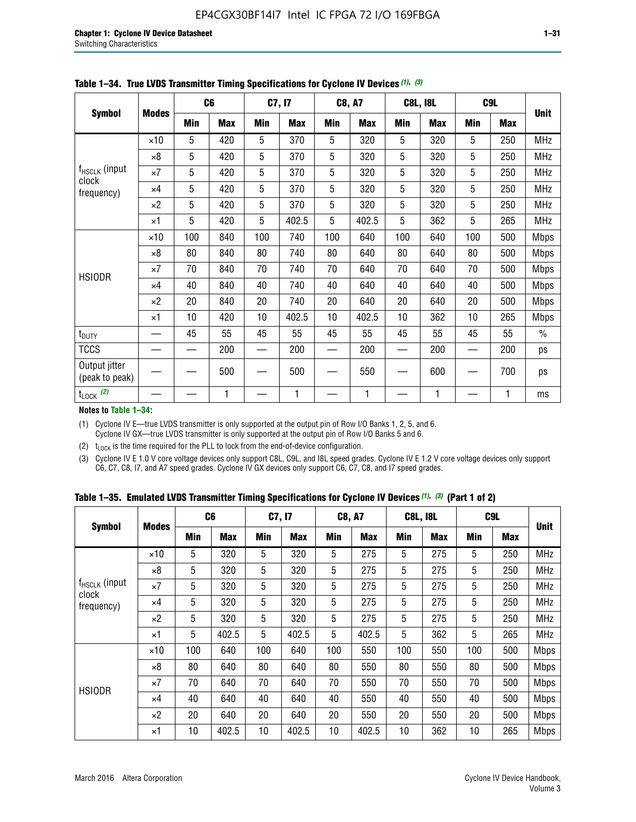|                                 |              |     | C <sub>6</sub> |     | C7, I7     |     | <b>C8, A7</b> |     | <b>C8L, I8L</b> |     | C <sub>9</sub> L |               |
|---------------------------------|--------------|-----|----------------|-----|------------|-----|---------------|-----|-----------------|-----|------------------|---------------|
| <b>Symbol</b>                   | <b>Modes</b> | Min | <b>Max</b>     | Min | <b>Max</b> | Min | <b>Max</b>    | Min | <b>Max</b>      | Min | <b>Max</b>       | <b>Unit</b>   |
|                                 | $\times$ 10  | 5   | 420            | 5   | 370        | 5   | 320           | 5   | 320             | 5   | 250              | <b>MHz</b>    |
|                                 | $\times 8$   | 5   | 420            | 5   | 370        | 5   | 320           | 5   | 320             | 5   | 250              | <b>MHz</b>    |
| f <sub>HSCLK</sub> (input       | $\times 7$   | 5   | 420            | 5   | 370        | 5   | 320           | 5   | 320             | 5   | 250              | <b>MHz</b>    |
| clock<br>frequency)             | $\times 4$   | 5   | 420            | 5   | 370        | 5   | 320           | 5   | 320             | 5   | 250              | <b>MHz</b>    |
|                                 | $\times 2$   | 5   | 420            | 5   | 370        | 5   | 320           | 5   | 320             | 5   | 250              | <b>MHz</b>    |
|                                 | $\times$ 1   | 5   | 420            | 5   | 402.5      | 5   | 402.5         | 5   | 362             | 5   | 265              | <b>MHz</b>    |
|                                 | $\times$ 10  | 100 | 840            | 100 | 740        | 100 | 640           | 100 | 640             | 100 | 500              | Mbps          |
|                                 | $\times 8$   | 80  | 840            | 80  | 740        | 80  | 640           | 80  | 640             | 80  | 500              | <b>Mbps</b>   |
| <b>HSIODR</b>                   | $\times 7$   | 70  | 840            | 70  | 740        | 70  | 640           | 70  | 640             | 70  | 500              | <b>Mbps</b>   |
|                                 | $\times$ 4   | 40  | 840            | 40  | 740        | 40  | 640           | 40  | 640             | 40  | 500              | <b>Mbps</b>   |
|                                 | $\times 2$   | 20  | 840            | 20  | 740        | 20  | 640           | 20  | 640             | 20  | 500              | <b>Mbps</b>   |
|                                 | $\times$ 1   | 10  | 420            | 10  | 402.5      | 10  | 402.5         | 10  | 362             | 10  | 265              | <b>Mbps</b>   |
| t <sub>DUTY</sub>               |              | 45  | 55             | 45  | 55         | 45  | 55            | 45  | 55              | 45  | 55               | $\frac{0}{0}$ |
| <b>TCCS</b>                     |              |     | 200            |     | 200        |     | 200           |     | 200             |     | 200              | ps            |
| Output jitter<br>(peak to peak) |              |     | 500            |     | 500        |     | 550           |     | 600             |     | 700              | ps            |
| $t_{\text{LOCK}}$ (2)           |              |     | 1              |     | 1          |     | 1             |     | 1               |     | 1                | ms            |

**Table 1–34. True LVDS Transmitter Timing Specifications for Cyclone IV Devices** *(1)***,** *(3)*

**Notes to Table 1–34:**

(1) Cyclone IV E—true LVDS transmitter is only supported at the output pin of Row I/O Banks 1, 2, 5, and 6. Cyclone IV GX—true LVDS transmitter is only supported at the output pin of Row I/O Banks 5 and 6.

(2)  $t_{\text{LOCK}}$  is the time required for the PLL to lock from the end-of-device configuration.

(3) Cyclone IV E 1.0 V core voltage devices only support C8L, C9L, and I8L speed grades. Cyclone IV E 1.2 V core voltage devices only support C6, C7, C8, I7, and A7 speed grades. Cyclone IV GX devices only support C6, C7, C8, and I7 speed grades.

|  |  |  |  |  |  | Table 1–35. Emulated LVDS Transmitter Timing Specifications for Cyclone IV Devices <sup>(1),</sup> <sup>(3)</sup> (Part 1 of 2) |  |  |
|--|--|--|--|--|--|---------------------------------------------------------------------------------------------------------------------------------|--|--|
|--|--|--|--|--|--|---------------------------------------------------------------------------------------------------------------------------------|--|--|

| <b>Symbol</b>               |              | C <sub>6</sub> |            | C7, I7     |            | <b>C8, A7</b> |            | <b>C8L, I8L</b> |            |            | C <sub>9</sub> L |             |
|-----------------------------|--------------|----------------|------------|------------|------------|---------------|------------|-----------------|------------|------------|------------------|-------------|
|                             | <b>Modes</b> | Min            | <b>Max</b> | <b>Min</b> | <b>Max</b> | <b>Min</b>    | <b>Max</b> | <b>Min</b>      | <b>Max</b> | <b>Min</b> | <b>Max</b>       | <b>Unit</b> |
|                             | $\times$ 10  | 5              | 320        | 5          | 320        | 5             | 275        | 5               | 275        | 5          | 250              | <b>MHz</b>  |
|                             | $\times 8$   | 5              | 320        | 5          | 320        | 5             | 275        | 5               | 275        | 5          | 250              | <b>MHz</b>  |
| $f_{HSCLK}$ (input<br>clock | $\times 7$   | 5              | 320        | 5          | 320        | 5             | 275        | 5               | 275        | 5          | 250              | <b>MHz</b>  |
| frequency)                  | $\times$ 4   | 5              | 320        | 5          | 320        | 5             | 275        | 5               | 275        | 5          | 250              | <b>MHz</b>  |
|                             | $\times 2$   | 5              | 320        | 5          | 320        | 5             | 275        | 5               | 275        | 5          | 250              | <b>MHz</b>  |
|                             | $\times$ 1   | 5              | 402.5      | 5          | 402.5      | 5             | 402.5      | 5               | 362        | 5          | 265              | <b>MHz</b>  |
|                             | $\times$ 10  | 100            | 640        | 100        | 640        | 100           | 550        | 100             | 550        | 100        | 500              | <b>Mbps</b> |
|                             | $\times 8$   | 80             | 640        | 80         | 640        | 80            | 550        | 80              | 550        | 80         | 500              | <b>Mbps</b> |
| <b>HSIODR</b>               | $\times 7$   | 70             | 640        | 70         | 640        | 70            | 550        | 70              | 550        | 70         | 500              | <b>Mbps</b> |
|                             | $\times$ 4   | 40             | 640        | 40         | 640        | 40            | 550        | 40              | 550        | 40         | 500              | <b>Mbps</b> |
|                             | $\times 2$   | 20             | 640        | 20         | 640        | 20            | 550        | 20              | 550        | 20         | 500              | <b>Mbps</b> |
|                             | $\times$ 1   | 10             | 402.5      | 10         | 402.5      | 10            | 402.5      | 10              | 362        | 10         | 265              | <b>Mbps</b> |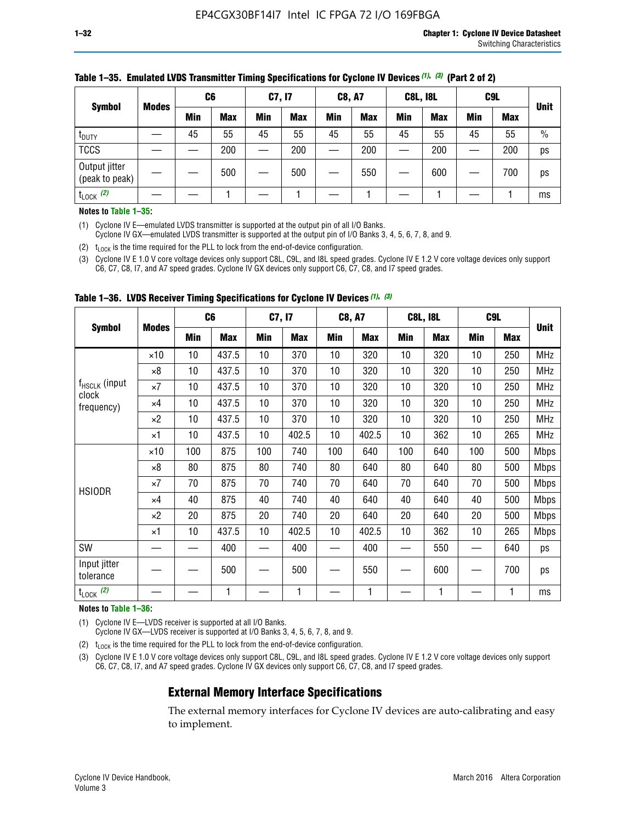| <b>Symbol</b>                   | C <sub>6</sub><br><b>Modes</b> |            | C7, I7 |            | <b>C8, A7</b> |            | <b>C8L, I8L</b> |            |     | C <sub>9</sub> L | <b>Unit</b> |
|---------------------------------|--------------------------------|------------|--------|------------|---------------|------------|-----------------|------------|-----|------------------|-------------|
|                                 | Min                            | <b>Max</b> | Min    | <b>Max</b> | Min           | <b>Max</b> | Min             | <b>Max</b> | Min | <b>Max</b>       |             |
| t <sub>DUTY</sub>               | 45                             | 55         | 45     | 55         | 45            | 55         | 45              | 55         | 45  | 55               | $\%$        |
| <b>TCCS</b>                     |                                | 200        |        | 200        |               | 200        |                 | 200        | —   | 200              | ps          |
| Output jitter<br>(peak to peak) |                                | 500        |        | 500        |               | 550        |                 | 600        |     | 700              | ps          |
| $t_{\text{LOCK}}$ (2)           |                                |            |        |            |               |            |                 |            |     |                  | ms          |

#### **Table 1–35. Emulated LVDS Transmitter Timing Specifications for Cyclone IV Devices** *(1)***,** *(3)* **(Part 2 of 2)**

#### **Notes to Table 1–35:**

(1) Cyclone IV E—emulated LVDS transmitter is supported at the output pin of all I/O Banks.

Cyclone IV GX—emulated LVDS transmitter is supported at the output pin of I/O Banks 3, 4, 5, 6, 7, 8, and 9.

(2)  $t_{\text{LOCK}}$  is the time required for the PLL to lock from the end-of-device configuration.

(3) Cyclone IV E 1.0 V core voltage devices only support C8L, C9L, and I8L speed grades. Cyclone IV E 1.2 V core voltage devices only support C6, C7, C8, I7, and A7 speed grades. Cyclone IV GX devices only support C6, C7, C8, and I7 speed grades.

|                                    |              | C <sub>6</sub> |            | C7, I7     |            | <b>C8, A7</b> |            |            | <b>C8L, I8L</b> | C <sub>9</sub> L         |            |             |
|------------------------------------|--------------|----------------|------------|------------|------------|---------------|------------|------------|-----------------|--------------------------|------------|-------------|
| <b>Symbol</b>                      | <b>Modes</b> | <b>Min</b>     | <b>Max</b> | <b>Min</b> | <b>Max</b> | Min           | <b>Max</b> | <b>Min</b> | <b>Max</b>      | <b>Min</b>               | <b>Max</b> | <b>Unit</b> |
|                                    | $\times 10$  | 10             | 437.5      | 10         | 370        | 10            | 320        | 10         | 320             | 10                       | 250        | <b>MHz</b>  |
|                                    | $\times 8$   | 10             | 437.5      | 10         | 370        | 10            | 320        | 10         | 320             | 10                       | 250        | <b>MHz</b>  |
| f <sub>HSCLK</sub> (input<br>clock | $\times 7$   | 10             | 437.5      | 10         | 370        | 10            | 320        | 10         | 320             | 10                       | 250        | <b>MHz</b>  |
| frequency)                         | ×4           | 10             | 437.5      | 10         | 370        | 10            | 320        | 10         | 320             | 10                       | 250        | <b>MHz</b>  |
|                                    | $\times 2$   | 10             | 437.5      | 10         | 370        | 10            | 320        | 10         | 320             | 10                       | 250        | <b>MHz</b>  |
|                                    | ×1           | 10             | 437.5      | 10         | 402.5      | 10            | 402.5      | 10         | 362             | 10                       | 265        | <b>MHz</b>  |
|                                    | $\times$ 10  | 100            | 875        | 100        | 740        | 100           | 640        | 100        | 640             | 100                      | 500        | <b>Mbps</b> |
|                                    | $\times 8$   | 80             | 875        | 80         | 740        | 80            | 640        | 80         | 640             | 80                       | 500        | <b>Mbps</b> |
| <b>HSIODR</b>                      | $\times 7$   | 70             | 875        | 70         | 740        | 70            | 640        | 70         | 640             | 70                       | 500        | <b>Mbps</b> |
|                                    | $\times 4$   | 40             | 875        | 40         | 740        | 40            | 640        | 40         | 640             | 40                       | 500        | Mbps        |
|                                    | $\times 2$   | 20             | 875        | 20         | 740        | 20            | 640        | 20         | 640             | 20                       | 500        | Mbps        |
|                                    | ×1           | 10             | 437.5      | 10         | 402.5      | 10            | 402.5      | 10         | 362             | 10                       | 265        | <b>Mbps</b> |
| SW                                 |              |                | 400        |            | 400        |               | 400        |            | 550             | $\overline{\phantom{0}}$ | 640        | ps          |
| Input jitter<br>tolerance          |              |                | 500        |            | 500        |               | 550        |            | 600             | —                        | 700        | ps          |
| $t_{\text{LOCK}}$ (2)              |              |                | 1          |            | 1          |               | 1          |            | 1               |                          |            | ms          |

**Table 1–36. LVDS Receiver Timing Specifications for Cyclone IV Devices** *(1)***,** *(3)*

#### **Notes to Table 1–36:**

(1) Cyclone IV E—LVDS receiver is supported at all I/O Banks.

Cyclone IV GX—LVDS receiver is supported at I/O Banks 3, 4, 5, 6, 7, 8, and 9.

(2)  $t_{\text{LOCK}}$  is the time required for the PLL to lock from the end-of-device configuration.

(3) Cyclone IV E 1.0 V core voltage devices only support C8L, C9L, and I8L speed grades. Cyclone IV E 1.2 V core voltage devices only support C6, C7, C8, I7, and A7 speed grades. Cyclone IV GX devices only support C6, C7, C8, and I7 speed grades.

### **External Memory Interface Specifications**

The external memory interfaces for Cyclone IV devices are auto-calibrating and easy to implement.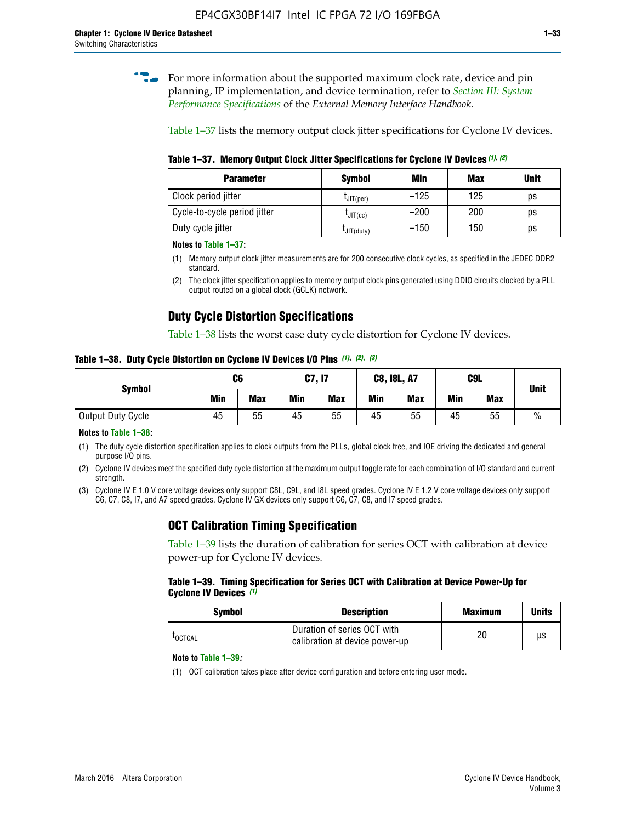**for more information about the supported maximum clock rate, device and pin** planning, IP implementation, and device termination, refer to *[Section III: System](http://www.altera.com/literature/hb/external-memory/emi_intro_specs.pdf)  [Performance Specifications](http://www.altera.com/literature/hb/external-memory/emi_intro_specs.pdf)* of the *External Memory Interface Handbook*.

Table 1–37 lists the memory output clock jitter specifications for Cyclone IV devices.

**Table 1–37. Memory Output Clock Jitter Specifications for Cyclone IV Devices** *(1)***,** *(2)*

| <b>Parameter</b>             | <b>Symbol</b>  | Min    | Max | <b>Unit</b> |
|------------------------------|----------------|--------|-----|-------------|
| Clock period jitter          | $L$ JIT(per)   | $-125$ | 125 | ps          |
| Cycle-to-cycle period jitter | $L$ JIT $(cc)$ | $-200$ | 200 | ps          |
| Duty cycle jitter            | LJIT(duty)     | $-150$ | 150 | рs          |

**Notes to Table 1–37:**

- (1) Memory output clock jitter measurements are for 200 consecutive clock cycles, as specified in the JEDEC DDR2 standard.
- (2) The clock jitter specification applies to memory output clock pins generated using DDIO circuits clocked by a PLL output routed on a global clock (GCLK) network.

# **Duty Cycle Distortion Specifications**

Table 1–38 lists the worst case duty cycle distortion for Cyclone IV devices.

**Table 1–38. Duty Cycle Distortion on Cyclone IV Devices I/O Pins** *(1)***,** *(2), (3)*

| <b>Symbol</b>     | C <sub>6</sub> |            | C7, I7     |            | <b>C8, I8L, A7</b> |            |            | C9L        | <b>Unit</b>   |
|-------------------|----------------|------------|------------|------------|--------------------|------------|------------|------------|---------------|
|                   | Min            | <b>Max</b> | <b>Min</b> | <b>Max</b> | Min                | <b>Max</b> | <b>Min</b> | <b>Max</b> |               |
| Output Duty Cycle | 45             | 55         | 45         | 55         | 45                 | 55         | 45         | 55         | $\frac{0}{0}$ |

**Notes to Table 1–38:**

(1) The duty cycle distortion specification applies to clock outputs from the PLLs, global clock tree, and IOE driving the dedicated and general purpose I/O pins.

(2) Cyclone IV devices meet the specified duty cycle distortion at the maximum output toggle rate for each combination of I/O standard and current strength.

(3) Cyclone IV E 1.0 V core voltage devices only support C8L, C9L, and I8L speed grades. Cyclone IV E 1.2 V core voltage devices only support C6, C7, C8, I7, and A7 speed grades. Cyclone IV GX devices only support C6, C7, C8, and I7 speed grades.

### **OCT Calibration Timing Specification**

Table 1–39 lists the duration of calibration for series OCT with calibration at device power-up for Cyclone IV devices.

#### **Table 1–39. Timing Specification for Series OCT with Calibration at Device Power-Up for Cyclone IV Devices** *(1)*

| Symbol  | <b>Description</b>                                            | <b>Maximum</b> | <b>Units</b> |
|---------|---------------------------------------------------------------|----------------|--------------|
| LOCTCAL | Duration of series OCT with<br>calibration at device power-up | 20             | μs           |

#### **Note to Table 1–39***:*

(1) OCT calibration takes place after device configuration and before entering user mode.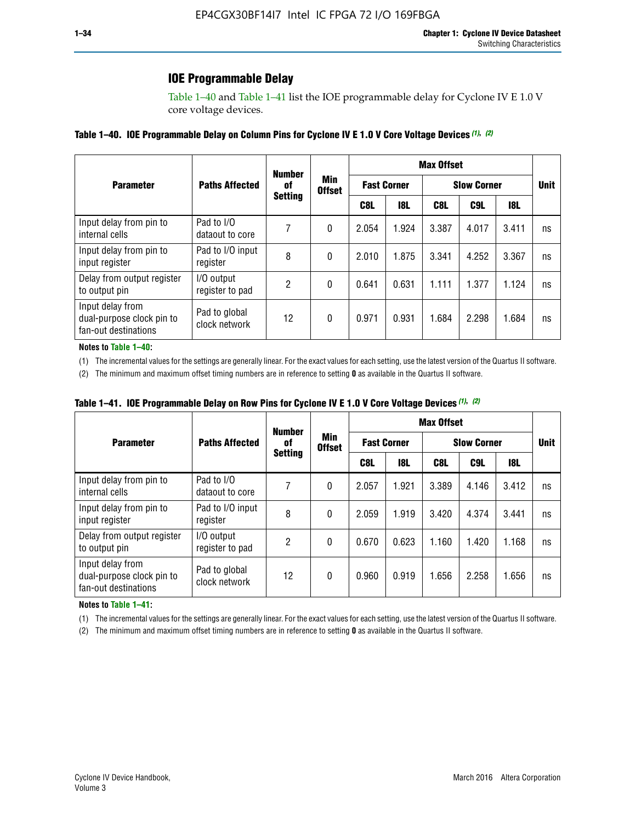# **IOE Programmable Delay**

Table 1–40 and Table 1–41 list the IOE programmable delay for Cyclone IV E 1.0 V core voltage devices.

#### **Table 1–40. IOE Programmable Delay on Column Pins for Cyclone IV E 1.0 V Core Voltage Devices** *(1)***,** *(2)*

|                                                                       |                                | <b>Number</b>  |                      |                    |            | <b>Max Offset</b> |                    |       |             |
|-----------------------------------------------------------------------|--------------------------------|----------------|----------------------|--------------------|------------|-------------------|--------------------|-------|-------------|
| <b>Parameter</b>                                                      | <b>Paths Affected</b>          | 0f             | Min<br><b>Offset</b> | <b>Fast Corner</b> |            |                   | <b>Slow Corner</b> |       | <b>Unit</b> |
|                                                                       |                                | <b>Setting</b> |                      | C8L                | <b>18L</b> | C8L               | C9L                | 18L   |             |
| Input delay from pin to<br>internal cells                             | Pad to I/O<br>dataout to core  |                | 0                    | 2.054              | 1.924      | 3.387             | 4.017              | 3.411 | ns          |
| Input delay from pin to<br>input register                             | Pad to I/O input<br>register   | 8              | 0                    | 2.010              | 1.875      | 3.341             | 4.252              | 3.367 | ns          |
| Delay from output register<br>to output pin                           | I/O output<br>register to pad  | 2              | 0                    | 0.641              | 0.631      | 1.111             | 1.377              | 1.124 | ns          |
| Input delay from<br>dual-purpose clock pin to<br>fan-out destinations | Pad to global<br>clock network | 12             | 0                    | 0.971              | 0.931      | 1.684             | 2.298              | 1.684 | ns          |

#### **Notes to Table 1–40:**

(1) The incremental values for the settings are generally linear. For the exact values for each setting, use the latest version of the Quartus II software.

(2) The minimum and maximum offset timing numbers are in reference to setting **0** as available in the Quartus II software.

| Table 1–41. IOE Programmable Delay on Row Pins for Cyclone IV E 1.0 V Core Voltage Devices (1), (2) |  |  |
|-----------------------------------------------------------------------------------------------------|--|--|
|-----------------------------------------------------------------------------------------------------|--|--|

|                                                                       |                                | <b>Number</b>  |                      |       |                    | <b>Max Offset</b> |                    |       |             |
|-----------------------------------------------------------------------|--------------------------------|----------------|----------------------|-------|--------------------|-------------------|--------------------|-------|-------------|
| <b>Parameter</b>                                                      | <b>Paths Affected</b>          | 0f             | Min<br><b>Offset</b> |       | <b>Fast Corner</b> |                   | <b>Slow Corner</b> |       | <b>Unit</b> |
|                                                                       |                                | <b>Setting</b> |                      | C8L   | <b>18L</b>         | C8L               | C9L                | 18L   |             |
| Input delay from pin to<br>internal cells                             | Pad to I/O<br>dataout to core  |                | 0                    | 2.057 | 1.921              | 3.389             | 4.146              | 3.412 | ns          |
| Input delay from pin to<br>input register                             | Pad to I/O input<br>register   | 8              | 0                    | 2.059 | 1.919              | 3.420             | 4.374              | 3.441 | ns          |
| Delay from output register<br>to output pin                           | I/O output<br>register to pad  | 2              | 0                    | 0.670 | 0.623              | 1.160             | 1.420              | 1.168 | ns          |
| Input delay from<br>dual-purpose clock pin to<br>fan-out destinations | Pad to global<br>clock network | 12             | 0                    | 0.960 | 0.919              | 1.656             | 2.258              | 1.656 | ns          |

#### **Notes to Table 1–41:**

(1) The incremental values for the settings are generally linear. For the exact values for each setting, use the latest version of the Quartus II software.

(2) The minimum and maximum offset timing numbers are in reference to setting **0** as available in the Quartus II software.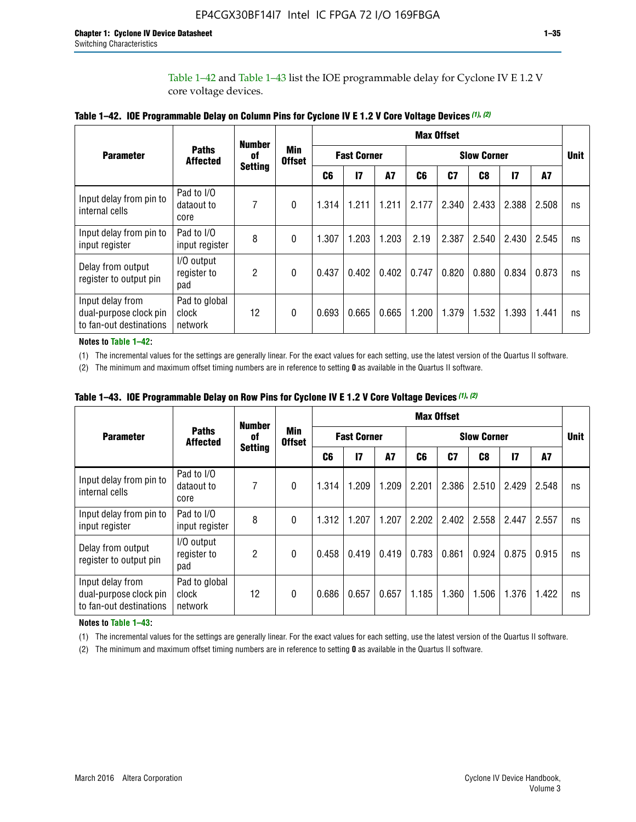Table 1–42 and Table 1–43 list the IOE programmable delay for Cyclone IV E 1.2 V core voltage devices.

|                                                                       |                                   | <b>Number</b>  |                             |                |                    |           |                    | <b>Max Offset</b> |       |               |       |             |
|-----------------------------------------------------------------------|-----------------------------------|----------------|-----------------------------|----------------|--------------------|-----------|--------------------|-------------------|-------|---------------|-------|-------------|
| <b>Parameter</b>                                                      | <b>Paths</b><br><b>Affected</b>   | of             | <b>Min</b><br><b>Offset</b> |                | <b>Fast Corner</b> |           | <b>Slow Corner</b> |                   |       |               |       | <b>Unit</b> |
|                                                                       |                                   | <b>Setting</b> |                             | C <sub>6</sub> | $\mathbf{I}$       | <b>A7</b> | C6                 | C7                | C8    | $\mathsf{I}7$ | A7    |             |
| Input delay from pin to<br>internal cells                             | Pad to I/O<br>dataout to<br>core  | 7              | 0                           | 1.314          | 1.211              | 1.211     | 2.177              | 2.340             | 2.433 | 2.388         | 2.508 | ns          |
| Input delay from pin to<br>input register                             | Pad to I/O<br>input register      | 8              | $\Omega$                    | 1.307          | 1.203              | 1.203     | 2.19               | 2.387             | 2.540 | 2.430         | 2.545 | ns          |
| Delay from output<br>register to output pin                           | I/O output<br>register to<br>pad  | 2              | 0                           | 0.437          | 0.402              | 0.402     | 0.747              | 0.820             | 0.880 | 0.834         | 0.873 | ns          |
| Input delay from<br>dual-purpose clock pin<br>to fan-out destinations | Pad to global<br>clock<br>network | 12             | 0                           | 0.693          | 0.665              | 0.665     | 1.200              | 1.379             | 1.532 | 1.393         | 1.441 | ns          |

| Table 1-42. IOE Programmable Delay on Column Pins for Cyclone IV E 1.2 V Core Voltage Devices (1), (2) |
|--------------------------------------------------------------------------------------------------------|
|--------------------------------------------------------------------------------------------------------|

**Notes to Table 1–42:**

(1) The incremental values for the settings are generally linear. For the exact values for each setting, use the latest version of the Quartus II software.

(2) The minimum and maximum offset timing numbers are in reference to setting **0** as available in the Quartus II software.

|                                                                       |                                   | <b>Number</b>  |          |                                     |       |       |                    | <b>Max Offset</b> |       |               |       |             |
|-----------------------------------------------------------------------|-----------------------------------|----------------|----------|-------------------------------------|-------|-------|--------------------|-------------------|-------|---------------|-------|-------------|
| <b>Parameter</b>                                                      | <b>Paths</b><br><b>Affected</b>   | 0f             | Min      | <b>Fast Corner</b><br><b>Offset</b> |       |       | <b>Slow Corner</b> |                   |       |               |       | <b>Unit</b> |
|                                                                       |                                   | <b>Setting</b> |          | C6                                  | 17    | A7    | C6                 | C <sub>7</sub>    | C8    | $\mathsf{I}7$ | A7    |             |
| Input delay from pin to<br>internal cells                             | Pad to I/O<br>dataout to<br>core  | 7              | 0        | 1.314                               | 1.209 | 1.209 | 2.201              | 2.386             | 2.510 | 2.429         | 2.548 | ns          |
| Input delay from pin to<br>input register                             | Pad to I/O<br>input register      | 8              | $\theta$ | 1.312                               | 1.207 | 1.207 | 2.202              | 2.402             | 2.558 | 2.447         | 2.557 | ns          |
| Delay from output<br>register to output pin                           | I/O output<br>register to<br>pad  | $\overline{2}$ | $\Omega$ | 0.458                               | 0.419 | 0.419 | 0.783              | 0.861             | 0.924 | 0.875         | 0.915 | ns          |
| Input delay from<br>dual-purpose clock pin<br>to fan-out destinations | Pad to global<br>clock<br>network | 12             | 0        | 0.686                               | 0.657 | 0.657 | 1.185              | 1.360             | 1.506 | 1.376         | 1.422 | ns          |

**Table 1–43. IOE Programmable Delay on Row Pins for Cyclone IV E 1.2 V Core Voltage Devices** *(1)***,** *(2)*

#### **Notes to Table 1–43:**

(1) The incremental values for the settings are generally linear. For the exact values for each setting, use the latest version of the Quartus II software.

(2) The minimum and maximum offset timing numbers are in reference to setting **0** as available in the Quartus II software.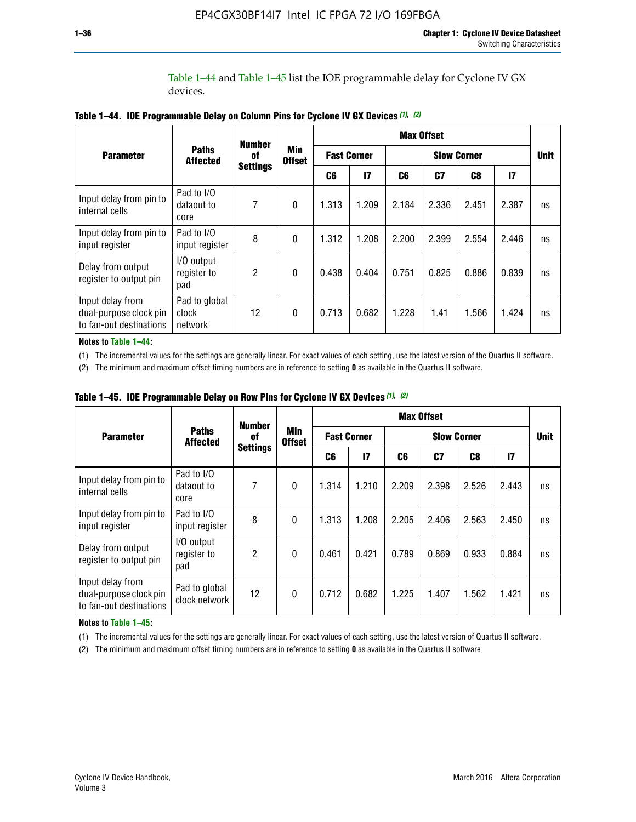Table 1–44 and Table 1–45 list the IOE programmable delay for Cyclone IV GX devices.

|                                                                       |                                   | <b>Number</b>   |                             |                    |              |                    | <b>Max Offset</b> |                |               |             |
|-----------------------------------------------------------------------|-----------------------------------|-----------------|-----------------------------|--------------------|--------------|--------------------|-------------------|----------------|---------------|-------------|
| <b>Parameter</b>                                                      | <b>Paths</b><br><b>Affected</b>   | 0f              | <b>Min</b><br><b>Offset</b> | <b>Fast Corner</b> |              | <b>Slow Corner</b> |                   |                |               | <b>Unit</b> |
|                                                                       |                                   | <b>Settings</b> |                             | C6                 | $\mathbf{I}$ | C6                 | C <sub>7</sub>    | C <sub>8</sub> | $\mathsf{I}7$ |             |
| Input delay from pin to<br>internal cells                             | Pad to I/O<br>dataout to<br>core  | 7               | $\mathbf{0}$                | 1.313              | 1.209        | 2.184              | 2.336             | 2.451          | 2.387         | ns          |
| Input delay from pin to<br>input register                             | Pad to I/O<br>input register      | 8               | $\Omega$                    | 1.312              | 1.208        | 2.200              | 2.399             | 2.554          | 2.446         | ns          |
| Delay from output<br>register to output pin                           | I/O output<br>register to<br>pad  | 2               | $\mathbf{0}$                | 0.438              | 0.404        | 0.751              | 0.825             | 0.886          | 0.839         | ns          |
| Input delay from<br>dual-purpose clock pin<br>to fan-out destinations | Pad to global<br>clock<br>network | 12              | 0                           | 0.713              | 0.682        | 1.228              | 1.41              | 1.566          | 1.424         | ns          |

**Table 1–44. IOE Programmable Delay on Column Pins for Cyclone IV GX Devices** *(1)***,** *(2)*

**Notes to Table 1–44:**

(1) The incremental values for the settings are generally linear. For exact values of each setting, use the latest version of the Quartus II software.

(2) The minimum and maximum offset timing numbers are in reference to setting **0** as available in the Quartus II software.

|                                                                       |                                  | <b>Number</b>   |                             |                    |       |                    | <b>Max Offset</b> |       |               |             |
|-----------------------------------------------------------------------|----------------------------------|-----------------|-----------------------------|--------------------|-------|--------------------|-------------------|-------|---------------|-------------|
| <b>Parameter</b>                                                      | <b>Paths</b><br><b>Affected</b>  | 0f              | <b>Min</b><br><b>Offset</b> | <b>Fast Corner</b> |       | <b>Slow Corner</b> |                   |       |               | <b>Unit</b> |
|                                                                       |                                  | <b>Settings</b> |                             | C6                 | 17    | C6                 | C7                | C8    | $\mathsf{I}7$ |             |
| Input delay from pin to<br>internal cells                             | Pad to I/O<br>dataout to<br>core | 7               | $\mathbf{0}$                | 1.314              | 1.210 | 2.209              | 2.398             | 2.526 | 2.443         | ns          |
| Input delay from pin to<br>input register                             | Pad to I/O<br>input register     | 8               | $\mathbf{0}$                | 1.313              | 1.208 | 2.205              | 2.406             | 2.563 | 2.450         | ns          |
| Delay from output<br>register to output pin                           | I/O output<br>register to<br>pad | $\overline{2}$  | $\mathbf{0}$                | 0.461              | 0.421 | 0.789              | 0.869             | 0.933 | 0.884         | ns          |
| Input delay from<br>dual-purpose clock pin<br>to fan-out destinations | Pad to global<br>clock network   | 12              | $\mathbf{0}$                | 0.712              | 0.682 | 1.225              | 1.407             | 1.562 | 1.421         | ns          |

**Table 1–45. IOE Programmable Delay on Row Pins for Cyclone IV GX Devices** *(1)***,** *(2)*

#### **Notes to Table 1–45:**

(1) The incremental values for the settings are generally linear. For exact values of each setting, use the latest version of Quartus II software.

(2) The minimum and maximum offset timing numbers are in reference to setting **0** as available in the Quartus II software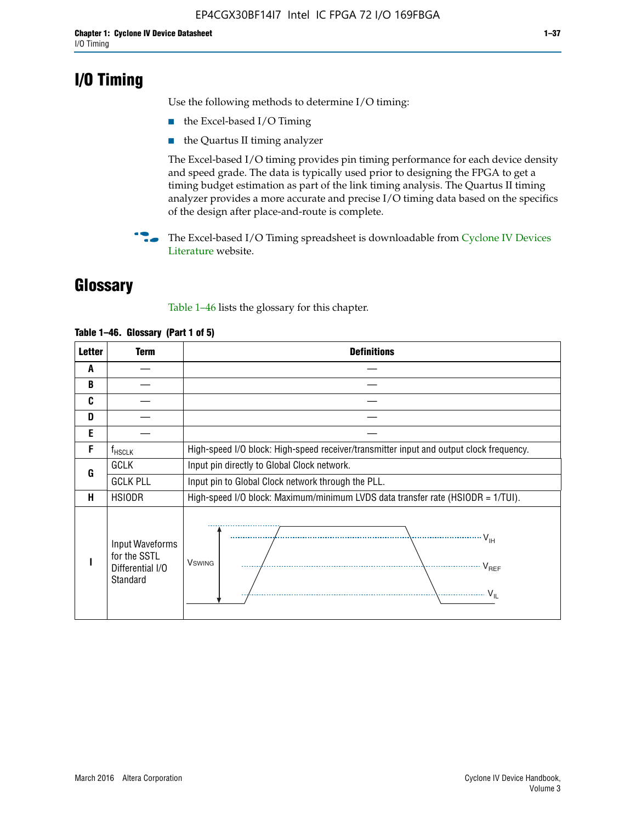# **I/O Timing**

Use the following methods to determine I/O timing:

- the Excel-based I/O Timing
- the Quartus II timing analyzer

The Excel-based I/O timing provides pin timing performance for each device density and speed grade. The data is typically used prior to designing the FPGA to get a timing budget estimation as part of the link timing analysis. The Quartus II timing analyzer provides a more accurate and precise I/O timing data based on the specifics of the design after place-and-route is complete.

**For The Excel-based I/O Timing spreadsheet is downloadable from Cyclone IV Devices** [Literature](http://www.altera.com/literature/lit-cyclone-iv.jsp) website.

# **Glossary**

Table 1–46 lists the glossary for this chapter.

| <b>Letter</b> | <b>Term</b>                                                     | <b>Definitions</b>                                                                                                                               |  |  |  |  |  |  |  |
|---------------|-----------------------------------------------------------------|--------------------------------------------------------------------------------------------------------------------------------------------------|--|--|--|--|--|--|--|
| A             |                                                                 |                                                                                                                                                  |  |  |  |  |  |  |  |
| B             |                                                                 |                                                                                                                                                  |  |  |  |  |  |  |  |
| C             |                                                                 |                                                                                                                                                  |  |  |  |  |  |  |  |
| D             |                                                                 |                                                                                                                                                  |  |  |  |  |  |  |  |
| E             |                                                                 |                                                                                                                                                  |  |  |  |  |  |  |  |
| F             | $f_{\sf HSCLK}$                                                 | High-speed I/O block: High-speed receiver/transmitter input and output clock frequency.                                                          |  |  |  |  |  |  |  |
| G             | <b>GCLK</b>                                                     | Input pin directly to Global Clock network.                                                                                                      |  |  |  |  |  |  |  |
|               | <b>GCLK PLL</b>                                                 | Input pin to Global Clock network through the PLL.                                                                                               |  |  |  |  |  |  |  |
| н             | <b>HSIODR</b>                                                   | High-speed I/O block: Maximum/minimum LVDS data transfer rate (HSIODR = 1/TUI).                                                                  |  |  |  |  |  |  |  |
|               | Input Waveforms<br>for the SSTL<br>Differential I/O<br>Standard | $\frac{1}{\sqrt{1+\frac{1}{2}}}\left\{ \frac{1}{\sqrt{1+\frac{1}{2}}}\right\}$<br><b>V</b> swing<br>$\cdots$ $V_{REF}$<br>\<br>$\sim V_{\rm IL}$ |  |  |  |  |  |  |  |

#### **Table 1–46. Glossary (Part 1 of 5)**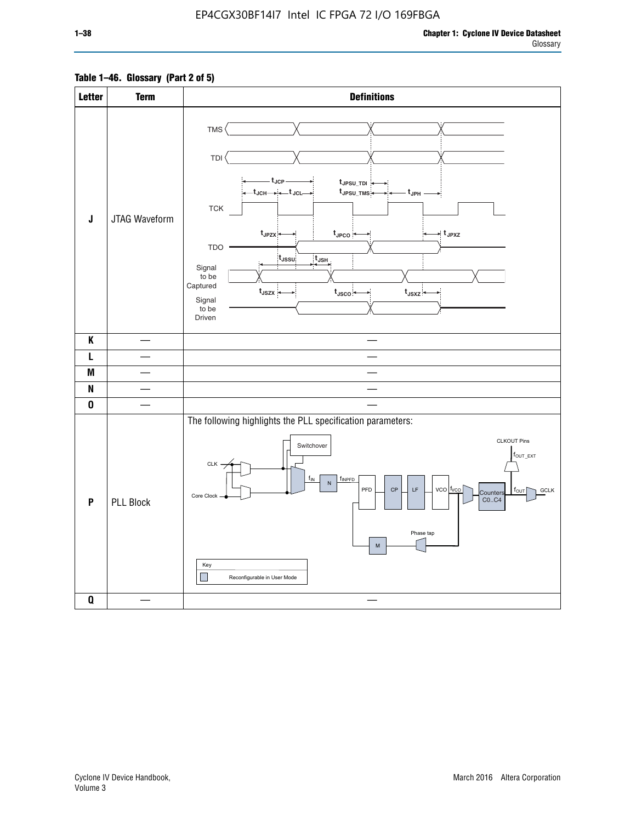### **Table 1–46. Glossary (Part 2 of 5)**

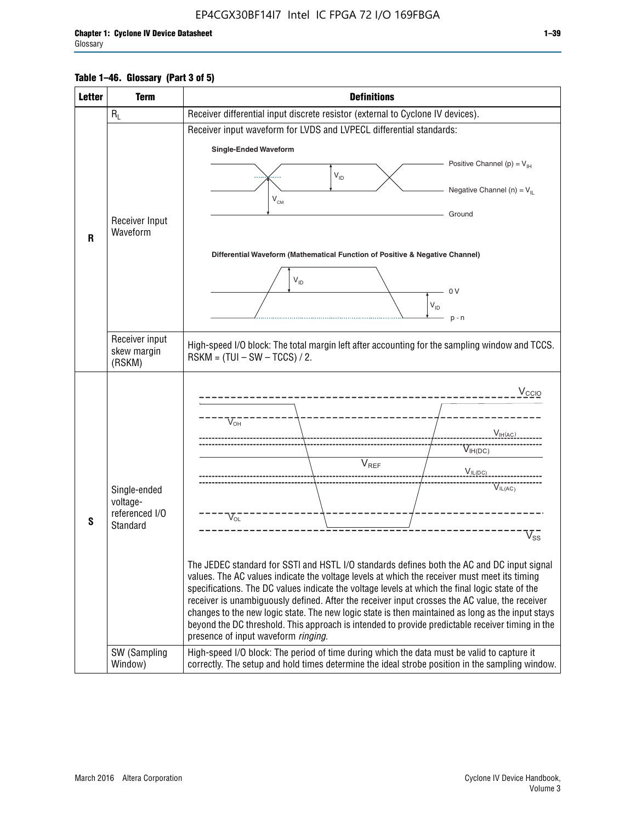#### **Table 1–46. Glossary (Part 3 of 5)**

| <b>Letter</b> | <b>Term</b>                   | <b>Definitions</b>                                                                                                                                                                                    |  |  |  |  |  |  |  |  |
|---------------|-------------------------------|-------------------------------------------------------------------------------------------------------------------------------------------------------------------------------------------------------|--|--|--|--|--|--|--|--|
|               | $R_L$                         | Receiver differential input discrete resistor (external to Cyclone IV devices).                                                                                                                       |  |  |  |  |  |  |  |  |
|               |                               | Receiver input waveform for LVDS and LVPECL differential standards:                                                                                                                                   |  |  |  |  |  |  |  |  |
|               |                               | <b>Single-Ended Waveform</b>                                                                                                                                                                          |  |  |  |  |  |  |  |  |
|               |                               | Positive Channel (p) = $V_{\text{H}}$                                                                                                                                                                 |  |  |  |  |  |  |  |  |
|               |                               | $V_{ID}$                                                                                                                                                                                              |  |  |  |  |  |  |  |  |
|               |                               | Negative Channel (n) = $V_{\parallel}$<br>$V_{CM}$                                                                                                                                                    |  |  |  |  |  |  |  |  |
|               |                               | Ground                                                                                                                                                                                                |  |  |  |  |  |  |  |  |
|               | Receiver Input<br>Waveform    |                                                                                                                                                                                                       |  |  |  |  |  |  |  |  |
| R             |                               |                                                                                                                                                                                                       |  |  |  |  |  |  |  |  |
|               |                               | Differential Waveform (Mathematical Function of Positive & Negative Channel)                                                                                                                          |  |  |  |  |  |  |  |  |
|               |                               | $V_{ID}$                                                                                                                                                                                              |  |  |  |  |  |  |  |  |
|               |                               | 0V                                                                                                                                                                                                    |  |  |  |  |  |  |  |  |
|               |                               | $\mathsf{V}_{\mathsf{ID}}$                                                                                                                                                                            |  |  |  |  |  |  |  |  |
|               |                               | $p - n$                                                                                                                                                                                               |  |  |  |  |  |  |  |  |
|               | Receiver input<br>skew margin | High-speed I/O block: The total margin left after accounting for the sampling window and TCCS.<br>$RSKM = (TUI - SW - TCCS) / 2.$                                                                     |  |  |  |  |  |  |  |  |
|               | (RSKM)                        |                                                                                                                                                                                                       |  |  |  |  |  |  |  |  |
|               |                               | $V_{CCIO}$                                                                                                                                                                                            |  |  |  |  |  |  |  |  |
|               |                               |                                                                                                                                                                                                       |  |  |  |  |  |  |  |  |
|               |                               | $V_{\text{OH}}$                                                                                                                                                                                       |  |  |  |  |  |  |  |  |
|               |                               | V <sub>IH(AC)</sub>                                                                                                                                                                                   |  |  |  |  |  |  |  |  |
|               |                               | $V_{IH(DC)}$                                                                                                                                                                                          |  |  |  |  |  |  |  |  |
|               |                               | $V_{REF}$<br>$V_{IL(DC)}$                                                                                                                                                                             |  |  |  |  |  |  |  |  |
|               | Single-ended                  | VIL(AC)                                                                                                                                                                                               |  |  |  |  |  |  |  |  |
|               | voltage-                      |                                                                                                                                                                                                       |  |  |  |  |  |  |  |  |
| S             | referenced I/O<br>Standard    | $V_{OL}$                                                                                                                                                                                              |  |  |  |  |  |  |  |  |
|               |                               | $\overline{\mathsf{V}}_\mathsf{SS}^-$                                                                                                                                                                 |  |  |  |  |  |  |  |  |
|               |                               |                                                                                                                                                                                                       |  |  |  |  |  |  |  |  |
|               |                               | The JEDEC standard for SSTI and HSTL I/O standards defines both the AC and DC input signal<br>values. The AC values indicate the voltage levels at which the receiver must meet its timing            |  |  |  |  |  |  |  |  |
|               |                               | specifications. The DC values indicate the voltage levels at which the final logic state of the                                                                                                       |  |  |  |  |  |  |  |  |
|               |                               | receiver is unambiguously defined. After the receiver input crosses the AC value, the receiver                                                                                                        |  |  |  |  |  |  |  |  |
|               |                               | changes to the new logic state. The new logic state is then maintained as long as the input stays<br>beyond the DC threshold. This approach is intended to provide predictable receiver timing in the |  |  |  |  |  |  |  |  |
|               |                               | presence of input waveform ringing.                                                                                                                                                                   |  |  |  |  |  |  |  |  |
|               | SW (Sampling<br>Window)       | High-speed I/O block: The period of time during which the data must be valid to capture it<br>correctly. The setup and hold times determine the ideal strobe position in the sampling window.         |  |  |  |  |  |  |  |  |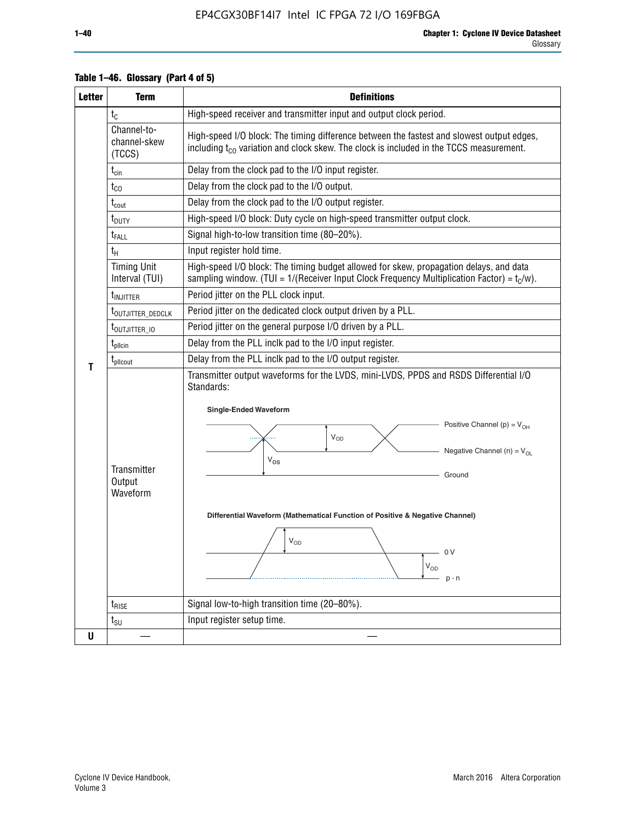| <b>Letter</b> | <b>Term</b>                                                                      | <b>Definitions</b>                                                                                                                                                                                                                                                                                                                                                                                  |  |  |  |  |  |  |
|---------------|----------------------------------------------------------------------------------|-----------------------------------------------------------------------------------------------------------------------------------------------------------------------------------------------------------------------------------------------------------------------------------------------------------------------------------------------------------------------------------------------------|--|--|--|--|--|--|
|               | $t_{C}$                                                                          | High-speed receiver and transmitter input and output clock period.                                                                                                                                                                                                                                                                                                                                  |  |  |  |  |  |  |
|               | Channel-to-<br>channel-skew<br>(TCCS)                                            | High-speed I/O block: The timing difference between the fastest and slowest output edges,<br>including $t_{C0}$ variation and clock skew. The clock is included in the TCCS measurement.                                                                                                                                                                                                            |  |  |  |  |  |  |
|               | $t_{\text{cin}}$                                                                 | Delay from the clock pad to the I/O input register.                                                                                                                                                                                                                                                                                                                                                 |  |  |  |  |  |  |
|               | Delay from the clock pad to the I/O output.<br>$t_{CO}$                          |                                                                                                                                                                                                                                                                                                                                                                                                     |  |  |  |  |  |  |
|               | $t_{\text{cout}}$                                                                | Delay from the clock pad to the I/O output register.                                                                                                                                                                                                                                                                                                                                                |  |  |  |  |  |  |
|               | t <sub>DUTY</sub>                                                                | High-speed I/O block: Duty cycle on high-speed transmitter output clock.                                                                                                                                                                                                                                                                                                                            |  |  |  |  |  |  |
|               | t <sub>FALL</sub>                                                                | Signal high-to-low transition time (80-20%).                                                                                                                                                                                                                                                                                                                                                        |  |  |  |  |  |  |
|               | $t_H$                                                                            | Input register hold time.                                                                                                                                                                                                                                                                                                                                                                           |  |  |  |  |  |  |
|               | <b>Timing Unit</b><br>Interval (TUI)                                             | High-speed I/O block: The timing budget allowed for skew, propagation delays, and data<br>sampling window. (TUI = $1/($ Receiver Input Clock Frequency Multiplication Factor) = $tC/w$ ).                                                                                                                                                                                                           |  |  |  |  |  |  |
|               | <b>t</b> <sub>INJITTER</sub>                                                     | Period jitter on the PLL clock input.                                                                                                                                                                                                                                                                                                                                                               |  |  |  |  |  |  |
|               | t <sub>outjitter_dedclk</sub>                                                    | Period jitter on the dedicated clock output driven by a PLL.                                                                                                                                                                                                                                                                                                                                        |  |  |  |  |  |  |
|               | t <sub>outjitter_io</sub>                                                        | Period jitter on the general purpose I/O driven by a PLL.                                                                                                                                                                                                                                                                                                                                           |  |  |  |  |  |  |
|               | $t_{\sf plicin}$                                                                 | Delay from the PLL inclk pad to the I/O input register.                                                                                                                                                                                                                                                                                                                                             |  |  |  |  |  |  |
| T             | Delay from the PLL inclk pad to the I/O output register.<br>t <sub>plicout</sub> |                                                                                                                                                                                                                                                                                                                                                                                                     |  |  |  |  |  |  |
|               | Transmitter<br>Output<br>Waveform                                                | Transmitter output waveforms for the LVDS, mini-LVDS, PPDS and RSDS Differential I/O<br>Standards:<br><b>Single-Ended Waveform</b><br>Positive Channel (p) = $V_{OH}$<br><b>V<sub>OD</sub></b><br>Negative Channel (n) = $V_{OL}$<br>$V_{OS}$<br>Ground<br>Differential Waveform (Mathematical Function of Positive & Negative Channel)<br>$V_{OD}$<br>0 V<br>$\mathsf{V}_{\mathsf{OD}}$<br>$p - n$ |  |  |  |  |  |  |
|               | $t_{\text{RISE}}$                                                                | Signal low-to-high transition time (20-80%).                                                                                                                                                                                                                                                                                                                                                        |  |  |  |  |  |  |
|               | $t_{\scriptstyle\text{SU}}$                                                      | Input register setup time.                                                                                                                                                                                                                                                                                                                                                                          |  |  |  |  |  |  |
| U             |                                                                                  |                                                                                                                                                                                                                                                                                                                                                                                                     |  |  |  |  |  |  |

#### **Table 1–46. Glossary (Part 4 of 5)**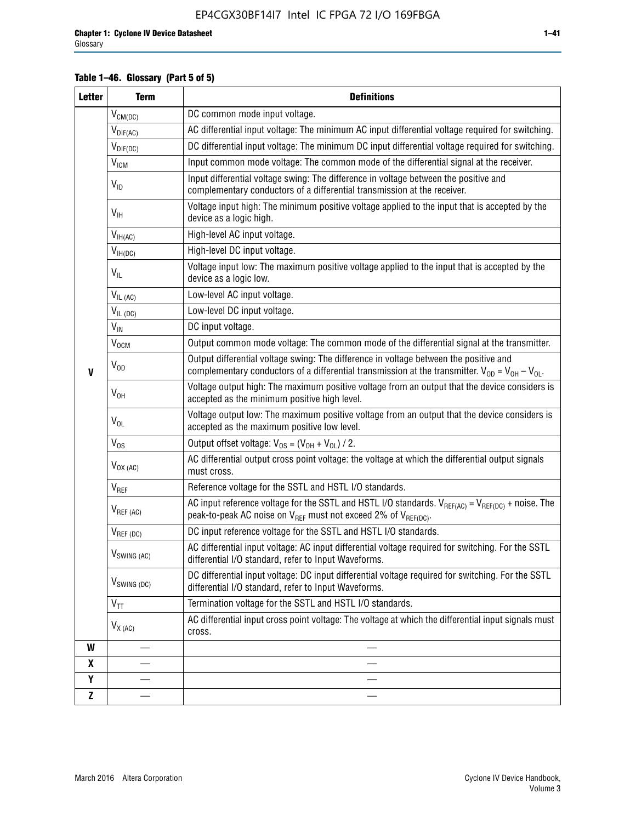### **Table 1–46. Glossary (Part 5 of 5)**

| <b>Letter</b> | <b>Term</b>                             | <b>Definitions</b>                                                                                                                                                                                |
|---------------|-----------------------------------------|---------------------------------------------------------------------------------------------------------------------------------------------------------------------------------------------------|
|               | $V_{CM(DC)}$                            | DC common mode input voltage.                                                                                                                                                                     |
|               | $V_{DIF(AC)}$                           | AC differential input voltage: The minimum AC input differential voltage required for switching.                                                                                                  |
|               | $V_{DIF(DC)}$                           | DC differential input voltage: The minimum DC input differential voltage required for switching.                                                                                                  |
|               | $\rm V_{IGM}$                           | Input common mode voltage: The common mode of the differential signal at the receiver.                                                                                                            |
|               | $V_{ID}$                                | Input differential voltage swing: The difference in voltage between the positive and<br>complementary conductors of a differential transmission at the receiver.                                  |
|               | $V_{\text{IH}}$                         | Voltage input high: The minimum positive voltage applied to the input that is accepted by the<br>device as a logic high.                                                                          |
|               | $\mathsf{V}_{\mathsf{IH}(\mathsf{AC})}$ | High-level AC input voltage.                                                                                                                                                                      |
|               | $V_{IH(DC)}$                            | High-level DC input voltage.                                                                                                                                                                      |
|               | $V_{IL}$                                | Voltage input low: The maximum positive voltage applied to the input that is accepted by the<br>device as a logic low.                                                                            |
|               | $V_{IL(AC)}$                            | Low-level AC input voltage.                                                                                                                                                                       |
|               | $V_{IL(DC)}$                            | Low-level DC input voltage.                                                                                                                                                                       |
|               | $V_{\text{IN}}$                         | DC input voltage.                                                                                                                                                                                 |
|               | V <sub>OCM</sub>                        | Output common mode voltage: The common mode of the differential signal at the transmitter.                                                                                                        |
| $\mathbf{V}$  | $V_{OD}$                                | Output differential voltage swing: The difference in voltage between the positive and<br>complementary conductors of a differential transmission at the transmitter. $V_{OD} = V_{OH} - V_{OL}$ . |
|               | $V_{OH}$                                | Voltage output high: The maximum positive voltage from an output that the device considers is<br>accepted as the minimum positive high level.                                                     |
|               | $V_{OL}$                                | Voltage output low: The maximum positive voltage from an output that the device considers is<br>accepted as the maximum positive low level.                                                       |
|               | $V_{OS}$                                | Output offset voltage: $V_{OS} = (V_{OH} + V_{OL}) / 2$ .                                                                                                                                         |
|               | $V_{OX(AC)}$                            | AC differential output cross point voltage: the voltage at which the differential output signals<br>must cross.                                                                                   |
|               | V <sub>REF</sub>                        | Reference voltage for the SSTL and HSTL I/O standards.                                                                                                                                            |
|               | $V_{REF\,(AC)}$                         | AC input reference voltage for the SSTL and HSTL I/O standards. $V_{REF(AC)} = V_{REF(DC)} +$ noise. The<br>peak-to-peak AC noise on $V_{REF}$ must not exceed 2% of $V_{REF(DC)}$ .              |
|               | $V_{REF(DC)}$                           | DC input reference voltage for the SSTL and HSTL I/O standards.                                                                                                                                   |
|               | $V_{\textrm{SWING (AC)}}$               | AC differential input voltage: AC input differential voltage required for switching. For the SSTL<br>differential I/O standard, refer to Input Waveforms.                                         |
|               | $V_{SWING (DC)}$                        | DC differential input voltage: DC input differential voltage required for switching. For the SSTL<br>differential I/O standard, refer to Input Waveforms.                                         |
|               | $V_{TT}$                                | Termination voltage for the SSTL and HSTL I/O standards.                                                                                                                                          |
|               | $V_{X(AC)}$                             | AC differential input cross point voltage: The voltage at which the differential input signals must<br>cross.                                                                                     |
| W             |                                         |                                                                                                                                                                                                   |
| X             |                                         |                                                                                                                                                                                                   |
| Y             |                                         |                                                                                                                                                                                                   |
| $\mathbf{Z}$  |                                         |                                                                                                                                                                                                   |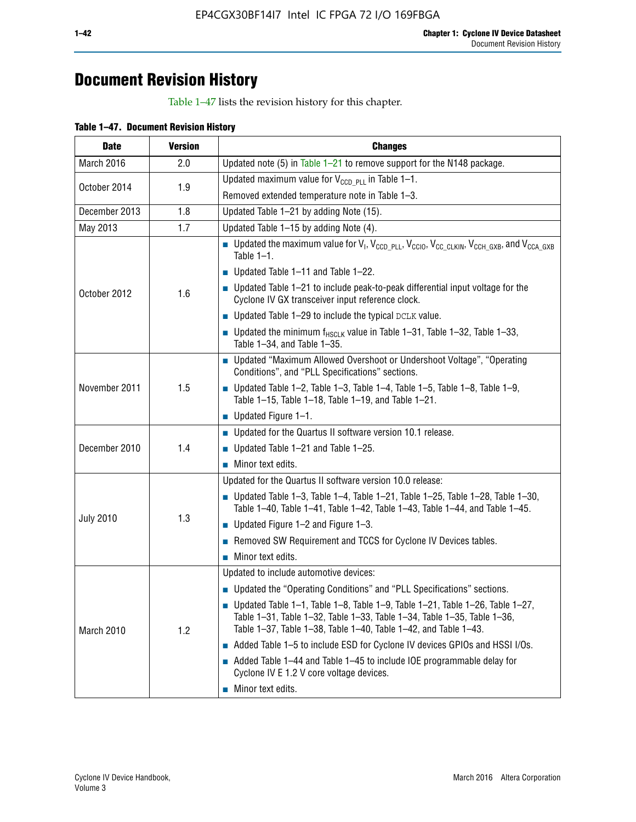# **Document Revision History**

Table 1–47 lists the revision history for this chapter.

| <b>Date</b>      | <b>Version</b> | <b>Changes</b>                                                                                                                                                                                                                            |
|------------------|----------------|-------------------------------------------------------------------------------------------------------------------------------------------------------------------------------------------------------------------------------------------|
| March 2016       | 2.0            | Updated note (5) in Table $1-21$ to remove support for the N148 package.                                                                                                                                                                  |
| October 2014     | 1.9            | Updated maximum value for $V_{CCD, PL}$ in Table 1-1.                                                                                                                                                                                     |
|                  |                | Removed extended temperature note in Table 1-3.                                                                                                                                                                                           |
| December 2013    | 1.8            | Updated Table 1-21 by adding Note (15).                                                                                                                                                                                                   |
| May 2013         | 1.7            | Updated Table 1-15 by adding Note (4).                                                                                                                                                                                                    |
| October 2012     | 1.6            | Dpdated the maximum value for $V_1$ , $V_{CCD\_PLL}$ , $V_{CC10}$ , $V_{CC\_CLKIN}$ , $V_{CCH\_GXB}$ , and $V_{CCA\_GXB}$<br>Table $1-1$ .                                                                                                |
|                  |                | $\blacksquare$ Updated Table 1-11 and Table 1-22.                                                                                                                                                                                         |
|                  |                | $\blacksquare$ Updated Table 1-21 to include peak-to-peak differential input voltage for the<br>Cyclone IV GX transceiver input reference clock.                                                                                          |
|                  |                | $\blacksquare$ Updated Table 1-29 to include the typical DCLK value.                                                                                                                                                                      |
|                  |                | <b>Updated the minimum f<sub>HSCLK</sub></b> value in Table 1-31, Table 1-32, Table 1-33,<br>Table 1-34, and Table 1-35.                                                                                                                  |
| November 2011    | 1.5            | • Updated "Maximum Allowed Overshoot or Undershoot Voltage", "Operating<br>Conditions", and "PLL Specifications" sections.                                                                                                                |
|                  |                | Updated Table 1-2, Table 1-3, Table 1-4, Table 1-5, Table 1-8, Table 1-9,<br>Table 1-15, Table 1-18, Table 1-19, and Table 1-21.                                                                                                          |
|                  |                | ■ Updated Figure $1-1$ .                                                                                                                                                                                                                  |
| December 2010    | 1.4            | • Updated for the Quartus II software version 10.1 release.                                                                                                                                                                               |
|                  |                | $\blacksquare$ Updated Table 1-21 and Table 1-25.                                                                                                                                                                                         |
|                  |                | $\blacksquare$ Minor text edits.                                                                                                                                                                                                          |
|                  | 1.3            | Updated for the Quartus II software version 10.0 release:                                                                                                                                                                                 |
|                  |                | Updated Table 1-3, Table 1-4, Table 1-21, Table 1-25, Table 1-28, Table 1-30,<br>Table 1-40, Table 1-41, Table 1-42, Table 1-43, Table 1-44, and Table 1-45.                                                                              |
| <b>July 2010</b> |                | ■ Updated Figure $1-2$ and Figure $1-3$ .                                                                                                                                                                                                 |
|                  |                | Removed SW Requirement and TCCS for Cyclone IV Devices tables.                                                                                                                                                                            |
|                  |                | $\blacksquare$ Minor text edits.                                                                                                                                                                                                          |
|                  | 1.2            | Updated to include automotive devices:                                                                                                                                                                                                    |
| March 2010       |                | • Updated the "Operating Conditions" and "PLL Specifications" sections.                                                                                                                                                                   |
|                  |                | $\blacksquare$ Updated Table 1-1, Table 1-8, Table 1-9, Table 1-21, Table 1-26, Table 1-27,<br>Table 1-31, Table 1-32, Table 1-33, Table 1-34, Table 1-35, Table 1-36,<br>Table 1-37, Table 1-38, Table 1-40, Table 1-42, and Table 1-43. |
|                  |                | Added Table 1-5 to include ESD for Cyclone IV devices GPIOs and HSSI I/Os.                                                                                                                                                                |
|                  |                | Added Table 1-44 and Table 1-45 to include IOE programmable delay for<br>Cyclone IV E 1.2 V core voltage devices.                                                                                                                         |
|                  |                | Minor text edits.                                                                                                                                                                                                                         |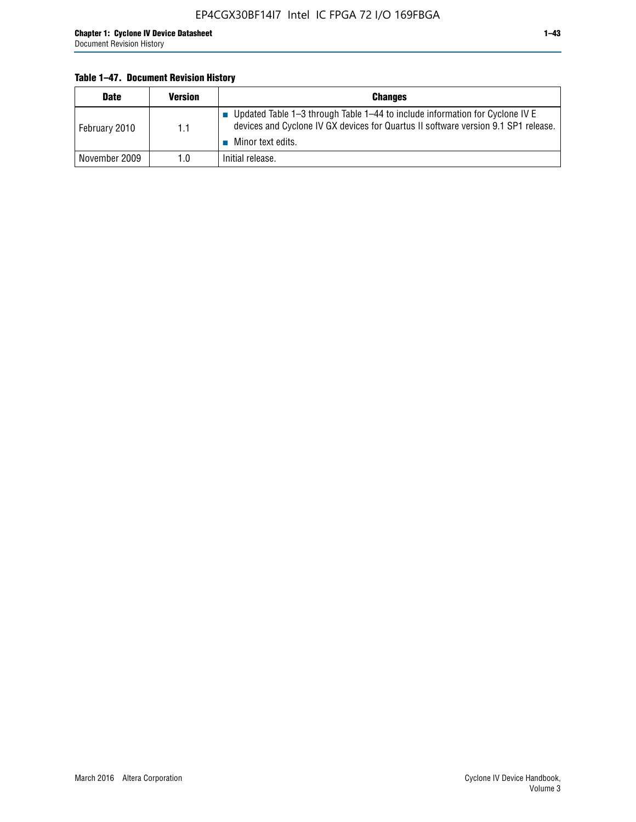### **Table 1–47. Document Revision History**

| <b>Date</b>   | <b>Version</b> | <b>Changes</b>                                                                                                                                                                            |
|---------------|----------------|-------------------------------------------------------------------------------------------------------------------------------------------------------------------------------------------|
| February 2010 | 1.1            | ■ Updated Table 1–3 through Table 1–44 to include information for Cyclone IV E<br>devices and Cyclone IV GX devices for Quartus II software version 9.1 SP1 release.<br>Minor text edits. |
| November 2009 | 1.0            | Initial release.                                                                                                                                                                          |